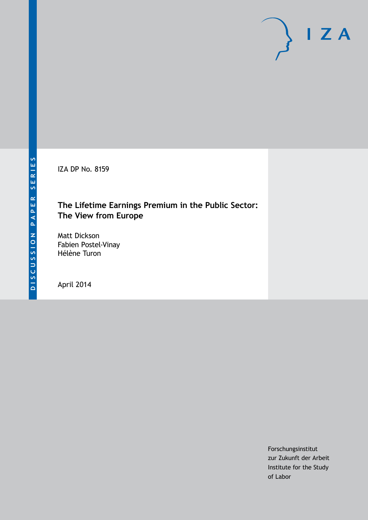IZA DP No. 8159

## **The Lifetime Earnings Premium in the Public Sector: The View from Europe**

Matt Dickson Fabien Postel-Vinay Hélène Turon

April 2014

Forschungsinstitut zur Zukunft der Arbeit Institute for the Study of Labor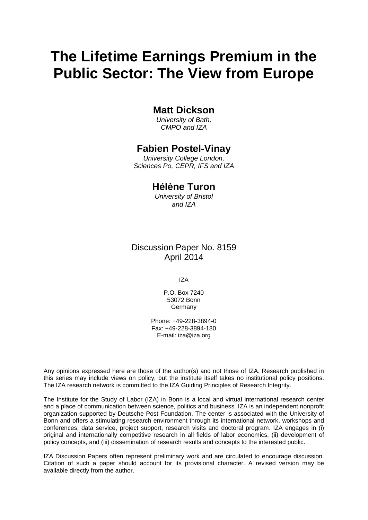# **The Lifetime Earnings Premium in the Public Sector: The View from Europe**

## **Matt Dickson**

*University of Bath, CMPO and IZA*

## **Fabien Postel-Vinay**

*University College London, Sciences Po, CEPR, IFS and IZA*

## **Hélène Turon**

*University of Bristol and IZA*

## Discussion Paper No. 8159 April 2014

IZA

P.O. Box 7240 53072 Bonn **Germany** 

Phone: +49-228-3894-0 Fax: +49-228-3894-180 E-mail: [iza@iza.org](mailto:iza@iza.org)

Any opinions expressed here are those of the author(s) and not those of IZA. Research published in this series may include views on policy, but the institute itself takes no institutional policy positions. The IZA research network is committed to the IZA Guiding Principles of Research Integrity.

The Institute for the Study of Labor (IZA) in Bonn is a local and virtual international research center and a place of communication between science, politics and business. IZA is an independent nonprofit organization supported by Deutsche Post Foundation. The center is associated with the University of Bonn and offers a stimulating research environment through its international network, workshops and conferences, data service, project support, research visits and doctoral program. IZA engages in (i) original and internationally competitive research in all fields of labor economics, (ii) development of policy concepts, and (iii) dissemination of research results and concepts to the interested public.

<span id="page-1-0"></span>IZA Discussion Papers often represent preliminary work and are circulated to encourage discussion. Citation of such a paper should account for its provisional character. A revised version may be available directly from the author.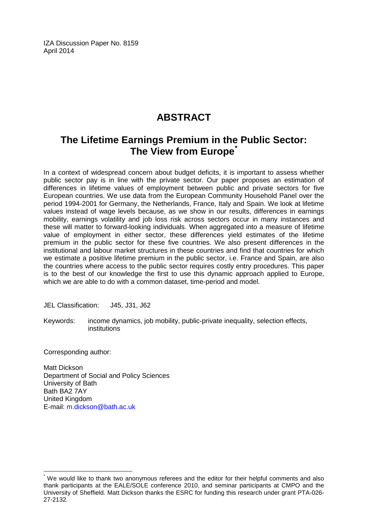IZA Discussion Paper No. 8159 April 2014

## **ABSTRACT**

## **The Lifetime Earnings Premium in the Public Sector: The View from Europe[\\*](#page-1-0)**

In a context of widespread concern about budget deficits, it is important to assess whether public sector pay is in line with the private sector. Our paper proposes an estimation of differences in lifetime values of employment between public and private sectors for five European countries. We use data from the European Community Household Panel over the period 1994-2001 for Germany, the Netherlands, France, Italy and Spain. We look at lifetime values instead of wage levels because, as we show in our results, differences in earnings mobility, earnings volatility and job loss risk across sectors occur in many instances and these will matter to forward-looking individuals. When aggregated into a measure of lifetime value of employment in either sector, these differences yield estimates of the lifetime premium in the public sector for these five countries. We also present differences in the institutional and labour market structures in these countries and find that countries for which we estimate a positive lifetime premium in the public sector, i.e. France and Spain, are also the countries where access to the public sector requires costly entry procedures. This paper is to the best of our knowledge the first to use this dynamic approach applied to Europe, which we are able to do with a common dataset, time-period and model.

JEL Classification: J45, J31, J62

Keywords: income dynamics, job mobility, public-private inequality, selection effects, institutions

Corresponding author:

Matt Dickson Department of Social and Policy Sciences University of Bath Bath BA2 7AY United Kingdom E-mail: [m.dickson@bath.ac.uk](mailto:m.dickson@bath.ac.uk)

We would like to thank two anonymous referees and the editor for their helpful comments and also thank participants at the EALE/SOLE conference 2010, and seminar participants at CMPO and the University of Sheffield. Matt Dickson thanks the ESRC for funding this research under grant PTA-026- 27-2132.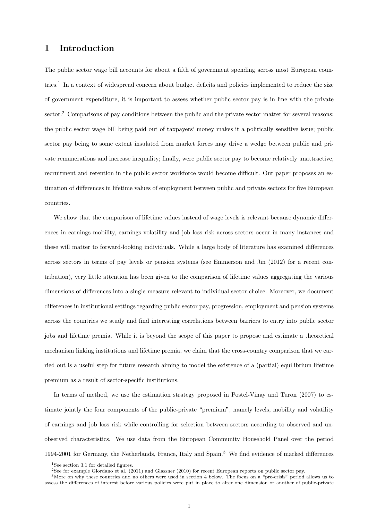### 1 Introduction

The public sector wage bill accounts for about a fifth of government spending across most European countries.<sup>1</sup> In a context of widespread concern about budget deficits and policies implemented to reduce the size of government expenditure, it is important to assess whether public sector pay is in line with the private sector.<sup>2</sup> Comparisons of pay conditions between the public and the private sector matter for several reasons: the public sector wage bill being paid out of taxpayers' money makes it a politically sensitive issue; public sector pay being to some extent insulated from market forces may drive a wedge between public and private remunerations and increase inequality; finally, were public sector pay to become relatively unattractive, recruitment and retention in the public sector workforce would become difficult. Our paper proposes an estimation of differences in lifetime values of employment between public and private sectors for five European countries.

We show that the comparison of lifetime values instead of wage levels is relevant because dynamic differences in earnings mobility, earnings volatility and job loss risk across sectors occur in many instances and these will matter to forward-looking individuals. While a large body of literature has examined differences across sectors in terms of pay levels or pension systems (see Emmerson and Jin (2012) for a recent contribution), very little attention has been given to the comparison of lifetime values aggregating the various dimensions of differences into a single measure relevant to individual sector choice. Moreover, we document differences in institutional settings regarding public sector pay, progression, employment and pension systems across the countries we study and find interesting correlations between barriers to entry into public sector jobs and lifetime premia. While it is beyond the scope of this paper to propose and estimate a theoretical mechanism linking institutions and lifetime premia, we claim that the cross-country comparison that we carried out is a useful step for future research aiming to model the existence of a (partial) equilibrium lifetime premium as a result of sector-specific institutions.

In terms of method, we use the estimation strategy proposed in Postel-Vinay and Turon (2007) to estimate jointly the four components of the public-private "premium", namely levels, mobility and volatility of earnings and job loss risk while controlling for selection between sectors according to observed and unobserved characteristics. We use data from the European Community Household Panel over the period 1994-2001 for Germany, the Netherlands, France, Italy and Spain.<sup>3</sup> We find evidence of marked differences

<sup>&</sup>lt;sup>1</sup>See section 3.1 for detailed figures.

<sup>&</sup>lt;sup>2</sup>See for example Giordano et al. (2011) and Glassner (2010) for recent European reports on public sector pay.

<sup>3</sup>More on why these countries and no others were used in section 4 below. The focus on a "pre-crisis" period allows us to assess the differences of interest before various policies were put in place to alter one dimension or another of public-private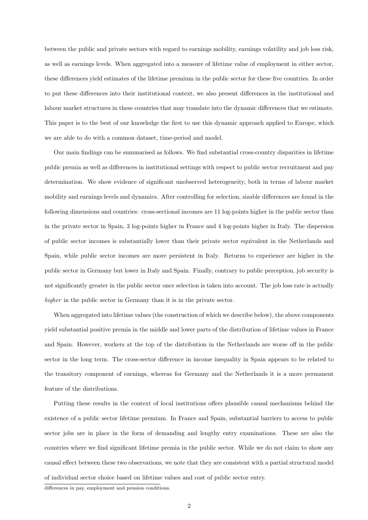between the public and private sectors with regard to earnings mobility, earnings volatility and job loss risk, as well as earnings levels. When aggregated into a measure of lifetime value of employment in either sector, these differences yield estimates of the lifetime premium in the public sector for these five countries. In order to put these differences into their institutional context, we also present differences in the institutional and labour market structures in these countries that may translate into the dynamic differences that we estimate. This paper is to the best of our knowledge the first to use this dynamic approach applied to Europe, which we are able to do with a common dataset, time-period and model.

Our main findings can be summarised as follows. We find substantial cross-country disparities in lifetime public premia as well as differences in institutional settings with respect to public sector recruitment and pay determination. We show evidence of significant unobserved heterogeneity, both in terms of labour market mobility and earnings levels and dynamics. After controlling for selection, sizable differences are found in the following dimensions and countries: cross-sectional incomes are 11 log-points higher in the public sector than in the private sector in Spain, 3 log-points higher in France and 4 log-points higher in Italy. The dispersion of public sector incomes is substantially lower than their private sector equivalent in the Netherlands and Spain, while public sector incomes are more persistent in Italy. Returns to experience are higher in the public sector in Germany but lower in Italy and Spain. Finally, contrary to public perception, job security is not significantly greater in the public sector once selection is taken into account. The job loss rate is actually higher in the public sector in Germany than it is in the private sector.

When aggregated into lifetime values (the construction of which we describe below), the above components yield substantial positive premia in the middle and lower parts of the distribution of lifetime values in France and Spain. However, workers at the top of the distribution in the Netherlands are worse off in the public sector in the long term. The cross-sector difference in income inequality in Spain appears to be related to the transitory component of earnings, whereas for Germany and the Netherlands it is a more permanent feature of the distributions.

Putting these results in the context of local institutions offers plausible causal mechanisms behind the existence of a public sector lifetime premium. In France and Spain, substantial barriers to access to public sector jobs are in place in the form of demanding and lengthy entry examinations. These are also the countries where we find significant lifetime premia in the public sector. While we do not claim to show any causal effect between these two observations, we note that they are consistent with a partial structural model of individual sector choice based on lifetime values and cost of public sector entry.

differences in pay, employment and pension conditions.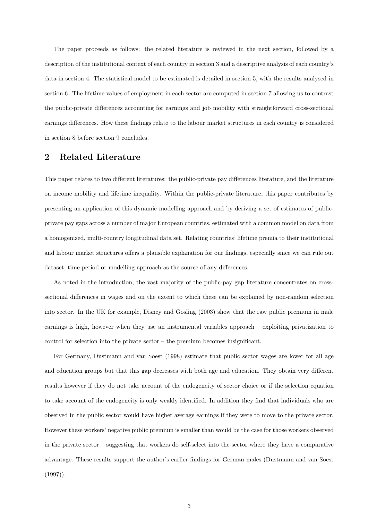The paper proceeds as follows: the related literature is reviewed in the next section, followed by a description of the institutional context of each country in section 3 and a descriptive analysis of each country's data in section 4. The statistical model to be estimated is detailed in section 5, with the results analysed in section 6. The lifetime values of employment in each sector are computed in section 7 allowing us to contrast the public-private differences accounting for earnings and job mobility with straightforward cross-sectional earnings differences. How these findings relate to the labour market structures in each country is considered in section 8 before section 9 concludes.

## 2 Related Literature

This paper relates to two different literatures: the public-private pay differences literature, and the literature on income mobility and lifetime inequality. Within the public-private literature, this paper contributes by presenting an application of this dynamic modelling approach and by deriving a set of estimates of publicprivate pay gaps across a number of major European countries, estimated with a common model on data from a homogenized, multi-country longitudinal data set. Relating countries' lifetime premia to their institutional and labour market structures offers a plausible explanation for our findings, especially since we can rule out dataset, time-period or modelling approach as the source of any differences.

As noted in the introduction, the vast majority of the public-pay gap literature concentrates on crosssectional differences in wages and on the extent to which these can be explained by non-random selection into sector. In the UK for example, Disney and Gosling (2003) show that the raw public premium in male earnings is high, however when they use an instrumental variables approach – exploiting privatization to control for selection into the private sector – the premium becomes insignificant.

For Germany, Dustmann and van Soest (1998) estimate that public sector wages are lower for all age and education groups but that this gap decreases with both age and education. They obtain very different results however if they do not take account of the endogeneity of sector choice or if the selection equation to take account of the endogeneity is only weakly identified. In addition they find that individuals who are observed in the public sector would have higher average earnings if they were to move to the private sector. However these workers' negative public premium is smaller than would be the case for those workers observed in the private sector – suggesting that workers do self-select into the sector where they have a comparative advantage. These results support the author's earlier findings for German males (Dustmann and van Soest  $(1997)$ .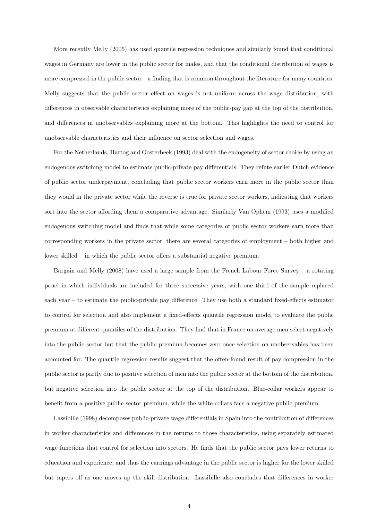More recently Melly (2005) has used quantile regression techniques and similarly found that conditional wages in Germany are lower in the public sector for males, and that the conditional distribution of wages is more compressed in the public sector – a finding that is common throughout the literature for many countries. Melly suggests that the public sector effect on wages is not uniform across the wage distribution, with differences in observable characteristics explaining more of the public-pay gap at the top of the distribution, and differences in unobservables explaining more at the bottom. This highlights the need to control for unobservable characteristics and their influence on sector selection and wages.

For the Netherlands, Hartog and Oosterbeek (1993) deal with the endogeneity of sector choice by using an endogenous switching model to estimate public-private pay differentials. They refute earlier Dutch evidence of public sector underpayment, concluding that public sector workers earn more in the public sector than they would in the private sector while the reverse is true for private sector workers, indicating that workers sort into the sector affording them a comparative advantage. Similarly Van Ophem (1993) uses a modified endogenous switching model and finds that while some categories of public sector workers earn more than corresponding workers in the private sector, there are several categories of employment – both higher and lower skilled – in which the public sector offers a substantial negative premium.

Bargain and Melly (2008) have used a large sample from the French Labour Force Survey – a rotating panel in which individuals are included for three successive years, with one third of the sample replaced each year – to estimate the public-private pay difference. They use both a standard fixed-effects estimator to control for selection and also implement a fixed-effects quantile regression model to evaluate the public premium at different quantiles of the distribution. They find that in France on average men select negatively into the public sector but that the public premium becomes zero once selection on unobservables has been accounted for. The quantile regression results suggest that the often-found result of pay compression in the public sector is partly due to positive selection of men into the public sector at the bottom of the distribution, but negative selection into the public sector at the top of the distribution. Blue-collar workers appear to benefit from a positive public-sector premium, while the white-collars face a negative public premium.

Lassibille (1998) decomposes public-private wage differentials in Spain into the contribution of differences in worker characteristics and differences in the returns to those characteristics, using separately estimated wage functions that control for selection into sectors. He finds that the public sector pays lower returns to education and experience, and thus the earnings advantage in the public sector is higher for the lower skilled but tapers off as one moves up the skill distribution. Lassibille also concludes that differences in worker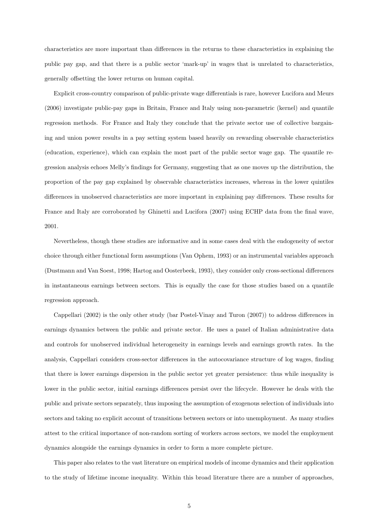characteristics are more important than differences in the returns to these characteristics in explaining the public pay gap, and that there is a public sector 'mark-up' in wages that is unrelated to characteristics, generally offsetting the lower returns on human capital.

Explicit cross-country comparison of public-private wage differentials is rare, however Lucifora and Meurs (2006) investigate public-pay gaps in Britain, France and Italy using non-parametric (kernel) and quantile regression methods. For France and Italy they conclude that the private sector use of collective bargaining and union power results in a pay setting system based heavily on rewarding observable characteristics (education, experience), which can explain the most part of the public sector wage gap. The quantile regression analysis echoes Melly's findings for Germany, suggesting that as one moves up the distribution, the proportion of the pay gap explained by observable characteristics increases, whereas in the lower quintiles differences in unobserved characteristics are more important in explaining pay differences. These results for France and Italy are corroborated by Ghinetti and Lucifora (2007) using ECHP data from the final wave, 2001.

Nevertheless, though these studies are informative and in some cases deal with the endogeneity of sector choice through either functional form assumptions (Van Ophem, 1993) or an instrumental variables approach (Dustmann and Van Soest, 1998; Hartog and Oosterbeek, 1993), they consider only cross-sectional differences in instantaneous earnings between sectors. This is equally the case for those studies based on a quantile regression approach.

Cappellari (2002) is the only other study (bar Postel-Vinay and Turon (2007)) to address differences in earnings dynamics between the public and private sector. He uses a panel of Italian administrative data and controls for unobserved individual heterogeneity in earnings levels and earnings growth rates. In the analysis, Cappellari considers cross-sector differences in the autocovariance structure of log wages, finding that there is lower earnings dispersion in the public sector yet greater persistence: thus while inequality is lower in the public sector, initial earnings differences persist over the lifecycle. However he deals with the public and private sectors separately, thus imposing the assumption of exogenous selection of individuals into sectors and taking no explicit account of transitions between sectors or into unemployment. As many studies attest to the critical importance of non-random sorting of workers across sectors, we model the employment dynamics alongside the earnings dynamics in order to form a more complete picture.

This paper also relates to the vast literature on empirical models of income dynamics and their application to the study of lifetime income inequality. Within this broad literature there are a number of approaches,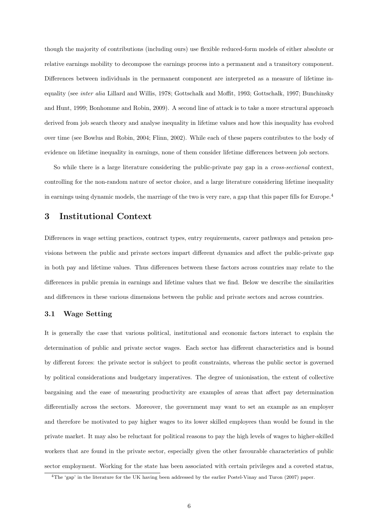though the majority of contributions (including ours) use flexible reduced-form models of either absolute or relative earnings mobility to decompose the earnings process into a permanent and a transitory component. Differences between individuals in the permanent component are interpreted as a measure of lifetime inequality (see inter alia Lillard and Willis, 1978; Gottschalk and Moffit, 1993; Gottschalk, 1997; Bunchinsky and Hunt, 1999; Bonhomme and Robin, 2009). A second line of attack is to take a more structural approach derived from job search theory and analyse inequality in lifetime values and how this inequality has evolved over time (see Bowlus and Robin, 2004; Flinn, 2002). While each of these papers contributes to the body of evidence on lifetime inequality in earnings, none of them consider lifetime differences between job sectors.

So while there is a large literature considering the public-private pay gap in a cross-sectional context, controlling for the non-random nature of sector choice, and a large literature considering lifetime inequality in earnings using dynamic models, the marriage of the two is very rare, a gap that this paper fills for Europe.<sup>4</sup>

## 3 Institutional Context

Differences in wage setting practices, contract types, entry requirements, career pathways and pension provisions between the public and private sectors impart different dynamics and affect the public-private gap in both pay and lifetime values. Thus differences between these factors across countries may relate to the differences in public premia in earnings and lifetime values that we find. Below we describe the similarities and differences in these various dimensions between the public and private sectors and across countries.

#### 3.1 Wage Setting

It is generally the case that various political, institutional and economic factors interact to explain the determination of public and private sector wages. Each sector has different characteristics and is bound by different forces: the private sector is subject to profit constraints, whereas the public sector is governed by political considerations and budgetary imperatives. The degree of unionisation, the extent of collective bargaining and the ease of measuring productivity are examples of areas that affect pay determination differentially across the sectors. Moreover, the government may want to set an example as an employer and therefore be motivated to pay higher wages to its lower skilled employees than would be found in the private market. It may also be reluctant for political reasons to pay the high levels of wages to higher-skilled workers that are found in the private sector, especially given the other favourable characteristics of public sector employment. Working for the state has been associated with certain privileges and a coveted status,

<sup>4</sup>The 'gap' in the literature for the UK having been addressed by the earlier Postel-Vinay and Turon (2007) paper.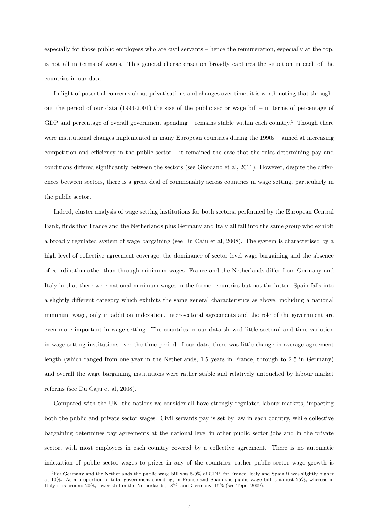especially for those public employees who are civil servants – hence the remuneration, especially at the top, is not all in terms of wages. This general characterisation broadly captures the situation in each of the countries in our data.

In light of potential concerns about privatisations and changes over time, it is worth noting that throughout the period of our data (1994-2001) the size of the public sector wage bill – in terms of percentage of GDP and percentage of overall government spending – remains stable within each country.<sup>5</sup> Though there were institutional changes implemented in many European countries during the 1990s – aimed at increasing competition and efficiency in the public sector – it remained the case that the rules determining pay and conditions differed significantly between the sectors (see Giordano et al, 2011). However, despite the differences between sectors, there is a great deal of commonality across countries in wage setting, particularly in the public sector.

Indeed, cluster analysis of wage setting institutions for both sectors, performed by the European Central Bank, finds that France and the Netherlands plus Germany and Italy all fall into the same group who exhibit a broadly regulated system of wage bargaining (see Du Caju et al, 2008). The system is characterised by a high level of collective agreement coverage, the dominance of sector level wage bargaining and the absence of coordination other than through minimum wages. France and the Netherlands differ from Germany and Italy in that there were national minimum wages in the former countries but not the latter. Spain falls into a slightly different category which exhibits the same general characteristics as above, including a national minimum wage, only in addition indexation, inter-sectoral agreements and the role of the government are even more important in wage setting. The countries in our data showed little sectoral and time variation in wage setting institutions over the time period of our data, there was little change in average agreement length (which ranged from one year in the Netherlands, 1.5 years in France, through to 2.5 in Germany) and overall the wage bargaining institutions were rather stable and relatively untouched by labour market reforms (see Du Caju et al, 2008).

Compared with the UK, the nations we consider all have strongly regulated labour markets, impacting both the public and private sector wages. Civil servants pay is set by law in each country, while collective bargaining determines pay agreements at the national level in other public sector jobs and in the private sector, with most employees in each country covered by a collective agreement. There is no automatic indexation of public sector wages to prices in any of the countries, rather public sector wage growth is

<sup>5</sup>For Germany and the Netherlands the public wage bill was 8-9% of GDP, for France, Italy and Spain it was slightly higher at 10%. As a proportion of total government spending, in France and Spain the public wage bill is almost 25%, whereas in Italy it is around 20%, lower still in the Netherlands, 18%, and Germany, 15% (see Tepe, 2009).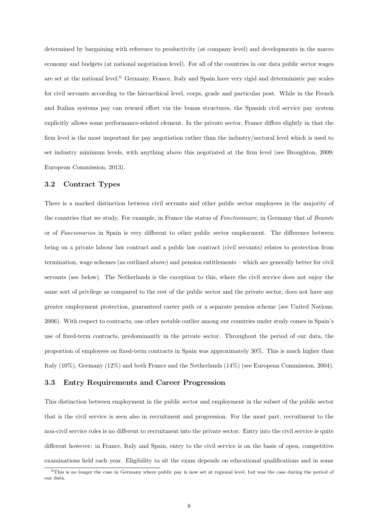determined by bargaining with reference to productivity (at company level) and developments in the macro economy and budgets (at national negotiation level). For all of the countries in our data public sector wages are set at the national level.<sup>6</sup> Germany, France, Italy and Spain have very rigid and deterministic pay scales for civil servants according to the hierarchical level, corps, grade and particular post. While in the French and Italian systems pay can reward effort via the bonus structures, the Spanish civil service pay system explicitly allows some performance-related element. In the private sector, France differs slightly in that the firm level is the most important for pay negotiation rather than the industry/sectoral level which is used to set industry minimum levels, with anything above this negotiated at the firm level (see Broughton, 2009; European Commission, 2013).

#### 3.2 Contract Types

There is a marked distinction between civil servants and other public sector employees in the majority of the countries that we study. For example, in France the status of Fonctionnaire, in Germany that of Beamte or of Funcionarios in Spain is very different to other public sector employment. The difference between being on a private labour law contract and a public law contract (civil servants) relates to protection from termination, wage schemes (as outlined above) and pension entitlements – which are generally better for civil servants (see below). The Netherlands is the exception to this, where the civil service does not enjoy the same sort of privilege as compared to the rest of the public sector and the private sector, does not have any greater employment protection, guaranteed career path or a separate pension scheme (see United Nations, 2006). With respect to contracts, one other notable outlier among our countries under study comes in Spain's use of fixed-term contracts, predominantly in the private sector. Throughout the period of our data, the proportion of employees on fixed-term contracts in Spain was approximately 30%. This is much higher than Italy (10%), Germany (12%) and both France and the Netherlands (14%) (see European Commission, 2004).

#### 3.3 Entry Requirements and Career Progression

This distinction between employment in the public sector and employment in the subset of the public sector that is the civil service is seen also in recruitment and progression. For the most part, recruitment to the non-civil service roles is no different to recruitment into the private sector. Entry into the civil service is quite different however: in France, Italy and Spain, entry to the civil service is on the basis of open, competitive examinations held each year. Eligibility to sit the exam depends on educational qualifications and in some

<sup>6</sup>This is no longer the case in Germany where public pay is now set at regional level, but was the case during the period of our data.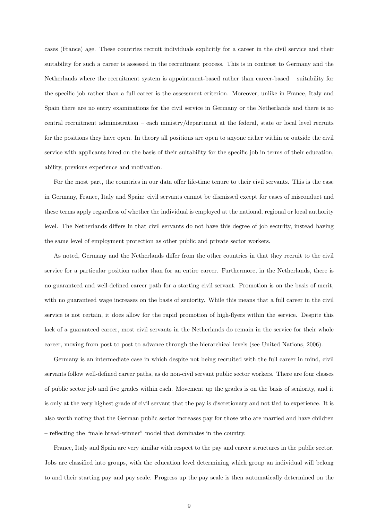cases (France) age. These countries recruit individuals explicitly for a career in the civil service and their suitability for such a career is assessed in the recruitment process. This is in contrast to Germany and the Netherlands where the recruitment system is appointment-based rather than career-based – suitability for the specific job rather than a full career is the assessment criterion. Moreover, unlike in France, Italy and Spain there are no entry examinations for the civil service in Germany or the Netherlands and there is no central recruitment administration – each ministry/department at the federal, state or local level recruits for the positions they have open. In theory all positions are open to anyone either within or outside the civil service with applicants hired on the basis of their suitability for the specific job in terms of their education, ability, previous experience and motivation.

For the most part, the countries in our data offer life-time tenure to their civil servants. This is the case in Germany, France, Italy and Spain: civil servants cannot be dismissed except for cases of misconduct and these terms apply regardless of whether the individual is employed at the national, regional or local authority level. The Netherlands differs in that civil servants do not have this degree of job security, instead having the same level of employment protection as other public and private sector workers.

As noted, Germany and the Netherlands differ from the other countries in that they recruit to the civil service for a particular position rather than for an entire career. Furthermore, in the Netherlands, there is no guaranteed and well-defined career path for a starting civil servant. Promotion is on the basis of merit, with no guaranteed wage increases on the basis of seniority. While this means that a full career in the civil service is not certain, it does allow for the rapid promotion of high-flyers within the service. Despite this lack of a guaranteed career, most civil servants in the Netherlands do remain in the service for their whole career, moving from post to post to advance through the hierarchical levels (see United Nations, 2006).

Germany is an intermediate case in which despite not being recruited with the full career in mind, civil servants follow well-defined career paths, as do non-civil servant public sector workers. There are four classes of public sector job and five grades within each. Movement up the grades is on the basis of seniority, and it is only at the very highest grade of civil servant that the pay is discretionary and not tied to experience. It is also worth noting that the German public sector increases pay for those who are married and have children – reflecting the "male bread-winner" model that dominates in the country.

France, Italy and Spain are very similar with respect to the pay and career structures in the public sector. Jobs are classified into groups, with the education level determining which group an individual will belong to and their starting pay and pay scale. Progress up the pay scale is then automatically determined on the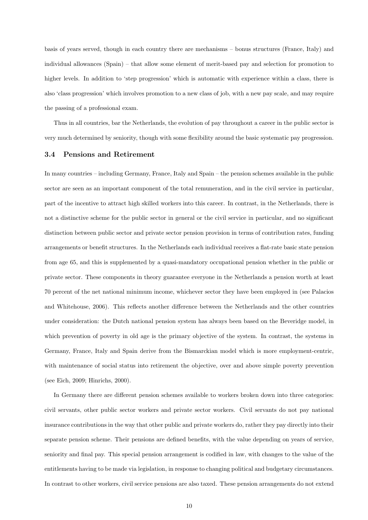basis of years served, though in each country there are mechanisms – bonus structures (France, Italy) and individual allowances (Spain) – that allow some element of merit-based pay and selection for promotion to higher levels. In addition to 'step progression' which is automatic with experience within a class, there is also 'class progression' which involves promotion to a new class of job, with a new pay scale, and may require the passing of a professional exam.

Thus in all countries, bar the Netherlands, the evolution of pay throughout a career in the public sector is very much determined by seniority, though with some flexibility around the basic systematic pay progression.

#### 3.4 Pensions and Retirement

In many countries – including Germany, France, Italy and Spain – the pension schemes available in the public sector are seen as an important component of the total remuneration, and in the civil service in particular, part of the incentive to attract high skilled workers into this career. In contrast, in the Netherlands, there is not a distinctive scheme for the public sector in general or the civil service in particular, and no significant distinction between public sector and private sector pension provision in terms of contribution rates, funding arrangements or benefit structures. In the Netherlands each individual receives a flat-rate basic state pension from age 65, and this is supplemented by a quasi-mandatory occupational pension whether in the public or private sector. These components in theory guarantee everyone in the Netherlands a pension worth at least 70 percent of the net national minimum income, whichever sector they have been employed in (see Palacios and Whitehouse, 2006). This reflects another difference between the Netherlands and the other countries under consideration: the Dutch national pension system has always been based on the Beveridge model, in which prevention of poverty in old age is the primary objective of the system. In contrast, the systems in Germany, France, Italy and Spain derive from the Bismarckian model which is more employment-centric, with maintenance of social status into retirement the objective, over and above simple poverty prevention (see Eich, 2009; Hinrichs, 2000).

In Germany there are different pension schemes available to workers broken down into three categories: civil servants, other public sector workers and private sector workers. Civil servants do not pay national insurance contributions in the way that other public and private workers do, rather they pay directly into their separate pension scheme. Their pensions are defined benefits, with the value depending on years of service, seniority and final pay. This special pension arrangement is codified in law, with changes to the value of the entitlements having to be made via legislation, in response to changing political and budgetary circumstances. In contrast to other workers, civil service pensions are also taxed. These pension arrangements do not extend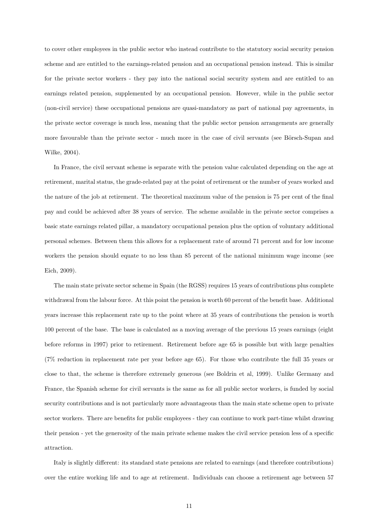to cover other employees in the public sector who instead contribute to the statutory social security pension scheme and are entitled to the earnings-related pension and an occupational pension instead. This is similar for the private sector workers - they pay into the national social security system and are entitled to an earnings related pension, supplemented by an occupational pension. However, while in the public sector (non-civil service) these occupational pensions are quasi-mandatory as part of national pay agreements, in the private sector coverage is much less, meaning that the public sector pension arrangements are generally more favourable than the private sector - much more in the case of civil servants (see Börsch-Supan and Wilke, 2004).

In France, the civil servant scheme is separate with the pension value calculated depending on the age at retirement, marital status, the grade-related pay at the point of retirement or the number of years worked and the nature of the job at retirement. The theoretical maximum value of the pension is 75 per cent of the final pay and could be achieved after 38 years of service. The scheme available in the private sector comprises a basic state earnings related pillar, a mandatory occupational pension plus the option of voluntary additional personal schemes. Between them this allows for a replacement rate of around 71 percent and for low income workers the pension should equate to no less than 85 percent of the national minimum wage income (see Eich, 2009).

The main state private sector scheme in Spain (the RGSS) requires 15 years of contributions plus complete withdrawal from the labour force. At this point the pension is worth 60 percent of the benefit base. Additional years increase this replacement rate up to the point where at 35 years of contributions the pension is worth 100 percent of the base. The base is calculated as a moving average of the previous 15 years earnings (eight before reforms in 1997) prior to retirement. Retirement before age 65 is possible but with large penalties (7% reduction in replacement rate per year before age 65). For those who contribute the full 35 years or close to that, the scheme is therefore extremely generous (see Boldrin et al, 1999). Unlike Germany and France, the Spanish scheme for civil servants is the same as for all public sector workers, is funded by social security contributions and is not particularly more advantageous than the main state scheme open to private sector workers. There are benefits for public employees - they can continue to work part-time whilst drawing their pension - yet the generosity of the main private scheme makes the civil service pension less of a specific attraction.

Italy is slightly different: its standard state pensions are related to earnings (and therefore contributions) over the entire working life and to age at retirement. Individuals can choose a retirement age between 57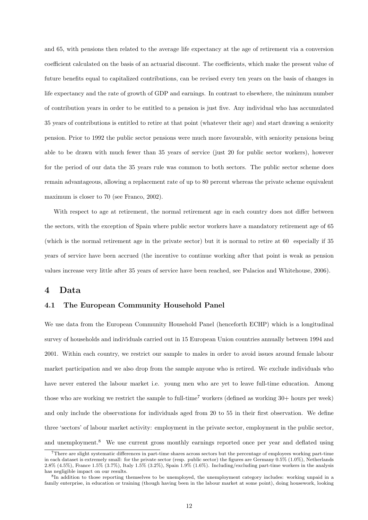and 65, with pensions then related to the average life expectancy at the age of retirement via a conversion coefficient calculated on the basis of an actuarial discount. The coefficients, which make the present value of future benefits equal to capitalized contributions, can be revised every ten years on the basis of changes in life expectancy and the rate of growth of GDP and earnings. In contrast to elsewhere, the minimum number of contribution years in order to be entitled to a pension is just five. Any individual who has accumulated 35 years of contributions is entitled to retire at that point (whatever their age) and start drawing a seniority pension. Prior to 1992 the public sector pensions were much more favourable, with seniority pensions being able to be drawn with much fewer than 35 years of service (just 20 for public sector workers), however for the period of our data the 35 years rule was common to both sectors. The public sector scheme does remain advantageous, allowing a replacement rate of up to 80 percent whereas the private scheme equivalent maximum is closer to 70 (see Franco, 2002).

With respect to age at retirement, the normal retirement age in each country does not differ between the sectors, with the exception of Spain where public sector workers have a mandatory retirement age of 65 (which is the normal retirement age in the private sector) but it is normal to retire at 60 especially if 35 years of service have been accrued (the incentive to continue working after that point is weak as pension values increase very little after 35 years of service have been reached, see Palacios and Whitehouse, 2006).

4 Data

#### 4.1 The European Community Household Panel

We use data from the European Community Household Panel (henceforth ECHP) which is a longitudinal survey of households and individuals carried out in 15 European Union countries annually between 1994 and 2001. Within each country, we restrict our sample to males in order to avoid issues around female labour market participation and we also drop from the sample anyone who is retired. We exclude individuals who have never entered the labour market i.e. young men who are yet to leave full-time education. Among those who are working we restrict the sample to full-time<sup>7</sup> workers (defined as working  $30+$  hours per week) and only include the observations for individuals aged from 20 to 55 in their first observation. We define three 'sectors' of labour market activity: employment in the private sector, employment in the public sector, and unemployment.<sup>8</sup> We use current gross monthly earnings reported once per year and deflated using

<sup>7</sup>There are slight systematic differences in part-time shares across sectors but the percentage of employees working part-time in each dataset is extremely small: for the private sector (resp. public sector) the figures are Germany 0.5% (1.0%), Netherlands 2.8% (4.5%), France 1.5% (3.7%), Italy 1.5% (3.2%), Spain 1.9% (1.6%). Including/excluding part-time workers in the analysis has negligible impact on our results.

<sup>8</sup> In addition to those reporting themselves to be unemployed, the unemployment category includes: working unpaid in a family enterprise, in education or training (though having been in the labour market at some point), doing housework, looking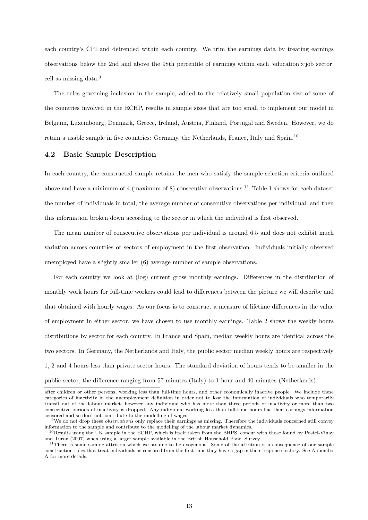each country's CPI and detrended within each country. We trim the earnings data by treating earnings observations below the 2nd and above the 98th percentile of earnings within each 'education'x'job sector' cell as missing data.<sup>9</sup>

The rules governing inclusion in the sample, added to the relatively small population size of some of the countries involved in the ECHP, results in sample sizes that are too small to implement our model in Belgium, Luxembourg, Denmark, Greece, Ireland, Austria, Finland, Portugal and Sweden. However, we do retain a usable sample in five countries: Germany, the Netherlands, France, Italy and Spain.<sup>10</sup>

#### 4.2 Basic Sample Description

In each country, the constructed sample retains the men who satisfy the sample selection criteria outlined above and have a minimum of 4 (maximum of 8) consecutive observations.<sup>11</sup> Table 1 shows for each dataset the number of individuals in total, the average number of consecutive observations per individual, and then this information broken down according to the sector in which the individual is first observed.

The mean number of consecutive observations per individual is around 6.5 and does not exhibit much variation across countries or sectors of employment in the first observation. Individuals initially observed unemployed have a slightly smaller (6) average number of sample observations.

For each country we look at (log) current gross monthly earnings. Differences in the distribution of monthly work hours for full-time workers could lead to differences between the picture we will describe and that obtained with hourly wages. As our focus is to construct a measure of lifetime differences in the value of employment in either sector, we have chosen to use monthly earnings. Table 2 shows the weekly hours distributions by sector for each country. In France and Spain, median weekly hours are identical across the two sectors. In Germany, the Netherlands and Italy, the public sector median weekly hours are respectively 1, 2 and 4 hours less than private sector hours. The standard deviation of hours tends to be smaller in the public sector, the difference ranging from 57 minutes (Italy) to 1 hour and 40 minutes (Netherlands).

after children or other persons, working less than full-time hours, and other economically inactive people. We include these categories of inactivity in the unemployment definition in order not to lose the information of individuals who temporarily transit out of the labour market, however any individual who has more than three periods of inactivity or more than two consecutive periods of inactivity is dropped. Any individual working less than full-time hours has their earnings information censored and so does not contribute to the modelling of wages.

<sup>&</sup>lt;sup>9</sup>We do not drop these *observations* only replace their earnings as missing. Therefore the individuals concerned still convey information to the sample and contribute to the modelling of the labour market dynamics.

<sup>10</sup>Results using the UK sample in the ECHP, which is itself taken from the BHPS, concur with those found by Postel-Vinay and Turon (2007) when using a larger sample available in the British Household Panel Survey.

 $11$ There is some sample attrition which we assume to be exogenous. Some of the attrition is a consequence of our sample construction rules that treat individuals as censored from the first time they have a gap in their response history. See Appendix A for more details.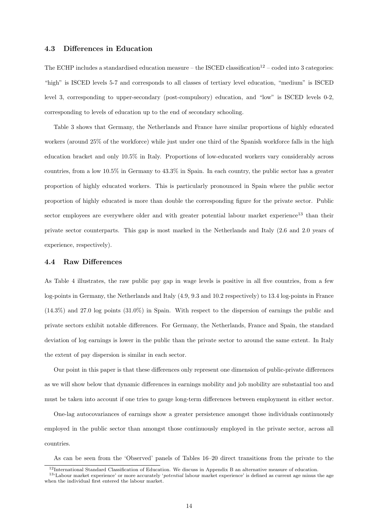#### 4.3 Differences in Education

The ECHP includes a standardised education measure – the ISCED classification<sup>12</sup> – coded into 3 categories: "high" is ISCED levels 5-7 and corresponds to all classes of tertiary level education, "medium" is ISCED level 3, corresponding to upper-secondary (post-compulsory) education, and "low" is ISCED levels 0-2, corresponding to levels of education up to the end of secondary schooling.

Table 3 shows that Germany, the Netherlands and France have similar proportions of highly educated workers (around 25% of the workforce) while just under one third of the Spanish workforce falls in the high education bracket and only 10.5% in Italy. Proportions of low-educated workers vary considerably across countries, from a low 10.5% in Germany to 43.3% in Spain. In each country, the public sector has a greater proportion of highly educated workers. This is particularly pronounced in Spain where the public sector proportion of highly educated is more than double the corresponding figure for the private sector. Public sector employees are everywhere older and with greater potential labour market experience<sup>13</sup> than their private sector counterparts. This gap is most marked in the Netherlands and Italy (2.6 and 2.0 years of experience, respectively).

#### 4.4 Raw Differences

As Table 4 illustrates, the raw public pay gap in wage levels is positive in all five countries, from a few log-points in Germany, the Netherlands and Italy (4.9, 9.3 and 10.2 respectively) to 13.4 log-points in France (14.3%) and 27.0 log points (31.0%) in Spain. With respect to the dispersion of earnings the public and private sectors exhibit notable differences. For Germany, the Netherlands, France and Spain, the standard deviation of log earnings is lower in the public than the private sector to around the same extent. In Italy the extent of pay dispersion is similar in each sector.

Our point in this paper is that these differences only represent one dimension of public-private differences as we will show below that dynamic differences in earnings mobility and job mobility are substantial too and must be taken into account if one tries to gauge long-term differences between employment in either sector.

One-lag autocovariances of earnings show a greater persistence amongst those individuals continuously employed in the public sector than amongst those continuously employed in the private sector, across all countries.

As can be seen from the 'Observed' panels of Tables 16–20 direct transitions from the private to the

<sup>12</sup>International Standard Classification of Education. We discuss in Appendix B an alternative measure of education.  $13$ 'Labour market experience' or more accurately '*potential* labour market experience' is defined as current age minus the age when the individual first entered the labour market.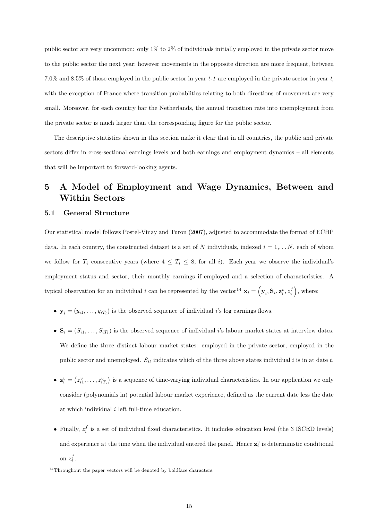public sector are very uncommon: only 1% to 2% of individuals initially employed in the private sector move to the public sector the next year; however movements in the opposite direction are more frequent, between 7.0% and 8.5% of those employed in the public sector in year  $t-1$  are employed in the private sector in year  $t$ , with the exception of France where transition probabilities relating to both directions of movement are very small. Moreover, for each country bar the Netherlands, the annual transition rate into unemployment from the private sector is much larger than the corresponding figure for the public sector.

The descriptive statistics shown in this section make it clear that in all countries, the public and private sectors differ in cross-sectional earnings levels and both earnings and employment dynamics – all elements that will be important to forward-looking agents.

## 5 A Model of Employment and Wage Dynamics, Between and Within Sectors

#### 5.1 General Structure

Our statistical model follows Postel-Vinay and Turon (2007), adjusted to accommodate the format of ECHP data. In each country, the constructed dataset is a set of N individuals, indexed  $i = 1, \ldots N$ , each of whom we follow for  $T_i$  consecutive years (where  $4 \leq T_i \leq 8$ , for all i). Each year we observe the individual's employment status and sector, their monthly earnings if employed and a selection of characteristics. A typical observation for an individual i can be represented by the vector<sup>14</sup>  $\mathbf{x}_i = (\mathbf{y}_i, \mathbf{S}_i, \mathbf{z}_i^v, z_i^f)$ , where:

- $y_i = (y_{i1}, \ldots, y_{iT_i})$  is the observed sequence of individual *i*'s log earnings flows.
- $S_i = (S_{i1}, \ldots, S_{iT_i})$  is the observed sequence of individual *i*'s labour market states at interview dates. We define the three distinct labour market states: employed in the private sector, employed in the public sector and unemployed.  $S_{it}$  indicates which of the three above states individual i is in at date t.
- $\mathbf{z}_i^v = (z_{i1}^v, \ldots, z_{iT_i}^v)$  is a sequence of time-varying individual characteristics. In our application we only consider (polynomials in) potential labour market experience, defined as the current date less the date at which individual i left full-time education.
- Finally,  $z_i^f$  is a set of individual fixed characteristics. It includes education level (the 3 ISCED levels) and experience at the time when the individual entered the panel. Hence  $\mathbf{z}_i^v$  is deterministic conditional on  $z_i^f$ .

<sup>&</sup>lt;sup>14</sup>Throughout the paper vectors will be denoted by boldface characters.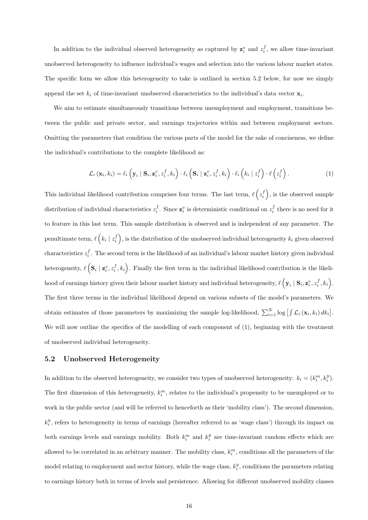In addition to the individual observed heterogeneity as captured by  $\mathbf{z}_i^v$  and  $z_i^f$ , we allow time-invariant unobserved heterogeneity to influence individual's wages and selection into the various labour market states. The specific form we allow this heterogeneity to take is outlined in section 5.2 below, for now we simply append the set  $k_i$  of time-invariant unobserved characteristics to the individual's data vector  $\mathbf{x}_i$ .

We aim to estimate simultaneously transitions between unemployment and employment, transitions between the public and private sector, and earnings trajectories within and between employment sectors. Omitting the parameters that condition the various parts of the model for the sake of conciseness, we define the individual's contributions to the complete likelihood as:

$$
\mathcal{L}_i(\mathbf{x}_i, k_i) = \ell_i\left(\mathbf{y}_i \mid \mathbf{S}_i, \mathbf{z}_i^v, z_i^f, k_i\right) \cdot \ell_i\left(\mathbf{S}_i \mid \mathbf{z}_i^v, z_i^f, k_i\right) \cdot \ell_i\left(k_i \mid z_i^f\right) \cdot \ell\left(z_i^f\right). \tag{1}
$$

This individual likelihood contribution comprises four terms. The last term,  $\ell(z_i^f)$ , is the observed sample distribution of individual characteristics  $z_i^f$ . Since  $\mathbf{z}_i^v$  is deterministic conditional on  $z_i^f$  there is no need for it to feature in this last term. This sample distribution is observed and is independent of any parameter. The penultimate term,  $\ell([k_i\mid z_i^f])$ , is the distribution of the unobserved individual heterogeneity  $k_i$  given observed characteristics  $z_i^f$ . The second term is the likelihood of an individual's labour market history given individual heterogeneity,  $\ell\left(\mathbf{S}_i \mid \mathbf{z}_i^v, z_i^f, k_i\right)$ . Finally the first term in the individual likelihood contribution is the likelihood of earnings history given their labour market history and individual heterogeneity,  $\ell\left(\mathbf{y}_i \mid \mathbf{S}_i, \mathbf{z}_i^v, z_i^f, k_i\right)$ . The first three terms in the individual likelihood depend on various subsets of the model's parameters. We obtain estimates of those parameters by maximizing the sample log-likelihood,  $\sum_{i=1}^{N} \log \left[ \int \mathcal{L}_i (\mathbf{x}_i, k_i) dk_i \right]$ . We will now outline the specifics of the modelling of each component of (1), beginning with the treatment of unobserved individual heterogeneity.

#### 5.2 Unobserved Heterogeneity

In addition to the observed heterogeneity, we consider two types of unobserved heterogeneity:  $k_i = (k_i^m, k_i^y)$ . The first dimension of this heterogeneity,  $k_i^m$ , relates to the individual's propensity to be unemployed or to work in the public sector (and will be referred to henceforth as their 'mobility class'). The second dimension,  $k_i^y$ , refers to heterogeneity in terms of earnings (hereafter referred to as 'wage class') through its impact on both earnings levels and earnings mobility. Both  $k_i^m$  and  $k_i^y$  are time-invariant random effects which are allowed to be correlated in an arbitrary manner. The mobility class,  $k_i^m$ , conditions all the parameters of the model relating to employment and sector history, while the wage class,  $k_i^y$ , conditions the parameters relating to earnings history both in terms of levels and persistence. Allowing for different unobserved mobility classes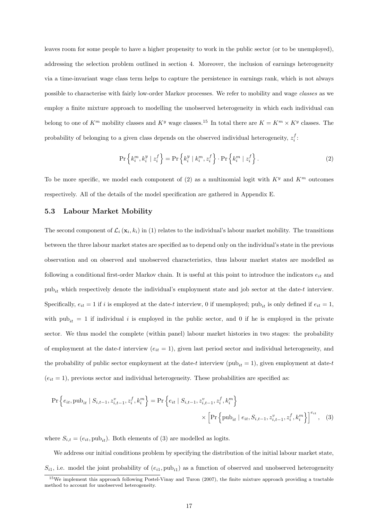leaves room for some people to have a higher propensity to work in the public sector (or to be unemployed), addressing the selection problem outlined in section 4. Moreover, the inclusion of earnings heterogeneity via a time-invariant wage class term helps to capture the persistence in earnings rank, which is not always possible to characterise with fairly low-order Markov processes. We refer to mobility and wage classes as we employ a finite mixture approach to modelling the unobserved heterogeneity in which each individual can belong to one of  $K^m$  mobility classes and  $K^y$  wage classes.<sup>15</sup> In total there are  $K = K^m \times K^y$  classes. The probability of belonging to a given class depends on the observed individual heterogeneity,  $z_i^f$ :

$$
\Pr\left\{k_i^m, k_i^y \mid z_i^f\right\} = \Pr\left\{k_i^y \mid k_i^m, z_i^f\right\} \cdot \Pr\left\{k_i^m \mid z_i^f\right\}.
$$
\n(2)

To be more specific, we model each component of (2) as a multinomial logit with  $K<sup>y</sup>$  and  $K<sup>m</sup>$  outcomes respectively. All of the details of the model specification are gathered in Appendix E.

#### 5.3 Labour Market Mobility

The second component of  $\mathcal{L}_i(\mathbf{x}_i, k_i)$  in (1) relates to the individual's labour market mobility. The transitions between the three labour market states are specified as to depend only on the individual's state in the previous observation and on observed and unobserved characteristics, thus labour market states are modelled as following a conditional first-order Markov chain. It is useful at this point to introduce the indicators  $e_{it}$  and  $\text{pub}_{it}$  which respectively denote the individual's employment state and job sector at the date-t interview. Specifically,  $e_{it} = 1$  if i is employed at the date-t interview, 0 if unemployed; pub<sub>it</sub> is only defined if  $e_{it} = 1$ , with  $\text{pub}_{it} = 1$  if individual i is employed in the public sector, and 0 if he is employed in the private sector. We thus model the complete (within panel) labour market histories in two stages: the probability of employment at the date-t interview  $(e_{it} = 1)$ , given last period sector and individual heterogeneity, and the probability of public sector employment at the date-t interview ( $\text{pub}_{it} = 1$ ), given employment at date-t  $(e_{it} = 1)$ , previous sector and individual heterogeneity. These probabilities are specified as:

$$
\Pr\left\{e_{it}, \text{pub}_{it} \mid S_{i,t-1}, z_{i,t-1}^v, z_i^f, k_i^m\right\} = \Pr\left\{e_{it} \mid S_{i,t-1}, z_{i,t-1}^v, z_i^f, k_i^m\right\} \times \left[\Pr\left\{\text{pub}_{it} \mid e_{it}, S_{i,t-1}, z_{i,t-1}^v, z_i^f, k_i^m\right\}\right]^{e_{it}}, \quad (3)
$$

where  $S_{i,t} = (e_{it}, \text{pub}_{it})$ . Both elements of (3) are modelled as logits.

We address our initial conditions problem by specifying the distribution of the initial labour market state,  $S_{i1}$ , i.e. model the joint probability of  $(e_{i1}, \text{pub}_{i1})$  as a function of observed and unobserved heterogeneity

<sup>&</sup>lt;sup>15</sup>We implement this approach following Postel-Vinay and Turon (2007), the finite mixture approach providing a tractable method to account for unobserved heterogeneity.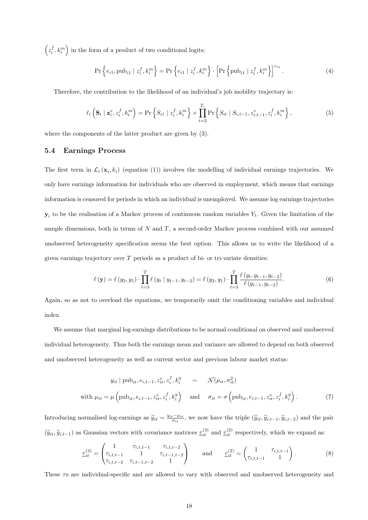$\left(z_i^f, k_i^m\right)$  in the form of a product of two conditional logits:

$$
\Pr\left\{e_{i1}, \text{pub}_{i1} \mid z_i^f, k_i^m\right\} = \Pr\left\{e_{i1} \mid z_i^f, k_i^m\right\} \cdot \left[\Pr\left\{\text{pub}_{i1} \mid z_i^f, k_i^m\right\}\right]^{e_{it}}.\tag{4}
$$

Therefore, the contribution to the likelihood of an individual's job mobility trajectory is:

$$
\ell_i\left(\mathbf{S}_i \mid \mathbf{z}_i^v, z_i^f, k_i^m\right) = \Pr\left\{S_{i1} \mid z_i^f, k_i^m\right\} \times \prod_{t=2}^{T_i} \Pr\left\{S_{it} \mid S_{i,t-1}, z_{i,t-1}^v, z_i^f, k_i^m\right\},\tag{5}
$$

where the components of the latter product are given by (3).

#### 5.4 Earnings Process

The first term in  $\mathcal{L}_i(\mathbf{x}_i, k_i)$  (equation (1)) involves the modelling of individual earnings trajectories. We only have earnings information for individuals who are observed in employment, which means that earnings information is censored for periods in which an individual is unemployed. We assume log earnings trajectories  $y_i$  to be the realisation of a Markov process of continuous random variables  $Y_t$ . Given the limitation of the sample dimensions, both in terms of  $N$  and  $T$ , a second-order Markov process combined with our assumed unobserved heterogeneity specification seems the best option. This allows us to write the likelihood of a given earnings trajectory over  $T$  periods as a product of bi- or tri-variate densities:

$$
\ell(\mathbf{y}) = \ell(y_2, y_1) \cdot \prod_{t=3}^{T} \ell(y_t | y_{t-1}, y_{t-2}) = \ell(y_2, y_1) \cdot \prod_{t=3}^{T} \frac{\ell(y_t, y_{t-1}, y_{t-2})}{\ell(y_{t-1}, y_{t-2})}.
$$
(6)

Again, so as not to overload the equations, we temporarily omit the conditioning variables and individual index.

We assume that marginal log-earnings distributions to be normal conditional on observed and unobserved individual heterogeneity. Thus both the earnings mean and variance are allowed to depend on both observed and unobserved heterogeneity as well as current sector and previous labour market status:

$$
y_{it} | \text{pub}_{it}, e_{i,t-1}, z_{it}^v, z_i^f, k_i^y \sim \mathcal{N}(\mu_{it}, \sigma_{it}^2)
$$
  
with  $\mu_{it} = \mu \left( \text{pub}_{it}, e_{i,t-1}, z_{it}^v, z_i^f, k_i^y \right)$  and  $\sigma_{it} = \sigma \left( \text{pub}_{it}, e_{i,t-1}, z_{it}^v, z_i^f, k_i^y \right)$ . (7)

Introducing normalised log-earnings as  $\tilde{y}_{it} = \frac{y_{it} - \mu_{it}}{\sigma_{it}}$ , we now have the triple  $(\tilde{y}_{it}, \tilde{y}_{i,t-1}, \tilde{y}_{i,t-2})$  and the pair  $(\widetilde{y}_{it}, \widetilde{y}_{i,t-1})$  as Gaussian vectors with covariance matrices  $\mathcal{I}_{it}^{(3)}$  and  $\mathcal{I}_{it}^{(2)}$  respectively, which we expand as:

$$
\underline{\tau}_{it}^{(3)} = \begin{pmatrix} 1 & \tau_{i,t,t-1} & \tau_{i,t,t-2} \\ \tau_{i,t,t-1} & 1 & \tau_{i,t-1,t-2} \\ \tau_{i,t,t-2} & \tau_{i,t-1,t-2} & 1 \end{pmatrix} \quad \text{and} \quad \underline{\tau}_{it}^{(2)} = \begin{pmatrix} 1 & \tau_{i,t,t-1} \\ \tau_{i,t,t-1} & 1 \end{pmatrix}.
$$
 (8)

These  $\tau s$  are individual-specific and are allowed to vary with observed and unobserved heterogeneity and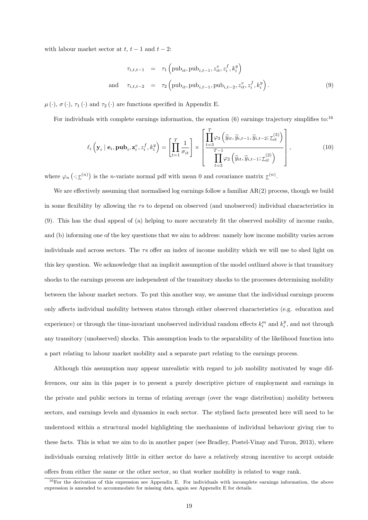with labour market sector at  $t, t - 1$  and  $t - 2$ :

$$
\tau_{i,t,t-1} = \tau_1 \left( \text{pub}_{it}, \text{pub}_{i,t-1}, z_{it}^v, z_i^f, k_i^y \right)
$$
  
and 
$$
\tau_{i,t,t-2} = \tau_2 \left( \text{pub}_{it}, \text{pub}_{i,t-1}, \text{pub}_{i,t-2}, z_{it}^v, z_i^f, k_i^y \right).
$$
 (9)

 $\mu(\cdot), \sigma(\cdot), \tau_1(\cdot)$  and  $\tau_2(\cdot)$  are functions specified in Appendix E.

For individuals with complete earnings information, the equation  $(6)$  earnings trajectory simplifies to:<sup>16</sup>

$$
\ell_i\left(\mathbf{y}_i \mid \mathbf{e}_i, \mathbf{pub}_i, \mathbf{z}_i^v, z_i^f, k_i^y\right) = \left[\prod_{t=1}^T \frac{1}{\sigma_{it}}\right] \times \left[\frac{\prod_{t=3}^T \varphi_3\left(\widetilde{y}_{it}, \widetilde{y}_{i,t-1}, \widetilde{y}_{i,t-2}; \underline{\tau}_{it}^{(3)}\right)}{\prod_{t=3}^T \varphi_2\left(\widetilde{y}_{it}, \widetilde{y}_{i,t-1}; \underline{\tau}_{it}^{(2)}\right)}\right],\tag{10}
$$

where  $\varphi_n(\cdot; \underline{\tau}^{(n)})$  is the *n*-variate normal pdf with mean 0 and covariance matrix  $\underline{\tau}^{(n)}$ .

We are effectively assuming that normalised log earnings follow a familiar  $AR(2)$  process, though we build in some flexibility by allowing the  $\tau s$  to depend on observed (and unobserved) individual characteristics in (9). This has the dual appeal of (a) helping to more accurately fit the observed mobility of income ranks, and (b) informing one of the key questions that we aim to address: namely how income mobility varies across individuals and across sectors. The  $\tau s$  offer an index of income mobility which we will use to shed light on this key question. We acknowledge that an implicit assumption of the model outlined above is that transitory shocks to the earnings process are independent of the transitory shocks to the processes determining mobility between the labour market sectors. To put this another way, we assume that the individual earnings process only affects individual mobility between states through either observed characteristics (e.g. education and experience) or through the time-invariant unobserved individual random effects  $k_i^m$  and  $k_i^y$ , and not through any transitory (unobserved) shocks. This assumption leads to the separability of the likelihood function into a part relating to labour market mobility and a separate part relating to the earnings process.

Although this assumption may appear unrealistic with regard to job mobility motivated by wage differences, our aim in this paper is to present a purely descriptive picture of employment and earnings in the private and public sectors in terms of relating average (over the wage distribution) mobility between sectors, and earnings levels and dynamics in each sector. The stylised facts presented here will need to be understood within a structural model highlighting the mechanisms of individual behaviour giving rise to these facts. This is what we aim to do in another paper (see Bradley, Postel-Vinay and Turon, 2013), where individuals earning relatively little in either sector do have a relatively strong incentive to accept outside offers from either the same or the other sector, so that worker mobility is related to wage rank.

 $16$ For the derivation of this expression see Appendix E. For individuals with incomplete earnings information, the above expression is amended to accommodate for missing data, again see Appendix E for details.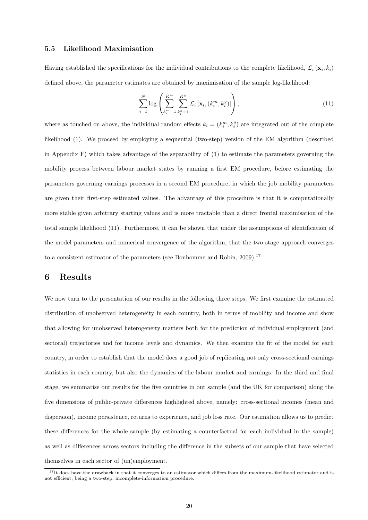#### 5.5 Likelihood Maximisation

Having established the specifications for the individual contributions to the complete likelihood,  $\mathcal{L}_i(\mathbf{x}_i, k_i)$ defined above, the parameter estimates are obtained by maximisation of the sample log-likelihood:

$$
\sum_{i=1}^{N} \log \left( \sum_{k_i^m=1}^{K^m} \sum_{k_i^y=1}^{K^y} \mathcal{L}_i \left[ \mathbf{x}_i, (k_i^m, k_i^y) \right] \right), \tag{11}
$$

where as touched on above, the individual random effects  $k_i = (k_i^m, k_i^y)$  are integrated out of the complete likelihood (1). We proceed by employing a sequential (two-step) version of the EM algorithm (described in Appendix  $F$ ) which takes advantage of the separability of  $(1)$  to estimate the parameters governing the mobility process between labour market states by running a first EM procedure, before estimating the parameters governing earnings processes in a second EM procedure, in which the job mobility parameters are given their first-step estimated values. The advantage of this procedure is that it is computationally more stable given arbitrary starting values and is more tractable than a direct frontal maximisation of the total sample likelihood (11). Furthermore, it can be shown that under the assumptions of identification of the model parameters and numerical convergence of the algorithm, that the two stage approach converges to a consistent estimator of the parameters (see Bonhomme and Robin,  $2009$ ).<sup>17</sup>

### 6 Results

We now turn to the presentation of our results in the following three steps. We first examine the estimated distribution of unobserved heterogeneity in each country, both in terms of mobility and income and show that allowing for unobserved heterogeneity matters both for the prediction of individual employment (and sectoral) trajectories and for income levels and dynamics. We then examine the fit of the model for each country, in order to establish that the model does a good job of replicating not only cross-sectional earnings statistics in each country, but also the dynamics of the labour market and earnings. In the third and final stage, we summarise our results for the five countries in our sample (and the UK for comparison) along the five dimensions of public-private differences highlighted above, namely: cross-sectional incomes (mean and dispersion), income persistence, returns to experience, and job loss rate. Our estimation allows us to predict these differences for the whole sample (by estimating a counterfactual for each individual in the sample) as well as differences across sectors including the difference in the subsets of our sample that have selected themselves in each sector of (un)employment.

 $17$ It does have the drawback in that it converges to an estimator which differs from the maximum-likelihood estimator and is not efficient, being a two-step, incomplete-information procedure.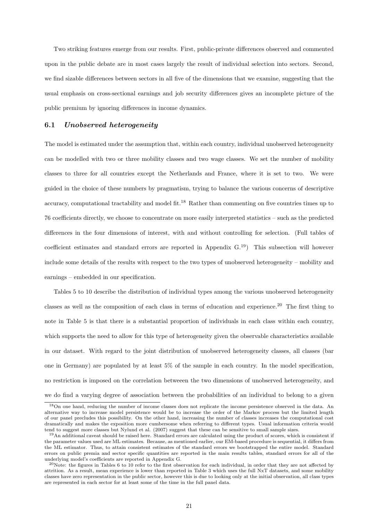Two striking features emerge from our results. First, public-private differences observed and commented upon in the public debate are in most cases largely the result of individual selection into sectors. Second, we find sizable differences between sectors in all five of the dimensions that we examine, suggesting that the usual emphasis on cross-sectional earnings and job security differences gives an incomplete picture of the public premium by ignoring differences in income dynamics.

#### 6.1 Unobserved heterogeneity

The model is estimated under the assumption that, within each country, individual unobserved heterogeneity can be modelled with two or three mobility classes and two wage classes. We set the number of mobility classes to three for all countries except the Netherlands and France, where it is set to two. We were guided in the choice of these numbers by pragmatism, trying to balance the various concerns of descriptive accuracy, computational tractability and model fit.<sup>18</sup> Rather than commenting on five countries times up to 76 coefficients directly, we choose to concentrate on more easily interpreted statistics – such as the predicted differences in the four dimensions of interest, with and without controlling for selection. (Full tables of coefficient estimates and standard errors are reported in Appendix  $G<sup>19</sup>$ . This subsection will however include some details of the results with respect to the two types of unobserved heterogeneity – mobility and earnings – embedded in our specification.

Tables 5 to 10 describe the distribution of individual types among the various unobserved heterogeneity classes as well as the composition of each class in terms of education and experience.<sup>20</sup> The first thing to note in Table 5 is that there is a substantial proportion of individuals in each class within each country, which supports the need to allow for this type of heterogeneity given the observable characteristics available in our dataset. With regard to the joint distribution of unobserved heterogeneity classes, all classes (bar one in Germany) are populated by at least 5% of the sample in each country. In the model specification, no restriction is imposed on the correlation betweeen the two dimensions of unobserved heterogeneity, and we do find a varying degree of association between the probabilities of an individual to belong to a given

<sup>&</sup>lt;sup>18</sup>On one hand, reducing the number of income classes does not replicate the income persistence observed in the data. An alternative way to increase model persistence would be to increase the order of the Markov process but the limited length of our panel precludes this possibility. On the other hand, increasing the number of classes increases the computational cost dramatically and makes the exposition more cumbersome when referring to different types. Usual information criteria would tend to suggest more classes but Nylund et al. (2007) suggest that these can be sensitive to small sample sizes.

<sup>&</sup>lt;sup>19</sup>An additional caveat should be raised here. Standard errors are calculated using the product of scores, which is consistent if the parameter values used are ML estimates. Because, as mentioned earlier, our EM-based procedure is sequential, it differs from the ML estimator. Thus, to attain consistent estimates of the standard errors we bootstrapped the entire model. Standard errors on public premia and sector specific quantities are reported in the main results tables, standard errors for all of the underlying model's coefficients are reported in Appendix G.

 $^{20}$ Note: the figures in Tables 6 to 10 refer to the first observation for each individual, in order that they are not affected by attrition. As a result, mean experience is lower than reported in Table 3 which uses the full NxT datasets, and some mobility classes have zero representation in the public sector, however this is due to looking only at the initial observation, all class types are represented in each sector for at least some of the time in the full panel data.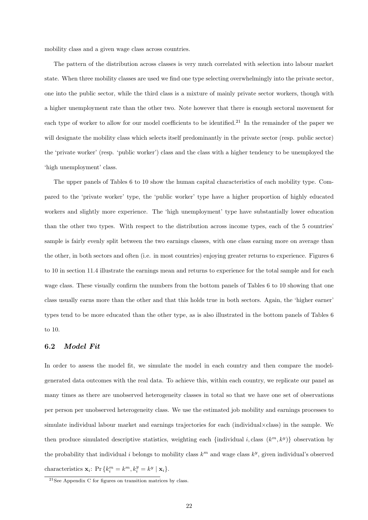mobility class and a given wage class across countries.

The pattern of the distribution across classes is very much correlated with selection into labour market state. When three mobility classes are used we find one type selecting overwhelmingly into the private sector, one into the public sector, while the third class is a mixture of mainly private sector workers, though with a higher unemployment rate than the other two. Note however that there is enough sectoral movement for each type of worker to allow for our model coefficients to be identified.<sup>21</sup> In the remainder of the paper we will designate the mobility class which selects itself predominantly in the private sector (resp. public sector) the 'private worker' (resp. 'public worker') class and the class with a higher tendency to be unemployed the 'high unemployment' class.

The upper panels of Tables 6 to 10 show the human capital characteristics of each mobility type. Compared to the 'private worker' type, the 'public worker' type have a higher proportion of highly educated workers and slightly more experience. The 'high unemployment' type have substantially lower education than the other two types. With respect to the distribution across income types, each of the 5 countries' sample is fairly evenly split between the two earnings classes, with one class earning more on average than the other, in both sectors and often (i.e. in most countries) enjoying greater returns to experience. Figures 6 to 10 in section 11.4 illustrate the earnings mean and returns to experience for the total sample and for each wage class. These visually confirm the numbers from the bottom panels of Tables 6 to 10 showing that one class usually earns more than the other and that this holds true in both sectors. Again, the 'higher earner' types tend to be more educated than the other type, as is also illustrated in the bottom panels of Tables 6 to 10.

#### 6.2 Model Fit

In order to assess the model fit, we simulate the model in each country and then compare the modelgenerated data outcomes with the real data. To achieve this, within each country, we replicate our panel as many times as there are unobserved heterogeneity classes in total so that we have one set of observations per person per unobserved heterogeneity class. We use the estimated job mobility and earnings processes to simulate individual labour market and earnings trajectories for each (individual×class) in the sample. We then produce simulated descriptive statistics, weighting each {individual *i*, class  $(k<sup>m</sup>, k<sup>y</sup>)$ } observation by the probability that individual i belongs to mobility class  $k^m$  and wage class  $k^y$ , given individual's observed characteristics  $\mathbf{x}_i$ : Pr { $k_i^m = k^m, k_i^y = k^y | \mathbf{x}_i$  }.

<sup>21</sup>See Appendix C for figures on transition matrices by class.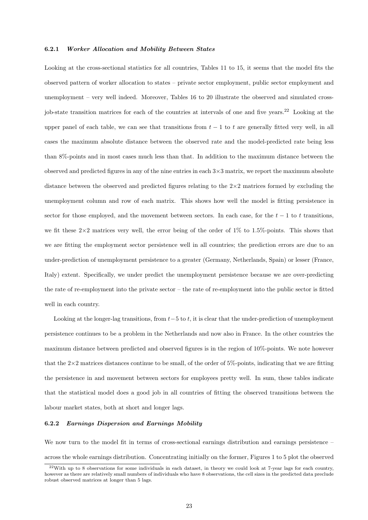#### 6.2.1 Worker Allocation and Mobility Between States

Looking at the cross-sectional statistics for all countries, Tables 11 to 15, it seems that the model fits the observed pattern of worker allocation to states – private sector employment, public sector employment and unemployment – very well indeed. Moreover, Tables 16 to 20 illustrate the observed and simulated crossjob-state transition matrices for each of the countries at intervals of one and five years.<sup>22</sup> Looking at the upper panel of each table, we can see that transitions from  $t - 1$  to t are generally fitted very well, in all cases the maximum absolute distance between the observed rate and the model-predicted rate being less than 8%-points and in most cases much less than that. In addition to the maximum distance between the observed and predicted figures in any of the nine entries in each  $3\times3$  matrix, we report the maximum absolute distance between the observed and predicted figures relating to the  $2\times 2$  matrices formed by excluding the unemployment column and row of each matrix. This shows how well the model is fitting persistence in sector for those employed, and the movement between sectors. In each case, for the  $t - 1$  to t transitions, we fit these  $2\times2$  matrices very well, the error being of the order of 1% to 1.5%-points. This shows that we are fitting the employment sector persistence well in all countries; the prediction errors are due to an under-prediction of unemployment persistence to a greater (Germany, Netherlands, Spain) or lesser (France, Italy) extent. Specifically, we under predict the unemployment persistence because we are over-predicting the rate of re-employment into the private sector – the rate of re-employment into the public sector is fitted well in each country.

Looking at the longer-lag transitions, from  $t-5$  to t, it is clear that the under-prediction of unemployment persistence continues to be a problem in the Netherlands and now also in France. In the other countries the maximum distance between predicted and observed figures is in the region of 10%-points. We note however that the  $2\times 2$  matrices distances continue to be small, of the order of 5%-points, indicating that we are fitting the persistence in and movement between sectors for employees pretty well. In sum, these tables indicate that the statistical model does a good job in all countries of fitting the observed transitions between the labour market states, both at short and longer lags.

#### 6.2.2 Earnings Dispersion and Earnings Mobility

We now turn to the model fit in terms of cross-sectional earnings distribution and earnings persistence – across the whole earnings distribution. Concentrating initially on the former, Figures 1 to 5 plot the observed

 $22$ With up to 8 observations for some individuals in each dataset, in theory we could look at 7-year lags for each country, however as there are relatively small numbers of individuals who have 8 observations, the cell sizes in the predicted data preclude robust observed matrices at longer than 5 lags.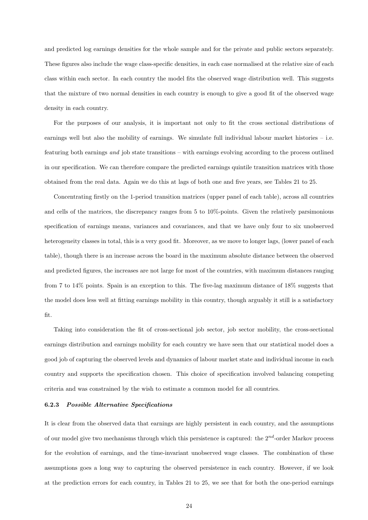and predicted log earnings densities for the whole sample and for the private and public sectors separately. These figures also include the wage class-specific densities, in each case normalised at the relative size of each class within each sector. In each country the model fits the observed wage distribution well. This suggests that the mixture of two normal densities in each country is enough to give a good fit of the observed wage density in each country.

For the purposes of our analysis, it is important not only to fit the cross sectional distributions of earnings well but also the mobility of earnings. We simulate full individual labour market histories – i.e. featuring both earnings and job state transitions – with earnings evolving according to the process outlined in our specification. We can therefore compare the predicted earnings quintile transition matrices with those obtained from the real data. Again we do this at lags of both one and five years, see Tables 21 to 25.

Concentrating firstly on the 1-period transition matrices (upper panel of each table), across all countries and cells of the matrices, the discrepancy ranges from 5 to 10%-points. Given the relatively parsimonious specification of earnings means, variances and covariances, and that we have only four to six unobserved heterogeneity classes in total, this is a very good fit. Moreover, as we move to longer lags, (lower panel of each table), though there is an increase across the board in the maximum absolute distance between the observed and predicted figures, the increases are not large for most of the countries, with maximum distances ranging from 7 to 14% points. Spain is an exception to this. The five-lag maximum distance of 18% suggests that the model does less well at fitting earnings mobility in this country, though arguably it still is a satisfactory fit.

Taking into consideration the fit of cross-sectional job sector, job sector mobility, the cross-sectional earnings distribution and earnings mobility for each country we have seen that our statistical model does a good job of capturing the observed levels and dynamics of labour market state and individual income in each country and supports the specification chosen. This choice of specification involved balancing competing criteria and was constrained by the wish to estimate a common model for all countries.

#### 6.2.3 Possible Alternative Specifications

It is clear from the observed data that earnings are highly persistent in each country, and the assumptions of our model give two mechanisms through which this persistence is captured: the  $2^{nd}$ -order Markov process for the evolution of earnings, and the time-invariant unobserved wage classes. The combination of these assumptions goes a long way to capturing the observed persistence in each country. However, if we look at the prediction errors for each country, in Tables 21 to 25, we see that for both the one-period earnings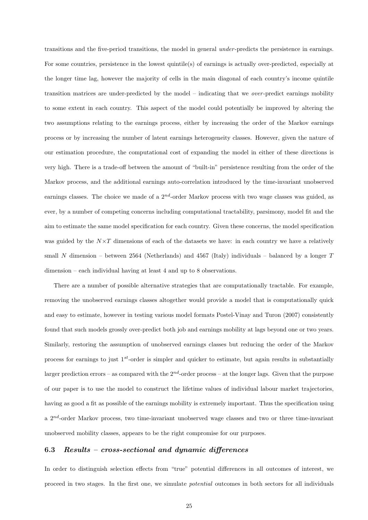transitions and the five-period transitions, the model in general under -predicts the persistence in earnings. For some countries, persistence in the lowest quintile(s) of earnings is actually over-predicted, especially at the longer time lag, however the majority of cells in the main diagonal of each country's income quintile transition matrices are under-predicted by the model – indicating that we over -predict earnings mobility to some extent in each country. This aspect of the model could potentially be improved by altering the two assumptions relating to the earnings process, either by increasing the order of the Markov earnings process or by increasing the number of latent earnings heterogeneity classes. However, given the nature of our estimation procedure, the computational cost of expanding the model in either of these directions is very high. There is a trade-off between the amount of "built-in" persistence resulting from the order of the Markov process, and the additional earnings auto-correlation introduced by the time-invariant unobserved earnings classes. The choice we made of a  $2^{nd}$ -order Markov process with two wage classes was guided, as ever, by a number of competing concerns including computational tractability, parsimony, model fit and the aim to estimate the same model specification for each country. Given these concerns, the model specification was guided by the  $N \times T$  dimensions of each of the datasets we have: in each country we have a relatively small N dimension – between 2564 (Netherlands) and 4567 (Italy) individuals – balanced by a longer  $T$ dimension – each individual having at least 4 and up to 8 observations.

There are a number of possible alternative strategies that are computationally tractable. For example, removing the unobserved earnings classes altogether would provide a model that is computationally quick and easy to estimate, however in testing various model formats Postel-Vinay and Turon (2007) consistently found that such models grossly over-predict both job and earnings mobility at lags beyond one or two years. Similarly, restoring the assumption of unobserved earnings classes but reducing the order of the Markov process for earnings to just  $1^{st}$ -order is simpler and quicker to estimate, but again results in substantially larger prediction errors – as compared with the  $2^{nd}$ -order process – at the longer lags. Given that the purpose of our paper is to use the model to construct the lifetime values of individual labour market trajectories, having as good a fit as possible of the earnings mobility is extremely important. Thus the specification using a  $2^{nd}$ -order Markov process, two time-invariant unobserved wage classes and two or three time-invariant unobserved mobility classes, appears to be the right compromise for our purposes.

#### 6.3 Results – cross-sectional and dynamic differences

In order to distinguish selection effects from "true" potential differences in all outcomes of interest, we proceed in two stages. In the first one, we simulate potential outcomes in both sectors for all individuals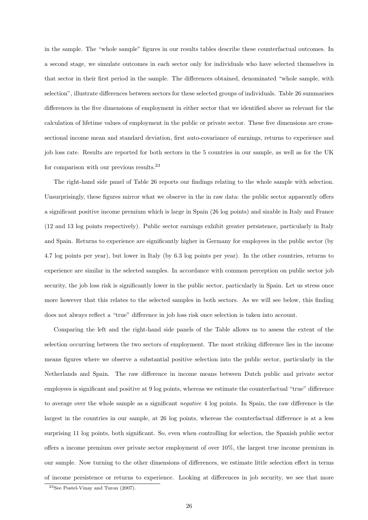in the sample. The "whole sample" figures in our results tables describe these counterfactual outcomes. In a second stage, we simulate outcomes in each sector only for individuals who have selected themselves in that sector in their first period in the sample. The differences obtained, denominated "whole sample, with selection", illustrate differences between sectors for these selected groups of individuals. Table 26 summarises differences in the five dimensions of employment in either sector that we identified above as relevant for the calculation of lifetime values of employment in the public or private sector. These five dimensions are crosssectional income mean and standard deviation, first auto-covariance of earnings, returns to experience and job loss rate. Results are reported for both sectors in the 5 countries in our sample, as well as for the UK for comparison with our previous results.  $\!{}^{23}$ 

The right-hand side panel of Table 26 reports our findings relating to the whole sample with selection. Unsurprisingly, these figures mirror what we observe in the in raw data: the public sector apparently offers a significant positive income premium which is large in Spain (26 log points) and sizable in Italy and France (12 and 13 log points respectively). Public sector earnings exhibit greater persistence, particularly in Italy and Spain. Returns to experience are significantly higher in Germany for employees in the public sector (by 4.7 log points per year), but lower in Italy (by 6.3 log points per year). In the other countries, returns to experience are similar in the selected samples. In accordance with common perception on public sector job security, the job loss risk is significantly lower in the public sector, particularly in Spain. Let us stress once more however that this relates to the selected samples in both sectors. As we will see below, this finding does not always reflect a "true" difference in job loss risk once selection is taken into account.

Comparing the left and the right-hand side panels of the Table allows us to assess the extent of the selection occurring between the two sectors of employment. The most striking difference lies in the income means figures where we observe a substantial positive selection into the public sector, particularly in the Netherlands and Spain. The raw difference in income means between Dutch public and private sector employees is significant and positive at 9 log points, whereas we estimate the counterfactual "true" difference to average over the whole sample as a significant negative 4 log points. In Spain, the raw difference is the largest in the countries in our sample, at 26 log points, whereas the counterfactual difference is at a less surprising 11 log points, both significant. So, even when controlling for selection, the Spanish public sector offers a income premium over private sector employment of over 10%, the largest true income premium in our sample. Now turning to the other dimensions of differences, we estimate little selection effect in terms of income persistence or returns to experience. Looking at differences in job security, we see that more

<sup>23</sup>See Postel-Vinay and Turon (2007).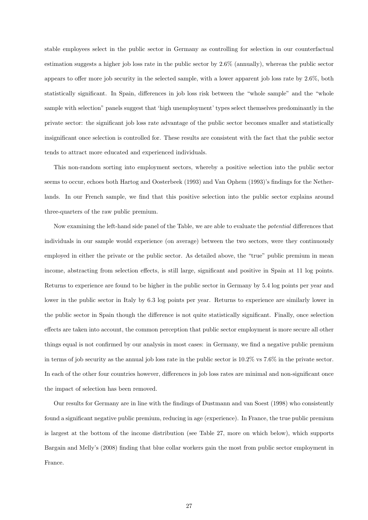stable employees select in the public sector in Germany as controlling for selection in our counterfactual estimation suggests a higher job loss rate in the public sector by 2.6% (annually), whereas the public sector appears to offer more job security in the selected sample, with a lower apparent job loss rate by 2.6%, both statistically significant. In Spain, differences in job loss risk between the "whole sample" and the "whole sample with selection" panels suggest that 'high unemployment' types select themselves predominantly in the private sector: the significant job loss rate advantage of the public sector becomes smaller and statistically insignificant once selection is controlled for. These results are consistent with the fact that the public sector tends to attract more educated and experienced individuals.

This non-random sorting into employment sectors, whereby a positive selection into the public sector seems to occur, echoes both Hartog and Oosterbeek (1993) and Van Ophem (1993)'s findings for the Netherlands. In our French sample, we find that this positive selection into the public sector explains around three-quarters of the raw public premium.

Now examining the left-hand side panel of the Table, we are able to evaluate the potential differences that individuals in our sample would experience (on average) between the two sectors, were they continuously employed in either the private or the public sector. As detailed above, the "true" public premium in mean income, abstracting from selection effects, is still large, significant and positive in Spain at 11 log points. Returns to experience are found to be higher in the public sector in Germany by 5.4 log points per year and lower in the public sector in Italy by 6.3 log points per year. Returns to experience are similarly lower in the public sector in Spain though the difference is not quite statistically significant. Finally, once selection effects are taken into account, the common perception that public sector employment is more secure all other things equal is not confirmed by our analysis in most cases: in Germany, we find a negative public premium in terms of job security as the annual job loss rate in the public sector is 10.2% vs 7.6% in the private sector. In each of the other four countries however, differences in job loss rates are minimal and non-significant once the impact of selection has been removed.

Our results for Germany are in line with the findings of Dustmann and van Soest (1998) who consistently found a significant negative public premium, reducing in age (experience). In France, the true public premium is largest at the bottom of the income distribution (see Table 27, more on which below), which supports Bargain and Melly's (2008) finding that blue collar workers gain the most from public sector employment in France.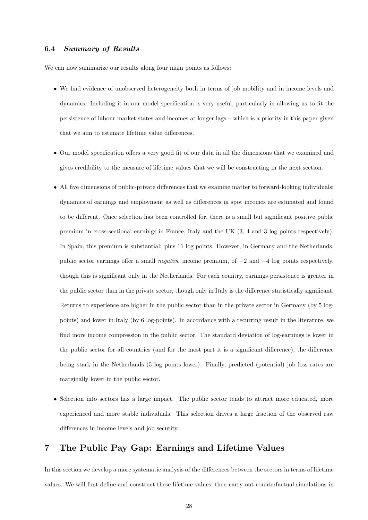#### 6.4 Summary of Results

We can now summarize our results along four main points as follows:

- We find evidence of unobserved heterogeneity both in terms of job mobility and in income levels and dynamics. Including it in our model specification is very useful, particularly in allowing us to fit the persistence of labour market states and incomes at longer lags – which is a priority in this paper given that we aim to estimate lifetime value differences.
- Our model specification offers a very good fit of our data in all the dimensions that we examined and gives credibility to the measure of lifetime values that we will be constructing in the next section.
- All five dimensions of public-private differences that we examine matter to forward-looking individuals: dynamics of earnings and employment as well as differences in spot incomes are estimated and found to be different. Once selection has been controlled for, there is a small but significant positive public premium in cross-sectional earnings in France, Italy and the UK (3, 4 and 3 log points respectively). In Spain, this premium is substantial: plus 11 log points. However, in Germany and the Netherlands, public sector earnings offer a small *negative* income premium, of  $-2$  and  $-4$  log points respectively, though this is significant only in the Netherlands. For each country, earnings persistence is greater in the public sector than in the private sector, though only in Italy is the difference statistically significant. Returns to experience are higher in the public sector than in the private sector in Germany (by 5 logpoints) and lower in Italy (by 6 log-points). In accordance with a recurring result in the literature, we find more income compression in the public sector. The standard deviation of log-earnings is lower in the public sector for all countries (and for the most part it is a significant difference), the difference being stark in the Netherlands (5 log points lower). Finally, predicted (potential) job loss rates are marginally lower in the public sector.
- Selection into sectors has a large impact. The public sector tends to attract more educated, more experienced and more stable individuals. This selection drives a large fraction of the observed raw differences in income levels and job security.

### 7 The Public Pay Gap: Earnings and Lifetime Values

In this section we develop a more systematic analysis of the differences between the sectors in terms of lifetime values. We will first define and construct these lifetime values, then carry out counterfactual simulations in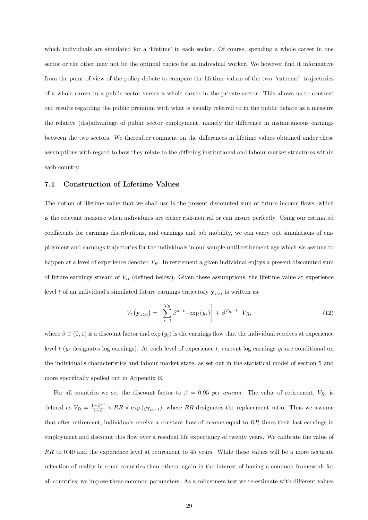which individuals are simulated for a 'lifetime' in each sector. Of course, spending a whole career in one sector or the other may not be the optimal choice for an individual worker. We however find it informative from the point of view of the policy debate to compare the lifetime values of the two "extreme" trajectories of a whole career in a public sector versus a whole career in the private sector. This allows us to contrast our results regarding the public premium with what is usually referred to in the public debate as a measure the relative (dis)advantage of public sector employment, namely the difference in instantaneous earnings between the two sectors. We thereafter comment on the differences in lifetime values obtained under these assumptions with regard to how they relate to the differing institutional and labour market structures within each country.

#### 7.1 Construction of Lifetime Values

The notion of lifetime value that we shall use is the present discounted sum of future income flows, which is the relevant measure when individuals are either risk-neutral or can insure perfectly. Using our estimated coefficients for earnings distributions, and earnings and job mobility, we can carry out simulations of employment and earnings trajectories for the individuals in our sample until retirement age which we assume to happen at a level of experience denoted  $T_R$ . In retirement a given individual enjoys a present discounted sum of future earnings stream of  $V_R$  (defined below). Given these assumptions, the lifetime value at experience level t of an individual's simulated future earnings trajectory  $y_{s\geq t}$  is written as:

$$
V_t(\mathbf{y}_{s\geq t}) = \left[\sum_{s=t}^{T_R} \beta^{s-t} \cdot \exp\left(y_s\right)\right] + \beta^{T_R - t} \cdot V_R,\tag{12}
$$

where  $\beta \in (0,1)$  is a discount factor and  $\exp(y_t)$  is the earnings flow that the individual receives at experience level t ( $y_t$  designates log earnings). At each level of experience t, current log earnings  $y_t$  are conditional on the individual's characteristics and labour market state, as set out in the statistical model of section 5 and more specifically spelled out in Appendix E.

For all countries we set the discount factor to  $\beta = 0.95$  per annum. The value of retirement,  $V_R$ , is defined as  $V_R = \frac{1-\beta^{20}}{1-\beta} \times RR \times \exp(y_{T_R-1})$ , where RR designates the replacement ratio. Thus we assume that after retirement, individuals receive a constant flow of income equal to RR times their last earnings in employment and discount this flow over a residual life expectancy of twenty years. We calibrate the value of RR to 0.40 and the experience level at retirement to 45 years. While these values will be a more accurate reflection of reality in some countries than others, again in the interest of having a common framework for all countries, we impose these common parameters. As a robustness test we re-estimate with different values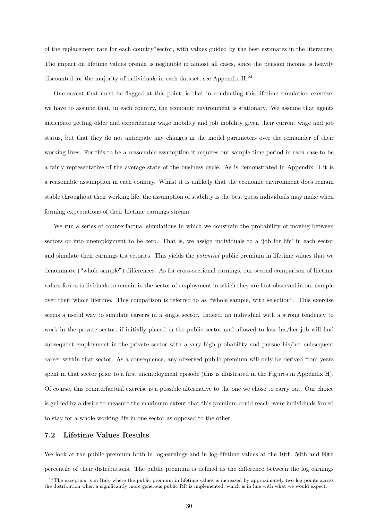of the replacement rate for each country\*sector, with values guided by the best estimates in the literature. The impact on lifetime values premia is negligible in almost all cases, since the pension income is heavily discounted for the majority of individuals in each dataset, see Appendix  $H^{24}$ .

One caveat that must be flagged at this point, is that in conducting this lifetime simulation exercise, we have to assume that, in each country, the economic environment is stationary. We assume that agents anticipate getting older and experiencing wage mobility and job mobility given their current wage and job status, but that they do not anticipate any changes in the model parameters over the remainder of their working lives. For this to be a reasonable assumption it requires our sample time period in each case to be a fairly representative of the average state of the business cycle. As is demonstrated in Appendix D it is a reasonable assumption in each country. Whilst it is unlikely that the economic environment does remain stable throughout their working life, the assumption of stability is the best guess individuals may make when forming expectations of their lifetime earnings stream.

We run a series of counterfactual simulations in which we constrain the probability of moving between sectors or into unemployment to be zero. That is, we assign individuals to a 'job for life' in each sector and simulate their earnings trajectories. This yields the potential public premium in lifetime values that we denominate ("whole sample") differences. As for cross-sectional earnings, our second comparison of lifetime values forces individuals to remain in the sector of employment in which they are first observed in our sample over their whole lifetime. This comparison is referred to as "whole sample, with selection". This exercise seems a useful way to simulate careers in a single sector. Indeed, an individual with a strong tendency to work in the private sector, if initially placed in the public sector and allowed to lose his/her job will find subsequent employment in the private sector with a very high probability and pursue his/her subsequent career within that sector. As a consequence, any observed public premium will only be derived from years spent in that sector prior to a first unemployment episode (this is illustrated in the Figures in Appendix H). Of course, this counterfactual exercise is a possible alternative to the one we chose to carry out. Our choice is guided by a desire to measure the maximum extent that this premium could reach, were individuals forced to stay for a whole working life in one sector as opposed to the other.

#### 7.2 Lifetime Values Results

We look at the public premium both in log-earnings and in log-lifetime values at the 10th, 50th and 90th percentile of their distributions. The public premium is defined as the difference between the log earnings

 $24$ The exception is in Italy where the public premium in lifetime values is increased by approximately two log points across the distribution when a significantly more generous public RR is implemented, which is in line with what we would expect.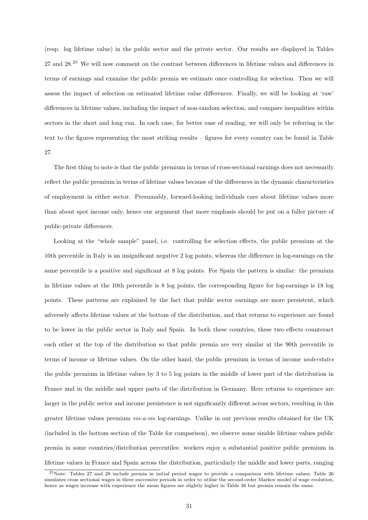(resp. log lifetime value) in the public sector and the private sector. Our results are displayed in Tables 27 and 28.<sup>25</sup> We will now comment on the contrast between differences in lifetime values and differences in terms of earnings and examine the public premia we estimate once controlling for selection. Then we will assess the impact of selection on estimated lifetime value differences. Finally, we will be looking at 'raw' differences in lifetime values, including the impact of non-random selection, and compare inequalities within sectors in the short and long run. In each case, for better ease of reading, we will only be referring in the text to the figures representing the most striking results – figures for every country can be found in Table 27.

The first thing to note is that the public premium in terms of cross-sectional earnings does not necessarily reflect the public premium in terms of lifetime values because of the differences in the dynamic characteristics of employment in either sector. Presumably, forward-looking individuals care about lifetime values more than about spot income only, hence our argument that more emphasis should be put on a fuller picture of public-private differences.

Looking at the "whole sample" panel, i.e. controlling for selection effects, the public premium at the 10th percentile in Italy is an insignificant negative 2 log points, whereas the difference in log-earnings on the same percentile is a positive and significant at 8 log points. For Spain the pattern is similar: the premium in lifetime values at the 10th percentile is 8 log points, the corresponding figure for log-earnings is 18 log points. These patterns are explained by the fact that public sector earnings are more persistent, which adversely affects lifetime values at the bottom of the distribution, and that returns to experience are found to be lower in the public sector in Italy and Spain. In both these countries, these two effects counteract each other at the top of the distribution so that public premia are very similar at the 90th percentile in terms of income or lifetime values. On the other hand, the public premium in terms of income understates the public premium in lifetime values by 3 to 5 log points in the middle of lower part of the distribution in France and in the middle and upper parts of the distribution in Germany. Here returns to experience are larger in the public sector and income persistence is not significantly different across sectors, resulting in this greater lifetime values premium  $vis-a-vis$  log-earnings. Unlike in our previous results obtained for the UK (included in the bottom section of the Table for comparison), we observe some sizable lifetime values public premia in some countries/distribution percentiles: workers enjoy a substantial positive public premium in lifetime values in France and Spain across the distribution, particularly the middle and lower parts, ranging

<sup>25</sup>Note: Tables 27 and 28 include premia in initial period wages to provide a comparison with lifetime values; Table 26 simulates cross sectional wages in three successive periods in order to utilise the second-order Markov model of wage evolution, hence as wages increase with experience the mean figures are slightly higher in Table 26 but premia remain the same.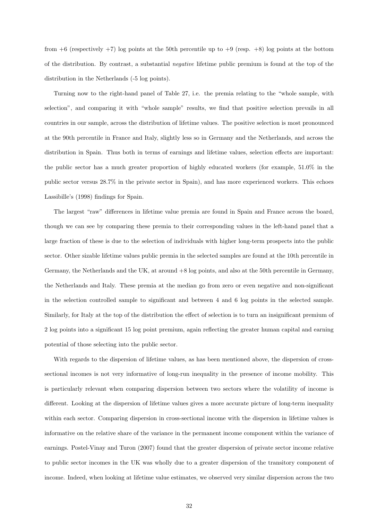from  $+6$  (respectively  $+7$ ) log points at the 50th percentile up to  $+9$  (resp.  $+8$ ) log points at the bottom of the distribution. By contrast, a substantial negative lifetime public premium is found at the top of the distribution in the Netherlands (-5 log points).

Turning now to the right-hand panel of Table 27, i.e. the premia relating to the "whole sample, with selection", and comparing it with "whole sample" results, we find that positive selection prevails in all countries in our sample, across the distribution of lifetime values. The positive selection is most pronounced at the 90th percentile in France and Italy, slightly less so in Germany and the Netherlands, and across the distribution in Spain. Thus both in terms of earnings and lifetime values, selection effects are important: the public sector has a much greater proportion of highly educated workers (for example, 51.0% in the public sector versus 28.7% in the private sector in Spain), and has more experienced workers. This echoes Lassibille's (1998) findings for Spain.

The largest "raw" differences in lifetime value premia are found in Spain and France across the board, though we can see by comparing these premia to their corresponding values in the left-hand panel that a large fraction of these is due to the selection of individuals with higher long-term prospects into the public sector. Other sizable lifetime values public premia in the selected samples are found at the 10th percentile in Germany, the Netherlands and the UK, at around  $+8$  log points, and also at the 50th percentile in Germany, the Netherlands and Italy. These premia at the median go from zero or even negative and non-significant in the selection controlled sample to significant and between 4 and 6 log points in the selected sample. Similarly, for Italy at the top of the distribution the effect of selection is to turn an insignificant premium of 2 log points into a significant 15 log point premium, again reflecting the greater human capital and earning potential of those selecting into the public sector.

With regards to the dispersion of lifetime values, as has been mentioned above, the dispersion of crosssectional incomes is not very informative of long-run inequality in the presence of income mobility. This is particularly relevant when comparing dispersion between two sectors where the volatility of income is different. Looking at the dispersion of lifetime values gives a more accurate picture of long-term inequality within each sector. Comparing dispersion in cross-sectional income with the dispersion in lifetime values is informative on the relative share of the variance in the permanent income component within the variance of earnings. Postel-Vinay and Turon (2007) found that the greater dispersion of private sector income relative to public sector incomes in the UK was wholly due to a greater dispersion of the transitory component of income. Indeed, when looking at lifetime value estimates, we observed very similar dispersion across the two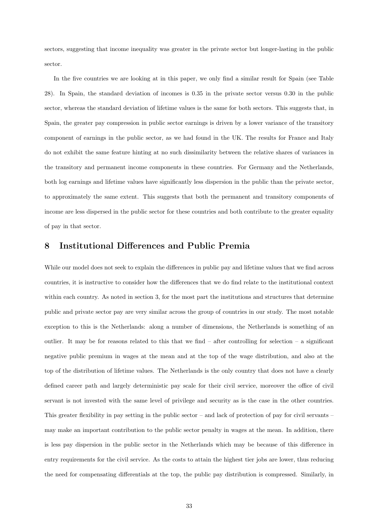sectors, suggesting that income inequality was greater in the private sector but longer-lasting in the public sector.

In the five countries we are looking at in this paper, we only find a similar result for Spain (see Table 28). In Spain, the standard deviation of incomes is 0.35 in the private sector versus 0.30 in the public sector, whereas the standard deviation of lifetime values is the same for both sectors. This suggests that, in Spain, the greater pay compression in public sector earnings is driven by a lower variance of the transitory component of earnings in the public sector, as we had found in the UK. The results for France and Italy do not exhibit the same feature hinting at no such dissimilarity between the relative shares of variances in the transitory and permanent income components in these countries. For Germany and the Netherlands, both log earnings and lifetime values have significantly less dispersion in the public than the private sector, to approximately the same extent. This suggests that both the permanent and transitory components of income are less dispersed in the public sector for these countries and both contribute to the greater equality of pay in that sector.

#### 8 Institutional Differences and Public Premia

While our model does not seek to explain the differences in public pay and lifetime values that we find across countries, it is instructive to consider how the differences that we do find relate to the institutional context within each country. As noted in section 3, for the most part the institutions and structures that determine public and private sector pay are very similar across the group of countries in our study. The most notable exception to this is the Netherlands: along a number of dimensions, the Netherlands is something of an outlier. It may be for reasons related to this that we find  $-$  after controlling for selection  $-$  a significant negative public premium in wages at the mean and at the top of the wage distribution, and also at the top of the distribution of lifetime values. The Netherlands is the only country that does not have a clearly defined career path and largely deterministic pay scale for their civil service, moreover the office of civil servant is not invested with the same level of privilege and security as is the case in the other countries. This greater flexibility in pay setting in the public sector – and lack of protection of pay for civil servants – may make an important contribution to the public sector penalty in wages at the mean. In addition, there is less pay dispersion in the public sector in the Netherlands which may be because of this difference in entry requirements for the civil service. As the costs to attain the highest tier jobs are lower, thus reducing the need for compensating differentials at the top, the public pay distribution is compressed. Similarly, in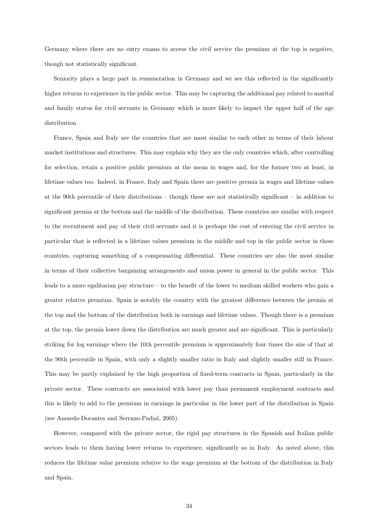Germany where there are no entry exams to access the civil service the premium at the top is negative, though not statistically significant.

Seniority plays a large part in remuneration in Germany and we see this reflected in the significantly higher returns to experience in the public sector. This may be capturing the additional pay related to marital and family status for civil servants in Germany which is more likely to impact the upper half of the age distribution.

France, Spain and Italy are the countries that are most similar to each other in terms of their labour market institutions and structures. This may explain why they are the only countries which, after controlling for selection, retain a positive public premium at the mean in wages and, for the former two at least, in lifetime values too. Indeed, in France, Italy and Spain there are positive premia in wages and lifetime values at the 90th percentile of their distributions – though these are not statistically significant – in addition to significant premia at the bottom and the middle of the distribution. These countries are similar with respect to the recruitment and pay of their civil servants and it is perhaps the cost of entering the civil service in particular that is reflected in a lifetime values premium in the middle and top in the public sector in these countries, capturing something of a compensating differential. These countries are also the most similar in terms of their collective bargaining arrangements and union power in general in the public sector. This leads to a more egalitarian pay structure – to the benefit of the lower to medium skilled workers who gain a greater relative premium. Spain is notably the country with the greatest difference between the premia at the top and the bottom of the distribution both in earnings and lifetime values. Though there is a premium at the top, the premia lower down the distribution are much greater and are significant. This is particularly striking for log earnings where the 10th percentile premium is approximately four times the size of that at the 90th percentile in Spain, with only a slightly smaller ratio in Italy and slightly smaller still in France. This may be partly explained by the high proportion of fixed-term contracts in Spain, particularly in the private sector. These contracts are associated with lower pay than permanent employment contracts and this is likely to add to the premium in earnings in particular in the lower part of the distribution in Spain (see Amuedo-Dorantes and Serrano-Padial, 2005).

However, compared with the private sector, the rigid pay structures in the Spanish and Italian public sectors leads to them having lower returns to experience, significantly so in Italy. As noted above, this reduces the lifetime value premium relative to the wage premium at the bottom of the distribution in Italy and Spain.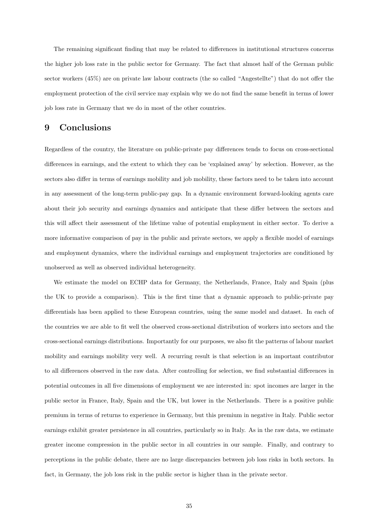The remaining significant finding that may be related to differences in institutional structures concerns the higher job loss rate in the public sector for Germany. The fact that almost half of the German public sector workers (45%) are on private law labour contracts (the so called "Angestellte") that do not offer the employment protection of the civil service may explain why we do not find the same benefit in terms of lower job loss rate in Germany that we do in most of the other countries.

### 9 Conclusions

Regardless of the country, the literature on public-private pay differences tends to focus on cross-sectional differences in earnings, and the extent to which they can be 'explained away' by selection. However, as the sectors also differ in terms of earnings mobility and job mobility, these factors need to be taken into account in any assessment of the long-term public-pay gap. In a dynamic environment forward-looking agents care about their job security and earnings dynamics and anticipate that these differ between the sectors and this will affect their assessment of the lifetime value of potential employment in either sector. To derive a more informative comparison of pay in the public and private sectors, we apply a flexible model of earnings and employment dynamics, where the individual earnings and employment trajectories are conditioned by unobserved as well as observed individual heterogeneity.

We estimate the model on ECHP data for Germany, the Netherlands, France, Italy and Spain (plus the UK to provide a comparison). This is the first time that a dynamic approach to public-private pay differentials has been applied to these European countries, using the same model and dataset. In each of the countries we are able to fit well the observed cross-sectional distribution of workers into sectors and the cross-sectional earnings distributions. Importantly for our purposes, we also fit the patterns of labour market mobility and earnings mobility very well. A recurring result is that selection is an important contributor to all differences observed in the raw data. After controlling for selection, we find substantial differences in potential outcomes in all five dimensions of employment we are interested in: spot incomes are larger in the public sector in France, Italy, Spain and the UK, but lower in the Netherlands. There is a positive public premium in terms of returns to experience in Germany, but this premium in negative in Italy. Public sector earnings exhibit greater persistence in all countries, particularly so in Italy. As in the raw data, we estimate greater income compression in the public sector in all countries in our sample. Finally, and contrary to perceptions in the public debate, there are no large discrepancies between job loss risks in both sectors. In fact, in Germany, the job loss risk in the public sector is higher than in the private sector.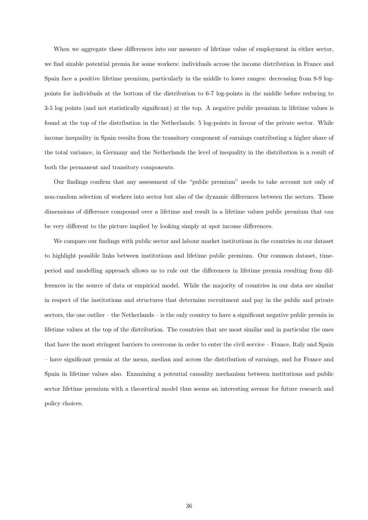When we aggregate these differences into our measure of lifetime value of employment in either sector, we find sizable potential premia for some workers: individuals across the income distribution in France and Spain face a positive lifetime premium, particularly in the middle to lower ranges: decreasing from 8-9 logpoints for individuals at the bottom of the distribution to 6-7 log-points in the middle before reducing to 3-5 log points (and not statistically significant) at the top. A negative public premium in lifetime values is found at the top of the distribution in the Netherlands: 5 log-points in favour of the private sector. While income inequality in Spain results from the transitory component of earnings contributing a higher share of the total variance, in Germany and the Netherlands the level of inequality in the distribution is a result of both the permanent and transitory components.

Our findings confirm that any assessment of the "public premium" needs to take account not only of non-random selection of workers into sector but also of the dynamic differences between the sectors. These dimensions of difference compound over a lifetime and result in a lifetime values public premium that can be very different to the picture implied by looking simply at spot income differences.

We compare our findings with public sector and labour market institutions in the countries in our dataset to highlight possible links between institutions and lifetime public premium. Our common dataset, timeperiod and modelling approach allows us to rule out the differences in lifetime premia resulting from differences in the source of data or empirical model. While the majority of countries in our data are similar in respect of the institutions and structures that determine recruitment and pay in the public and private sectors, the one outlier – the Netherlands – is the only country to have a significant negative public premia in lifetime values at the top of the distribution. The countries that are most similar and in particular the ones that have the most stringent barriers to overcome in order to enter the civil service – France, Italy and Spain – have significant premia at the mean, median and across the distribution of earnings, and for France and Spain in lifetime values also. Examining a potential causality mechanism between institutions and public sector lifetime premium with a theoretical model thus seems an interesting avenue for future research and policy choices.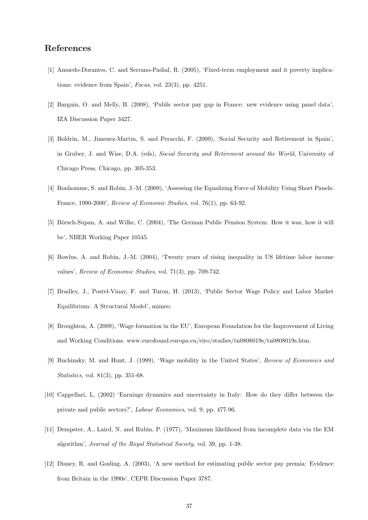### References

- [1] Amuedo-Dorantes, C. and Serrano-Padial, R. (2005), 'Fixed-term employment and it poverty implications: evidence from Spain', Focus, vol. 23(3), pp. 4251.
- [2] Bargain, O. and Melly, B. (2008), 'Public sector pay gap in France: new evidence using panel data', IZA Discussion Paper 3427.
- [3] Boldrin, M., Jimenez-Martin, S. and Peracchi, F. (2009), 'Social Security and Retirement in Spain', in Gruber, J. and Wise, D.A. (eds), Social Security and Retirement around the World, University of Chicago Press, Chicago, pp. 305-353.
- [4] Bonhomme, S. and Robin, J.-M. (2009), 'Assessing the Equalizing Force of Mobility Using Short Panels: France, 1990-2000', Review of Economic Studies, vol. 76(1), pp. 63-92.
- [5] Börsch-Supan, A. and Wilke, C. (2004), 'The German Public Pension System: How it was, how it will be', NBER Working Paper 10545.
- [6] Bowlus, A. and Robin, J.-M. (2004), 'Twenty years of rising inequality in US lifetime labor income values', Review of Economic Studies, vol. 71(3), pp. 709-742.
- [7] Bradley, J., Postel-Vinay, F. and Turon, H. (2013), 'Public Sector Wage Policy and Labor Market Equilibrium: A Structural Model', mimeo.
- [8] Broughton, A. (2009), 'Wage formation in the EU', European Foundation for the Improvement of Living and Working Conditions. www.eurofound.europa.eu/eiro/studies/tn0808019s/tn0808019s.htm.
- [9] Buchinsky, M. and Hunt, J. (1999), 'Wage mobility in the United States', Review of Economics and Statistics, vol. 81(3), pp. 351-68.
- [10] Cappellari, L. (2002) 'Earnings dynamics and uncertainty in Italy: How do they differ between the private and public sectors?', Labour Economics, vol. 9, pp. 477-96.
- [11] Dempster, A., Laird, N. and Rubin, P. (1977), 'Maximum likelihood from incomplete data via the EM algorithm', Journal of the Royal Statistical Society, vol. 39, pp. 1-38.
- [12] Disney, R. and Gosling, A. (2003), 'A new method for estimating public sector pay premia: Evidence from Britain in the 1990s', CEPR Discussion Paper 3787.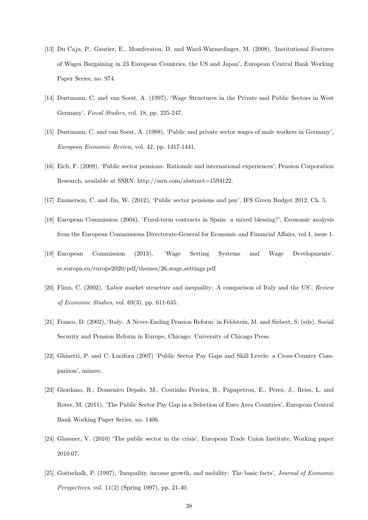- [13] Du Caju, P., Gautier, E., Momferatou, D. and Ward-Warmedinger, M. (2008), 'Institutional Features of Wages Bargaining in 23 European Countries, the US and Japan', European Central Bank Working Paper Series, no. 974.
- [14] Dustmann, C. and van Soest, A. (1997), 'Wage Structures in the Private and Public Sectors in West Germany', Fiscal Studies, vol. 18, pp. 225-247.
- [15] Dustmann, C. and van Soest, A. (1998), 'Public and private sector wages of male workers in Germany', European Economic Review, vol. 42, pp. 1417-1441.
- [16] Eich, F. (2009), 'Public sector pensions: Rationale and international experiences', Pension Corporation Research, available at SSRN: http://ssrn.com/abstract=1594122.
- [17] Emmerson, C. and Jin, W. (2012), 'Public sector pensions and pay', IFS Green Budget 2012, Ch. 5.
- [18] European Commission (2004), 'Fixed-term contracts in Spain: a mixed blessing?', Economic analysis from the European Commissions Directorate-General for Economic and Financial Affairs, vol.1, issue 1.
- [19] European Commission (2013), 'Wage Setting Systems and Wage Developments'. ec.europa.eu/europe2020/pdf/themes/26 wage settings.pdf
- [20] Flinn, C. (2002), 'Labor market structure and inequality: A comparison of Italy and the US', Review of Economic Studies, vol. 69(3), pp. 611-645.
- [21] Franco, D. (2002), 'Italy: A Never-Ending Pension Reform' in Feldstein, M. and Siebert, S. (eds), Social Security and Pension Reform in Europe, Chicago: University of Chicago Press.
- [22] Ghinetti, P. and C. Lucifora (2007) 'Public Sector Pay Gaps and Skill Levels: a Cross-Country Comparison', mimeo.
- [23] Giordano, R., Domenico Depalo, M., Coutinho Pereira, B., Papapetrou, E., Perez, J., Reiss, L. and Roter, M. (2011), 'The Public Sector Pay Gap in a Selection of Euro Area Countries', European Central Bank Working Paper Series, no. 1406.
- [24] Glassner, V. (2010) 'The public sector in the crisis', European Trade Union Institute, Working paper 2010.07.
- [25] Gottschalk, P. (1997), 'Inequality, income growth, and mobility: The basic facts', Journal of Economic Perspectives, vol. 11(2) (Spring 1997), pp. 21-40.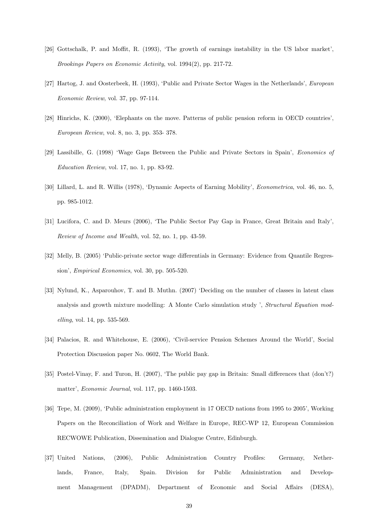- [26] Gottschalk, P. and Moffit, R. (1993), 'The growth of earnings instability in the US labor market', Brookings Papers on Economic Activity, vol. 1994(2), pp. 217-72.
- [27] Hartog, J. and Oosterbeek, H. (1993), 'Public and Private Sector Wages in the Netherlands', European Economic Review, vol. 37, pp. 97-114.
- [28] Hinrichs, K. (2000), 'Elephants on the move. Patterns of public pension reform in OECD countries', European Review, vol. 8, no. 3, pp. 353- 378.
- [29] Lassibille, G. (1998) 'Wage Gaps Between the Public and Private Sectors in Spain', Economics of Education Review, vol. 17, no. 1, pp. 83-92.
- [30] Lillard, L. and R. Willis (1978), 'Dynamic Aspects of Earning Mobility', Econometrica, vol. 46, no. 5, pp. 985-1012.
- [31] Lucifora, C. and D. Meurs (2006), 'The Public Sector Pay Gap in France, Great Britain and Italy', Review of Income and Wealth, vol. 52, no. 1, pp. 43-59.
- [32] Melly, B. (2005) 'Public-private sector wage differentials in Germany: Evidence from Quantile Regression', Empirical Economics, vol. 30, pp. 505-520.
- [33] Nylund, K., Asparouhov, T. and B. Muthn. (2007) 'Deciding on the number of classes in latent class analysis and growth mixture modelling: A Monte Carlo simulation study ', Structural Equation modelling, vol. 14, pp. 535-569.
- [34] Palacios, R. and Whitehouse, E. (2006), 'Civil-service Pension Schemes Around the World', Social Protection Discussion paper No. 0602, The World Bank.
- [35] Postel-Vinay, F. and Turon, H. (2007), 'The public pay gap in Britain: Small differences that (don't?) matter', Economic Journal, vol. 117, pp. 1460-1503.
- [36] Tepe, M. (2009), 'Public administration employment in 17 OECD nations from 1995 to 2005', Working Papers on the Reconciliation of Work and Welfare in Europe, REC-WP 12, European Commission RECWOWE Publication, Dissemination and Dialogue Centre, Edinburgh.
- [37] United Nations, (2006), Public Administration Country Profiles: Germany, Netherlands, France, Italy, Spain. Division for Public Administration and Development Management (DPADM), Department of Economic and Social Affairs (DESA),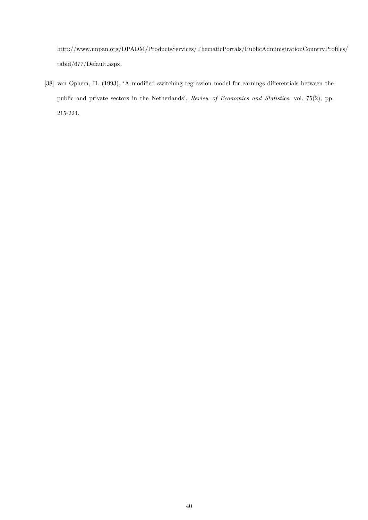http://www.unpan.org/DPADM/ProductsServices/ThematicPortals/PublicAdministrationCountryProfiles/ tabid/677/Default.aspx.

[38] van Ophem, H. (1993), 'A modified switching regression model for earnings differentials between the public and private sectors in the Netherlands', Review of Economics and Statistics, vol. 75(2), pp. 215-224.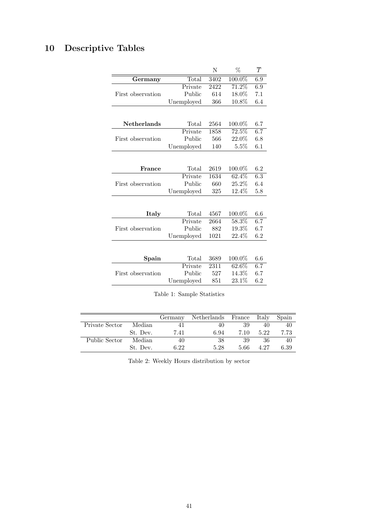# 10 Descriptive Tables

|                   |            | N    | ℅         | $\overline{T}$   |
|-------------------|------------|------|-----------|------------------|
| Germany           | Total      | 3402 | $100.0\%$ | 6.9              |
|                   | Private    | 2422 | $71.2\%$  | 6.9              |
| First observation | Public     | 614  | 18.0%     | 7.1              |
|                   | Unemployed | 366  | 10.8%     | 6.4              |
|                   |            |      |           |                  |
| Netherlands       | Total      | 2564 | $100.0\%$ | 6.7              |
|                   | Private    | 1858 | $72.5\%$  | 6.7              |
| First observation | Public     | 566  | 22.0%     | 6.8              |
|                   | Unemployed | 140  | $5.5\%$   | 6.1              |
|                   |            |      |           |                  |
| France            | Total      | 2619 | $100.0\%$ | 6.2              |
|                   | Private    | 1634 | $62.4\%$  | $\overline{6.3}$ |
| First observation | Public     | 660  | $25.2\%$  | 6.4              |
|                   | Unemployed | 325  | $12.4\%$  | 5.8              |
|                   |            |      |           |                  |
| Italy             | Total      | 4567 | 100.0%    | 6.6              |
|                   | Private    | 2664 | 58.3%     | 6.7              |
| First observation | Public     | 882  | 19.3%     | 6.7              |
|                   | Unemployed | 1021 | 22.4%     | 6.2              |
|                   |            |      |           |                  |
| Spain             | Total      | 3689 | $100.0\%$ | 6.6              |
|                   | Private    | 2311 | $62.6\%$  | 6.7              |
| First observation | Public     | 527  | $14.3\%$  | 6.7              |
|                   | Unemployed | 851  | $23.1\%$  | 6.2              |

|                |          | Germany | Netherlands | France | Italy | Spain |
|----------------|----------|---------|-------------|--------|-------|-------|
| Private Sector | Median   | 41      | 40          | 39     | 40    | 40    |
|                | St. Dev. | 7.41    | 6.94        | 7.10   | 5.22  | 7.73  |
| Public Sector  | Median   | 40      | 38          | 39     | 36    | 40    |
|                | St. Dev. | 6.22    | 5.28        | 5.66   | 4.27  | 6.39  |

Table 1: Sample Statistics

Table 2: Weekly Hours distribution by sector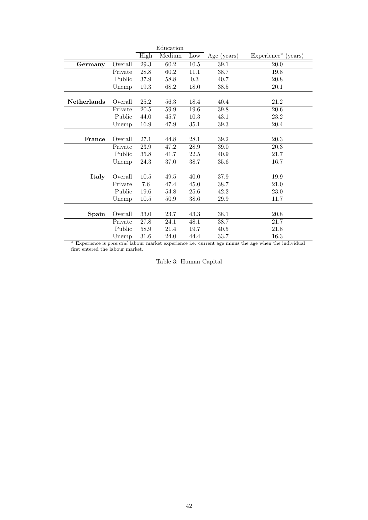|                    |         |          | Education |          |             |                                 |
|--------------------|---------|----------|-----------|----------|-------------|---------------------------------|
|                    |         | High     | Medium    | Low      | Age (years) | Experience <sup>*</sup> (years) |
| Germany            | Overall | 29.3     | 60.2      | $10.5\,$ | 39.1        | 20.0                            |
|                    | Private | 28.8     | 60.2      | 11.1     | 38.7        | 19.8                            |
|                    | Public  | 37.9     | 58.8      | 0.3      | 40.7        | 20.8                            |
|                    | Unemp   | $19.3\,$ | 68.2      | 18.0     | 38.5        | 20.1                            |
|                    |         |          |           |          |             |                                 |
| <b>Netherlands</b> | Overall | 25.2     | 56.3      | 18.4     | 40.4        | 21.2                            |
|                    | Private | 20.5     | 59.9      | 19.6     | 39.8        | 20.6                            |
|                    | Public  | 44.0     | 45.7      | 10.3     | 43.1        | 23.2                            |
|                    | Unemp   | 16.9     | 47.9      | 35.1     | 39.3        | 20.4                            |
|                    |         |          |           |          |             |                                 |
| France             | Overall | 27.1     | 44.8      | 28.1     | 39.2        | 20.3                            |
|                    | Private | 23.9     | 47.2      | 28.9     | 39.0        | 20.3                            |
|                    | Public  | 35.8     | 41.7      | 22.5     | 40.9        | 21.7                            |
|                    | Unemp   | 24.3     | 37.0      | 38.7     | 35.6        | 16.7                            |
|                    |         |          |           |          |             |                                 |
| Italy              | Overall | $10.5$   | 49.5      | 40.0     | 37.9        | 19.9                            |
|                    | Private | 7.6      | 47.4      | 45.0     | 38.7        | $21.0\,$                        |
|                    | Public  | 19.6     | 54.8      | 25.6     | 42.2        | 23.0                            |
|                    | Unemp   | $10.5\,$ | 50.9      | 38.6     | 29.9        | 11.7                            |
|                    |         |          |           |          |             |                                 |
| Spain              | Overall | 33.0     | 23.7      | 43.3     | 38.1        | 20.8                            |
|                    | Private | 27.8     | 24.1      | 48.1     | 38.7        | 21.7                            |
|                    | Public  | 58.9     | 21.4      | 19.7     | 40.5        | 21.8                            |
|                    | Unemp   | 31.6     | 24.0      | 44.4     | 33.7        | 16.3                            |

<sup>∗</sup> Experience is potential labour market experience i.e. current age minus the age when the individual first entered the labour market.

Table 3: Human Capital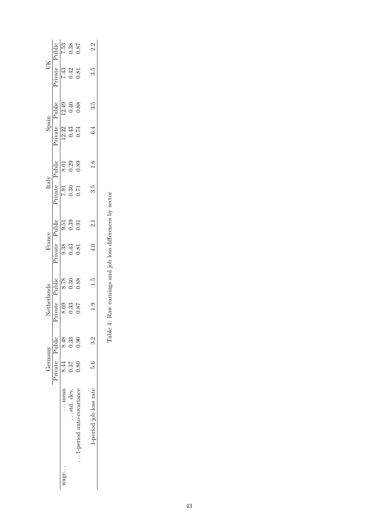|             |                                 |                                                                                                                                                                                     |                   |                          | 2.2                    |
|-------------|---------------------------------|-------------------------------------------------------------------------------------------------------------------------------------------------------------------------------------|-------------------|--------------------------|------------------------|
|             |                                 | $\begin{tabular}{l} \bf{Private & Public \\ \bf{Private & Public \\ \bf{7.43} & 7.53 \\ \bf{0.42} & 0.38 \\ \bf{0.81} & 0.87 \\ \end{tabular}$                                      |                   |                          | 3.5                    |
|             |                                 |                                                                                                                                                                                     |                   |                          | 3.5                    |
|             |                                 | $\begin{tabular}{l} Spanish & Span \\ \hline \text{Private} & \text{Public} \\ \text{12.22} & \text{12.49} \\ \text{0.43} & \text{0.40} \\ \text{0.74} & \text{0.88} \end{tabular}$ |                   |                          | 6.4                    |
|             |                                 |                                                                                                                                                                                     |                   |                          | $\frac{1.6}{1}$        |
|             |                                 | $\begin{tabular}{ll} \multicolumn{1}{c}{\text{Italy}}\\ \hline \text{Private} & \text{Public} \\ \hline \text{7.91} & 8.01 \\ 0.30 & 0.29 \\ 0.71 & 0.89 \\ \end{tabular}$          |                   |                          | 3.5                    |
|             |                                 |                                                                                                                                                                                     |                   |                          | 2.1                    |
| France      |                                 | $\begin{array}{r cc} \text{Private Public} \ \hline 9.38 & 9.51 \ \hline 0.43 & 0.39 \ \hline 0.81 & 0.91 \end{array}$                                                              |                   |                          | $\ddot{ }$ .0          |
|             |                                 | $\frac{\text{Public}}{8.78}$<br>0.30<br>0.88                                                                                                                                        |                   |                          | $\frac{1}{1}$          |
| Netherlands | $\frac{\text{Private}}{8.69}$ . |                                                                                                                                                                                     | 0.33              | 0.87                     | $\frac{0}{1}$          |
|             | Private Public                  | 8.48                                                                                                                                                                                | 0.33              | 0.90                     | 3.2<br>2               |
| Germany     |                                 |                                                                                                                                                                                     | 0.37              | 0.80                     | $\frac{5}{2}$          |
|             |                                 | $\ldots$ mean                                                                                                                                                                       | $\dots$ std. dev. | 1-period auto-covariance | l-period job loss rate |
|             |                                 | wage                                                                                                                                                                                |                   |                          |                        |

Table 4: Raw earnings and job loss differences by sector Table 4: Raw earnings and job loss differences by sector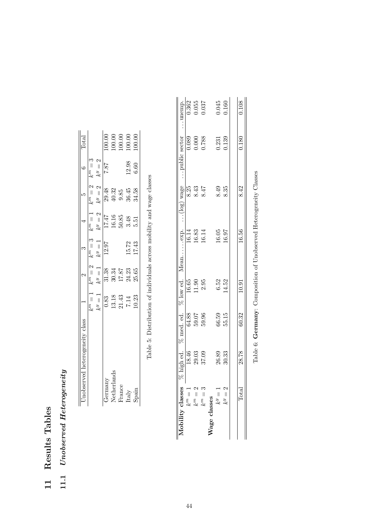# 11 Results Tables 11 Results Tables

# 11.1 Unobserved Heterogeneity  $11.1 \quad$  Unobserved Heterogeneity

 $\parallel$ 

| $1a$ <sub>SSS</sub>                    |                                                              |                                  |                   |                                                  |                                                             |                      | Total                                                                         |
|----------------------------------------|--------------------------------------------------------------|----------------------------------|-------------------|--------------------------------------------------|-------------------------------------------------------------|----------------------|-------------------------------------------------------------------------------|
|                                        | $\tilde{m}=1$                                                | $k^m=2$                          | $k^m=3$           |                                                  | $k^m=2$                                                     |                      |                                                                               |
|                                        | $x^y = 1$                                                    | $k^y=1$                          | $k^y=1$           | $k^y=2$                                          |                                                             | $k^y=2$              |                                                                               |
| Jermany                                |                                                              |                                  | $\frac{12.97}{ }$ |                                                  | $\frac{k^y = 2}{29.48}$<br>40.32<br>40.35<br>56.45<br>34.58 | 7.87                 |                                                                               |
|                                        | $\overline{)0.83}$<br>$13.13$<br>$7.14$<br>$7.23$<br>$10.23$ | 31.38<br>30.34<br>30.75<br>24.23 |                   | $\frac{17.47}{16.16}$<br>16.16<br>5.3.48<br>5.51 |                                                             |                      | $\begin{array}{l} 100.00 \\ 100.00 \\ 100.00 \\ 100.00 \\ 100.01 \end{array}$ |
| Netherland<br>France<br>Italy<br>Spain |                                                              |                                  |                   |                                                  |                                                             |                      |                                                                               |
|                                        |                                                              |                                  |                   |                                                  |                                                             |                      |                                                                               |
|                                        |                                                              | 25.65                            | 15.72<br>17.43    |                                                  |                                                             | $\frac{12.98}{6.60}$ |                                                                               |

| ١<br>ĺ                                                      |
|-------------------------------------------------------------|
| l                                                           |
| l<br>i<br>֧֢ׅ֧֚֚֚֚֚֚֚֚֚֚֚֚֚֚֚֚֚֚֚֚֚֚֚֚֚֚֬֡֡֡֡֡֡֡֡֡֡֬֝֓<br>l |
| Contract and the contract of<br>)<br>}<br>}                 |
| きりと ひこと こうこうてんこう キン<br>ı<br>ı                               |
| j                                                           |
| l<br>J<br>ו<br>;<br>l<br>l                                  |
| ֚֡<br>$\vdots$<br>l                                         |

| obility classes $\%$ |       |                |                 |                                                                                                                                                                                                                                                                                                                                                                                                                               |      | public sector         | $\dots$ unemp.                                         |
|----------------------|-------|----------------|-----------------|-------------------------------------------------------------------------------------------------------------------------------------------------------------------------------------------------------------------------------------------------------------------------------------------------------------------------------------------------------------------------------------------------------------------------------|------|-----------------------|--------------------------------------------------------|
| $k^m=1$              |       |                |                 |                                                                                                                                                                                                                                                                                                                                                                                                                               |      |                       |                                                        |
| $k^m=2$              |       |                |                 | $\begin{array}{ l l } \hbox{high ed.}\quad \% \hbox{~med. ed.}\quad \% \hbox{~dof. ed.}\quad \% \hbox{~dof.} \quad \% \hbox{~dof.} \quad \% \hbox{~dof.} \quad \% \hbox{~dof.} \quad \% \hbox{~dof.} \quad \% \hbox{~dof.} \quad \% \hbox{~dof.} \quad \% \hbox{~dof.} \quad \% \hbox{~dof.} \quad \% \hbox{~dof.} \quad \% \hbox{~dof.} \quad \% \hbox{~dof.} \quad \% \hbox{~dof.} \quad \% \hbox{~dof.} \quad \% \hbox{~d$ |      | $\frac{0.089}{0.000}$ | $\begin{array}{c} 0.362 \\ 0.055 \\ 0.037 \end{array}$ |
| $k^m=3$              |       |                |                 |                                                                                                                                                                                                                                                                                                                                                                                                                               |      |                       |                                                        |
| Vage classes         |       |                |                 |                                                                                                                                                                                                                                                                                                                                                                                                                               |      |                       |                                                        |
| $k^y=1$              | 26.89 | 66.59<br>55.15 |                 | 16.05<br>16.97                                                                                                                                                                                                                                                                                                                                                                                                                |      |                       |                                                        |
| $k^y=2$              | 30.33 |                | $6.52$<br>14.52 |                                                                                                                                                                                                                                                                                                                                                                                                                               | 8.35 | 0.231<br>0.139        | 0.045                                                  |
|                      |       |                |                 |                                                                                                                                                                                                                                                                                                                                                                                                                               |      |                       |                                                        |
| $\rm{Total}$         | 28.78 | 60.32          | 10.91           | 16.56                                                                                                                                                                                                                                                                                                                                                                                                                         | 8.42 | 0.180                 | 0.108                                                  |
|                      |       |                |                 |                                                                                                                                                                                                                                                                                                                                                                                                                               |      |                       |                                                        |

Table 6: Germany: Composition of Unobserved Heterogeneity Classes Table 6: Germany: Composition of Unobserved Heterogeneity Classes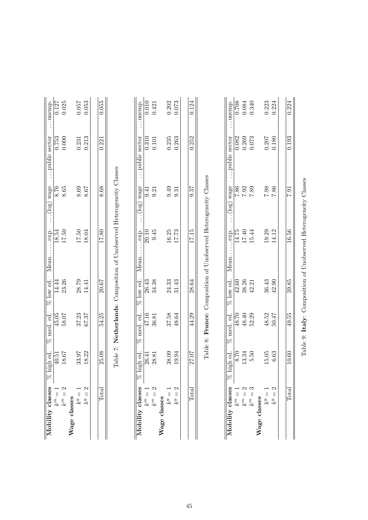| Mobility classes                             | .igh ed.<br>$\frac{1}{\sqrt{2}}$ | % med. ed. | $\%$ low ed. | Meanexp.               | wage<br>$\cdots$ (log) | public sector | $\dots$ unemp. |
|----------------------------------------------|----------------------------------|------------|--------------|------------------------|------------------------|---------------|----------------|
|                                              | 40.51                            | 45.05      | 14.44        | 18.54                  | 8.76                   | 0.753         | 0.127          |
| $\begin{array}{l} k^m=1\\ k^m=2 \end{array}$ | 18.67                            | 58.07      | 23.26        | 17.50                  | 8.65                   | 0.000         | 0.025          |
| Wage classes                                 |                                  |            |              |                        |                        |               |                |
| $k^y = 1$                                    | 33.97                            | 37.23      | 28.79        | 17.50                  | 8.69                   | 0.231         | 0.037          |
| $k^y=2$                                      | 18.22                            | 67.37      | 14.41        | 18.04                  | 8.67                   | 0.213         | 0.053          |
| $\rm Total$                                  | 25.08                            | 54.25      | 20.67        | 17.80                  | 8.68                   | 0.221         | 0.055          |
|                                              | iigh ed.<br>n<br>K               | % med. ed. | $\%$ low ed. | $\cdots$ exp.<br>Mean. | wage<br>$\ldots$ (log) | public sector | unemp.         |
|                                              | 26.41                            | 47.16      | 26.43        | 20.10                  | 5.<br>9.               | 0.310         | 0.010          |
| Mobility classes $k^m = 1$<br>$k^m = 2$      | 28.81                            | 36.81      | 34.38        | 9.45                   | 9.21                   | 0.101         | 0.421          |
| Wage classes                                 |                                  |            |              |                        |                        |               |                |
| $k^y = 1$                                    | 38.09                            | 37.58      | 24.33        | 16.25                  | 9.49                   | 0.235         | 0.202          |
| $k^y=2$                                      | 19.94                            | 48.64      | 31.43        | 17.73                  | 9.31                   | 0.263         | 0.073          |
|                                              |                                  |            |              |                        |                        |               |                |
| $\rm Total$                                  | 27.07                            | 44.29      | 28.64        | 17.15                  | 0.37                   | 0.252         | 0.124          |

| Tobility classes $\%\hbar$                   | igh ed. | $\%$ med. ed.           | $\%$ low ed.          | Meanexp.                | $\ldots$ (log) wage | public sector         | $\dots$ unemp.                                         |
|----------------------------------------------|---------|-------------------------|-----------------------|-------------------------|---------------------|-----------------------|--------------------------------------------------------|
| $\begin{array}{l} k^m=1\\ k^m=2 \end{array}$ | 8.70    |                         |                       |                         |                     |                       |                                                        |
|                                              | 13.34   | 48.70<br>48.40<br>52.29 | $\frac{42.60}{38.21}$ | 14.75<br>17.40<br>15.44 | $88.58$<br>7.38     | $\frac{0.082}{0.269}$ | $\begin{array}{c} 0.708 \\ 0.084 \\ 0.340 \end{array}$ |
| $k^m=3$                                      | 5.50    |                         |                       |                         |                     |                       |                                                        |
| Wage classes                                 |         |                         |                       |                         |                     |                       |                                                        |
| $k^y=1$                                      | 15.05   |                         |                       |                         | 7.98                |                       |                                                        |
| $k^y=2$                                      | 6.63    | 48.52<br>50.47          | $36.43$<br>$42.90$    | 19.29<br>14.12          | 7.86                | 0.207<br>0.180        | $0.223$<br>$0.224$                                     |
|                                              |         |                         |                       |                         |                     |                       |                                                        |
| $\Gamma$ ota                                 | 10.60   | 49.55                   | 39.85                 | 16.56                   | 7.91                | 0.193                 | 0.224                                                  |

Table 9: Italy: Composition of Unobserved Heterogeneity Classes Table 9: Italy: Composition of Unobserved Heterogeneity Classes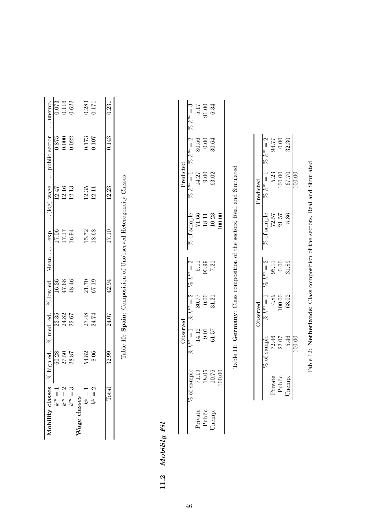| Iobility classes $%$ | high ed.              |                         |                  | $\%$ med. ed. $\%$ low ed. Meanexp. $\ldots$ log) wage |                       | public sector       | $\ldots$ unemp.                |
|----------------------|-----------------------|-------------------------|------------------|--------------------------------------------------------|-----------------------|---------------------|--------------------------------|
| $k^m=1$              |                       |                         | 16.36            |                                                        |                       |                     |                                |
| $k^m = 2$            | $\frac{60.28}{27.50}$ | 23.35<br>24.82<br>22.67 | 47.68            | $\frac{17.06}{17.17}$<br>17.17<br>16.94                | $\frac{12.47}{12.13}$ | $\frac{875}{0.000}$ | $\frac{0.073}{0.116}$<br>0.116 |
| $k^m=3$              |                       |                         | 48.46            |                                                        |                       |                     |                                |
| Vage classes         |                       |                         |                  |                                                        |                       |                     |                                |
| $k^y=1$              | 54.82                 |                         | $21.70$<br>67.19 | 15.72<br>18.68                                         |                       | 0.173<br>0.107      |                                |
| $k^y=2$              | 8.06                  | 23.48<br>24.74          |                  |                                                        | 12.35<br>12.11        |                     | 0.283<br>0.171                 |
|                      |                       |                         |                  |                                                        |                       |                     |                                |
| $\rm Total$          | 32.99                 | 24.07                   | 42.94            | 17.10                                                  | 12.23                 | 0.143               | 0.231                          |
|                      |                       |                         |                  |                                                        |                       |                     |                                |

Table 10: Spain: Composition of Unobserved Heterogeneity Classes Table 10: Spain: Composition of Unobserved Heterogeneity Classes

11.2 Mobility Fit  $11.2$  Mobility Fit

|         |                         | Observed        |                                |                     |                                                        | Predicted       |                                                       |                      |
|---------|-------------------------|-----------------|--------------------------------|---------------------|--------------------------------------------------------|-----------------|-------------------------------------------------------|----------------------|
|         | $\mathbf{Q}$<br>of samp |                 | $\%~k^m=1~~\%~k^m=2~~\%~k^m=3$ |                     | $%$ of sample                                          |                 | $\%$ $k^m=1-\%$ $k^m=2$                               | $\%$ $k^m = 3$       |
| Private | ్                       | $14.12$<br>9.01 | $\frac{80.77}{57.00}$          | $\frac{5.11}{7.21}$ |                                                        | $14.27$<br>9.00 |                                                       |                      |
| Public  | ぬ                       |                 |                                |                     | $\begin{array}{c} 71.66 \\ 18.11 \\ 10.23 \end{array}$ |                 | $\begin{array}{c} 80.56 \\ 0.00 \\ 30.64 \end{array}$ | $\frac{5.17}{91.00}$ |
| nemp    |                         | 61.57           | 31.21                          |                     |                                                        | 63.02           |                                                       |                      |
|         |                         |                 |                                |                     | 100.00                                                 |                 |                                                       |                      |

Table 11: Germany: Class composition of the sectors, Real and Simulated Table 11: Germany: Class composition of the sectors, Real and Simulated

|         |                                             | Observed                                 |                                                       |                                                     | Predicted                                                               |                                               |
|---------|---------------------------------------------|------------------------------------------|-------------------------------------------------------|-----------------------------------------------------|-------------------------------------------------------------------------|-----------------------------------------------|
|         |                                             | $\frac{68 \text{ W}}{1} = \frac{1}{w^4}$ | $\%$ $k^m=2$                                          |                                                     | $\sqrt[3]{k^m} = 1$                                                     |                                               |
| Private | % of sample<br>$72.46$<br>$22.07$<br>$5.46$ |                                          |                                                       | % of sample $72.57$<br>$72.57$<br>$21.57$<br>$5.86$ |                                                                         | $\% k^m = 2$<br>94.77<br>0.00<br>0.00<br>0.00 |
| Public  |                                             | $100.00$<br>68.02                        | $\begin{array}{c} 95.11 \\ 0.00 \\ 31.89 \end{array}$ |                                                     |                                                                         |                                               |
| lnemp.  |                                             |                                          |                                                       |                                                     | $\begin{array}{r} 5.23 \\ 100.00 \\ 67.70 \\ \hline 100.00 \end{array}$ |                                               |
|         | 100.00                                      |                                          |                                                       |                                                     |                                                                         |                                               |

Table 12: Netherlands: Class composition of the sectors, Real and Simulated

Table 12: Netherlands: Class composition of the sectors, Real and Simulated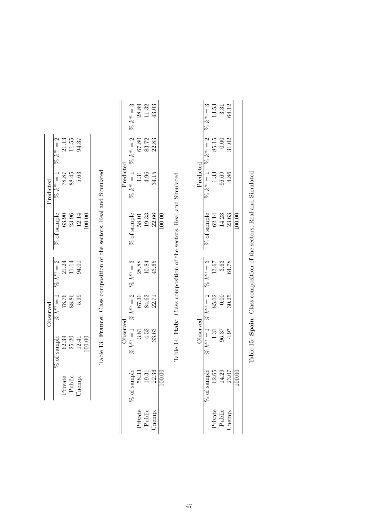|                 | $\%~k^m=2$                             |         | $\begin{array}{c} 21.13 \\ 11.55 \\ 94.37 \end{array}$ |        |        |
|-----------------|----------------------------------------|---------|--------------------------------------------------------|--------|--------|
| Predicted       |                                        |         | $\frac{\% k^m = 1}{78.87}$<br>78.87<br>88.45<br>8.63   |        |        |
|                 |                                        |         | % of sample<br>63.90<br>63.96<br>23.96<br>23.96        |        | 00.00  |
|                 |                                        |         | % $k^m = 2$<br>21.24<br>21.24<br>11.14<br>11.14        |        |        |
| <b>Jbserved</b> | $\alpha^{\prime\prime}$ $k_{\mu\nu}=1$ |         | $78.36$<br>$88.86$<br>$5.87$                           |        |        |
|                 |                                        |         | $\frac{1}{2}$ of sample<br>62.39<br>55.20<br>12.41     |        | 100.00 |
|                 |                                        | Private | Public                                                 | Inemp. |        |

Table 13: France: Class composition of the sectors, Real and Simulated Table 13: France: Class composition of the sectors, Real and Simulated

|           |                                                |                                                 | $28.89$<br>11.32            | 43.03  |       |
|-----------|------------------------------------------------|-------------------------------------------------|-----------------------------|--------|-------|
|           | $\% k^m = 1 \quad \% k^m = 2 \quad \% k^m = 3$ |                                                 | $67.80$<br>$83.72$          | 22.83  |       |
| Predicted |                                                |                                                 | $3.31$<br>$4.96$<br>$34.15$ |        |       |
|           |                                                | % of sample<br>58.01<br>58.01<br>19.33<br>19.33 |                             |        | 00.00 |
|           |                                                | 28.88                                           | $10.84\,$                   | 43.65  |       |
|           | $\% k^m = 1 \quad \% k^m = 2 \quad \% k^m = 3$ |                                                 | $67.30$<br>$84.63$          | 22.71  |       |
| Observed  |                                                | $3.81$<br>4.53                                  |                             | 33.63  |       |
|           | $\%$ of sample                                 | 58.33                                           | $19.31\,$                   | 22.36  | g     |
|           |                                                | Private                                         | Public                      | Inemp. |       |

Table 14: Italy: Class composition of the sectors, Real and Simulated Table 14: Italy: Class composition of the sectors, Real and Simulated

| $\%$ $k^m = 2$<br>$85.02$<br>$0.00$<br>30.25<br>Observed<br>96.37<br>1.97<br>$1.31\,$<br>$\%$ $k^m = 1$ |
|---------------------------------------------------------------------------------------------------------|
|                                                                                                         |

Table 15: Spain: Class composition of the sectors, Real and Simulated Table 15: Spain: Class composition of the sectors, Real and Simulated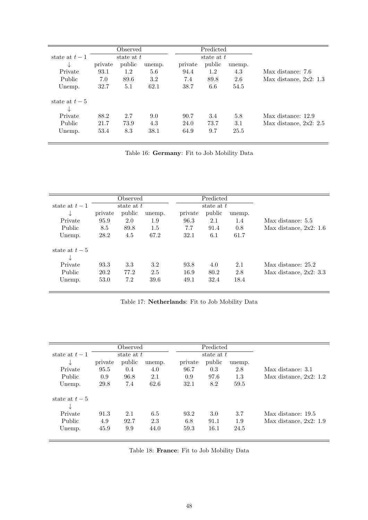|                |         | Observed   |        |         | Predicted  |        |                          |
|----------------|---------|------------|--------|---------|------------|--------|--------------------------|
| state at $t-1$ |         | state at t |        |         | state at t |        |                          |
| ↓              | private | public     | unemp. | private | public     | unemp. |                          |
| Private        | 93.1    | 1.2        | 5.6    | 94.4    | 1.2        | 4.3    | Max distance: 7.6        |
| Public         | 7.0     | 89.6       | 3.2    | 7.4     | 89.8       | 2.6    | Max distance, $2x2: 1.3$ |
| Unemp.         | 32.7    | 5.1        | 62.1   | 38.7    | 6.6        | 54.5   |                          |
| state at $t-5$ |         |            |        |         |            |        |                          |
| ↓              |         |            |        |         |            |        |                          |
| Private        | 88.2    | 2.7        | 9.0    | 90.7    | 3.4        | 5.8    | Max distance: 12.9       |
| Public         | 21.7    | 73.9       | 4.3    | 24.0    | 73.7       | 3.1    | Max distance, $2x2: 2.5$ |
| Unemp.         | 53.4    | 8.3        | 38.1   | 64.9    | 9.7        | 25.5   |                          |
|                |         |            |        |         |            |        |                          |

Table 16: Germany: Fit to Job Mobility Data

|                |         | Observed   |        |         | Predicted  |        |                          |
|----------------|---------|------------|--------|---------|------------|--------|--------------------------|
| state at $t-1$ |         | state at t |        |         | state at t |        |                          |
|                | private | public     | unemp. | private | public     | unemp. |                          |
| Private        | 95.9    | 2.0        | 1.9    | 96.3    | 2.1        | 1.4    | Max distance: 5.5        |
| Public         | 8.5     | 89.8       | 1.5    | 7.7     | 91.4       | 0.8    | Max distance, $2x2: 1.6$ |
| Unemp.         | 28.2    | 4.5        | 67.2   | 32.1    | 6.1        | 61.7   |                          |
| state at $t-5$ |         |            |        |         |            |        |                          |
| ↓              |         |            |        |         |            |        |                          |
| Private        | 93.3    | 3.3        | 3.2    | 93.8    | 4.0        | 2.1    | Max distance: 25.2       |
| Public         | 20.2    | 77.2       | 2.5    | 16.9    | 80.2       | 2.8    | Max distance, $2x2: 3.3$ |
| Unemp.         | 53.0    | 7.2        | 39.6   | 49.1    | 32.4       | 18.4   |                          |
|                |         |            |        |         |            |        |                          |

| Table 17: Netherlands: Fit to Job Mobility Data |  |  |
|-------------------------------------------------|--|--|
|-------------------------------------------------|--|--|

|                |         | Observed   |        |         | Predicted  |        |                          |
|----------------|---------|------------|--------|---------|------------|--------|--------------------------|
| state at $t-1$ |         | state at t |        |         | state at t |        |                          |
| ↡              | private | public     | unemp. | private | public     | unemp. |                          |
| Private        | 95.5    | 0.4        | 4.0    | 96.7    | 0.3        | 2.8    | Max distance: 3.1        |
| Public         | 0.9     | 96.8       | 2.1    | 0.9     | 97.6       | 1.3    | Max distance, $2x2: 1.2$ |
| Unemp.         | 29.8    | 7.4        | 62.6   | 32.1    | 8.2        | 59.5   |                          |
| state at $t-5$ |         |            |        |         |            |        |                          |
| ↓              |         |            |        |         |            |        |                          |
| Private        | 91.3    | 2.1        | 6.5    | 93.2    | 3.0        | 3.7    | Max distance: 19.5       |
| Public         | 4.9     | 92.7       | 2.3    | 6.8     | 91.1       | 1.9    | Max distance, $2x2: 1.9$ |
| Unemp.         | 45.9    | 9.9        | 44.0   | 59.3    | 16.1       | 24.5   |                          |

Table 18: France: Fit to Job Mobility Data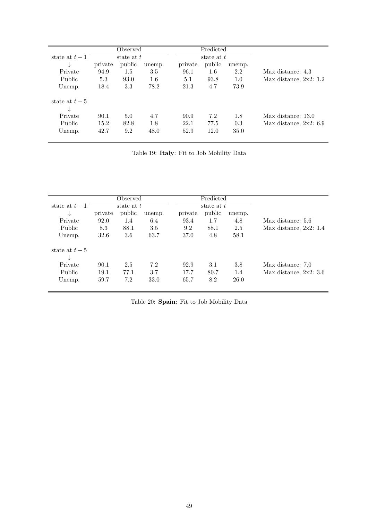|                |         | Observed   |         |         | Predicted  |        |                          |
|----------------|---------|------------|---------|---------|------------|--------|--------------------------|
| state at $t-1$ |         | state at t |         |         | state at t |        |                          |
| ↓              | private | public     | unemp.  | private | public     | unemp. |                          |
| Private        | 94.9    | $1.5\,$    | $3.5\,$ | 96.1    | $1.6\,$    | 2.2    | Max distance: 4.3        |
| Public         | 5.3     | 93.0       | $1.6\,$ | 5.1     | 93.8       | 1.0    | Max distance, $2x2: 1.2$ |
| Unemp.         | 18.4    | 3.3        | 78.2    | 21.3    | 4.7        | 73.9   |                          |
| state at $t-5$ |         |            |         |         |            |        |                          |
| ↓              |         |            |         |         |            |        |                          |
| Private        | 90.1    | 5.0        | 4.7     | 90.9    | 7.2        | 1.8    | Max distance: 13.0       |
| Public         | 15.2    | 82.8       | 1.8     | 22.1    | 77.5       | 0.3    | Max distance, $2x2: 6.9$ |
| Unemp.         | 42.7    | 9.2        | 48.0    | 52.9    | 12.0       | 35.0   |                          |
|                |         |            |         |         |            |        |                          |

Table 19: Italy: Fit to Job Mobility Data

|                |         | Observed   |        |         | Predicted  |        |                          |
|----------------|---------|------------|--------|---------|------------|--------|--------------------------|
| state at $t-1$ |         | state at t |        |         | state at t |        |                          |
| ↓              | private | public     | unemp. | private | public     | unemp. |                          |
| Private        | 92.0    | 1.4        | 6.4    | 93.4    | 1.7        | 4.8    | Max distance: 5.6        |
| Public         | 8.3     | 88.1       | 3.5    | 9.2     | 88.1       | 2.5    | Max distance, $2x2: 1.4$ |
| Unemp.         | 32.6    | 3.6        | 63.7   | 37.0    | 4.8        | 58.1   |                          |
| state at $t-5$ |         |            |        |         |            |        |                          |
| ↓              |         |            |        |         |            |        |                          |
| Private        | 90.1    | 2.5        | 7.2    | 92.9    | 3.1        | 3.8    | Max distance: 7.0        |
| Public         | 19.1    | 77.1       | 3.7    | 17.7    | 80.7       | 1.4    | Max distance, $2x2: 3.6$ |
| Unemp.         | 59.7    | 7.2        | 33.0   | 65.7    | 8.2        | 26.0   |                          |
|                |         |            |        |         |            |        |                          |

Table 20: Spain: Fit to Job Mobility Data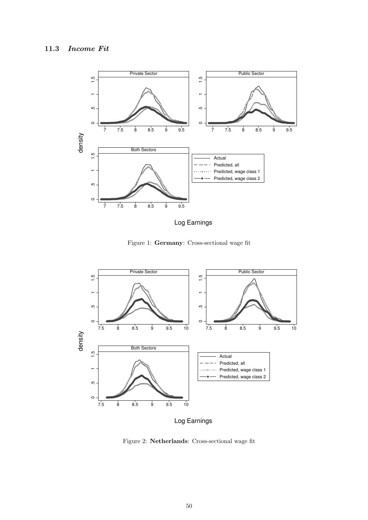

Log Earnings

Figure 1: Germany: Cross-sectional wage fit



Log Earnings

Figure 2: Netherlands: Cross-sectional wage fit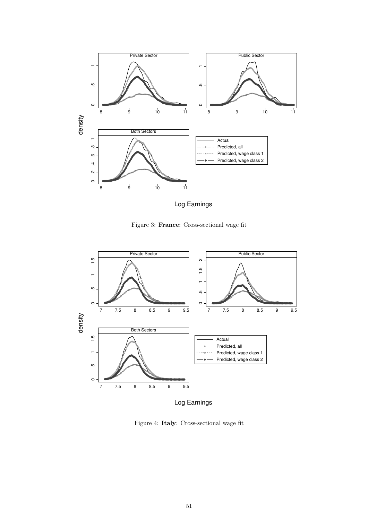

Log Earnings

Figure 3: France: Cross-sectional wage fit



Log Earnings

Figure 4: Italy: Cross-sectional wage fit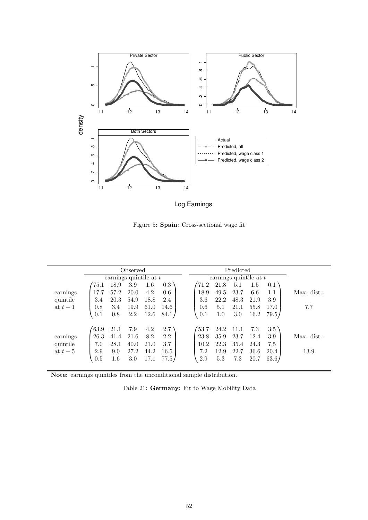

Log Earnings

Figure 5: Spain: Cross-sectional wage fit

|          |                 |         | Observed |                          |       |       |                          | Predicted |      |         |             |
|----------|-----------------|---------|----------|--------------------------|-------|-------|--------------------------|-----------|------|---------|-------------|
|          |                 |         |          | earnings quintile at $t$ |       |       | earnings quintile at $t$ |           |      |         |             |
|          | 75.1            | 18.9    | 3.9      | 1.6                      | 0.3   | 71.2  | 21.8                     | 5.1       | 1.5  | 0.1     |             |
| earnings | 17.7            | 57.2    | 20.0     | 4.2                      | 0.6   | 18.9  | 49.5                     | 23.7      | 6.6  | 1.1     | Max. dist.: |
| quintile | 3.4             | 20.3    | 54.9     | 18.8                     | 2.4   | 3.6   | 22.2                     | 48.3      | 21.9 | 3.9     |             |
| at $t-1$ | 0.8             | 3.4     | 19.9     | 61.0                     | 14.6  | 0.6   | 5.1                      | 21.1      | 55.8 | 17.0    | 7.7         |
|          | 0.1             | 0.8     | 2.2      | 12.6                     | 84.1) | 0.1   | $1.0\,$                  | 3.0       | 16.2 | 79.5    |             |
|          | $^{\prime}63.9$ | 21.1    | 7.9      | 4.2                      | 2.7   | 153.7 | 24.2                     | 11.1      | 7.3  | $3.5\,$ |             |
| earnings | 26.3            | 41.4    | 21.6     | 8.2                      | 2.2   | 23.8  | 35.9                     | 23.7      | 12.4 | 3.9     | Max. dist.  |
| quintile | 7.0             | 28.1    | 40.0     | 21.0                     | 3.7   | 10.2  | 22.3                     | 35.4      | 24.3 | 7.5     |             |
| at $t-5$ | 2.9             | 9.0     | 27.2     | 44.2                     | 16.5  | 7.2   | 12.9                     | 22.7      | 36.6 | 20.4    | 13.9        |
|          | 0.5             | $1.6\,$ | 3.0      | 17.1                     | 77.5/ | 2.9   | 5.3                      | 7.3       | 20.7 | 63.6)   |             |

Note: earnings quintiles from the unconditional sample distribution.

Table 21: Germany: Fit to Wage Mobility Data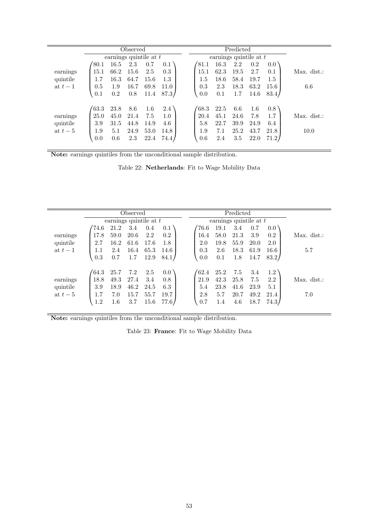|             | Predicted         |                          |      |      |         |                          |      |      |         |                 |          |
|-------------|-------------------|--------------------------|------|------|---------|--------------------------|------|------|---------|-----------------|----------|
|             |                   | earnings quintile at $t$ |      |      |         | earnings quintile at $t$ |      |      |         |                 |          |
|             | 0.0               | 0.2                      | 2.2  | 16.3 | 81.1    | 0.1                      | 0.7  | 2.3  | 16.5    | $^{\prime}80.1$ |          |
| Max. dist.: | 0.1               | 2.7                      | 19.5 | 62.3 | 15.1    | 0.3                      | 2.5  | 15.6 | 66.2    | 15.1            | earnings |
|             | 1.5               | 19.7                     | 58.4 | 18.6 | $1.5\,$ | 1.3                      | 15.6 | 64.7 | 16.3    | $1.7\,$         | quintile |
| 6.6         | 15.6              | 63.2                     | 18.3 | 2.3  | 0.3     | 11.0                     | 69.8 | 16.7 | 1.9     | 0.5             | at $t-1$ |
|             | 83.4              | 14.6                     | 1.7  | 0.1  | 0.0     | 87.3/                    | 11.4 | 0.8  | $0.2\,$ | 0.1             |          |
|             | 0.8               | $1.6\,$                  | 6.6  | 22.5 | 68.3    | 2.4                      | 1.6  | 8.6  | 23.8    | 63.3            |          |
| Max. dist.: | 1.7               | 7.8                      | 24.6 | 45.1 | 20.4    | 1.0                      | 7.5  | 21.4 | 45.0    | 25.0            | earnings |
|             | 6.4               | 24.9                     | 39.9 | 22.7 | 5.8     | 4.6                      | 14.9 | 44.8 | 31.5    | 3.9             | quintile |
| 10.0        | 21.8              | 43.7                     | 25.2 | 7.1  | 1.9     | 14.8                     | 53.0 | 24.9 | 5.1     | 1.9             | at $t-5$ |
|             | 71.2 <sub>l</sub> | 22.0                     | 3.5  | 2.4  | 0.6     | 74.4 <sub>1</sub>        | 22.4 | 2.3  | 0.6     | 0.0             |          |

Note: earnings quintiles from the unconditional sample distribution.

Table 22: Netherlands: Fit to Wage Mobility Data

|          |      |                          | Observed |      |                   |      | Predicted |                          |      |                   |             |
|----------|------|--------------------------|----------|------|-------------------|------|-----------|--------------------------|------|-------------------|-------------|
|          |      | earnings quintile at $t$ |          |      |                   |      |           | earnings quintile at $t$ |      |                   |             |
|          | 74.6 | 21.2                     | 3.4      | 0.4  | 0.1               | 76.6 | 19.1      | 3.4                      | 0.7  | $0.0\,$           |             |
| earnings | 17.8 | 59.0                     | 20.6     | 2.2  | 0.2               | 16.4 | 58.0      | 21.3                     | 3.9  | 0.2               | Max. dist.  |
| quintile | 2.7  | 16.2                     | 61.6     | 17.6 | 1.8               | 2.0  | 19.8      | 55.9                     | 20.0 | 2.0               |             |
| at $t-1$ | 1.1  | 2.4                      | 16.4     | 65.3 | 14.6              | 0.3  | 2.6       | 18.3                     | 61.9 | 16.6              | 5.7         |
|          | 0.3  | 0.7                      | 1.7      | 12.9 | 84.1 <sub>l</sub> | 0.0  | 0.1       | 1.8                      | 14.7 | 83.2)             |             |
|          | 64.3 | 25.7                     | 7.2      | 2.5  | 0.0               | 62.4 | 25.2      | 7.5                      | 3.4  | 1.2               |             |
| earnings | 18.8 | 49.3                     | 27.4     | 3.4  | 0.8               | 21.9 | 42.3      | 25.8                     | 7.5  | 2.2               | Max. dist.: |
| quintile | 3.9  | 18.9                     | 46.2     | 24.5 | 6.3               | 5.4  | 23.8      | 41.6                     | 23.9 | 5.1               |             |
| at $t-5$ | 1.7  | 7.0                      | 15.7     | 55.7 | 19.7              | 2.8  | 5.7       | 20.7                     | 49.2 | 21.4              | 7.0         |
|          | 1.2  | $1.6\,$                  | 3.7      | 15.6 | 77.6              | 0.7  | 1.4       | 4.6                      | 18.7 | 74.3 <sub>1</sub> |             |

Note: earnings quintiles from the unconditional sample distribution.

Table 23: France: Fit to Wage Mobility Data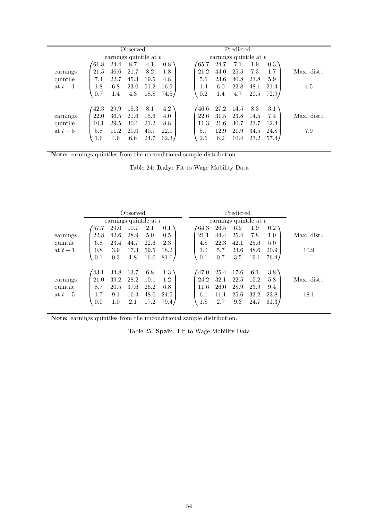|          |                 |                          | Observed |      |         |      | Predicted<br>earnings quintile at $t$ |      |      |       |             |  |
|----------|-----------------|--------------------------|----------|------|---------|------|---------------------------------------|------|------|-------|-------------|--|
|          |                 | earnings quintile at $t$ |          |      |         |      |                                       |      |      |       |             |  |
|          | $^{\prime}61.8$ | 24.4                     | 8.7      | 4.1  | $0.8\,$ | 65.7 | 24.7                                  | 7.1  | 1.9  | 0.3   |             |  |
| earnings | 21.5            | 46.6                     | 21.7     | 8.2  | 1.8     | 21.2 | 44.0                                  | 25.5 | 7.3  | 1.7   | Max. dist.: |  |
| quintile | 7.4             | 22.7                     | 45.3     | 19.5 | 4.8     | 5.6  | 23.6                                  | 40.8 | 23.8 | 5.9   |             |  |
| at $t-1$ | 1.8             | 6.8                      | 23.0     | 51.2 | 16.9    | 1.4  | 6.0                                   | 22.8 | 48.1 | 21.4  | 4.5         |  |
|          | 0.7             | 1.4                      | 4.3      | 18.8 | 74.5/   | 0.2  | 1.4                                   | 4.7  | 20.5 | 72.9/ |             |  |
|          | 42.3            | 29.9                     | 15.3     | 8.1  | 4.2     | 46.6 | 27.2                                  | 14.5 | 8.3  | 3.1   |             |  |
| earnings | 22.0            | 36.5                     | 21.6     | 15.6 | 4.0     | 22.6 | 31.5                                  | 23.8 | 14.5 | 7.4   | Max. dist.: |  |
| quintile | 10.1            | 29.5                     | 30.1     | 21.2 | 8.8     | 11.3 | 21.6                                  | 30.7 | 23.7 | 12.4  |             |  |
| at $t-5$ | 5.8             | 11.2                     | 20.0     | 40.7 | 22.1    | 5.7  | 12.9                                  | 21.9 | 34.5 | 24.8  | 7.9         |  |
|          | 1.6             | 4.6                      | 6.6      | 24.7 | 62.3)   | 2.6  | 6.2                                   | 10.4 | 23.2 | 57.4) |             |  |

Note: earnings quintiles from the unconditional sample distribution.

Table 24: Italy: Fit to Wage Mobility Data

|          |      |         | Observed                 |      |       |      |                          | Predicted |      |                   |            |  |
|----------|------|---------|--------------------------|------|-------|------|--------------------------|-----------|------|-------------------|------------|--|
|          |      |         | earnings quintile at $t$ |      |       |      | earnings quintile at $t$ |           |      |                   |            |  |
|          | 57.7 | 29.0    | 10.7                     | 2.1  | 0.1   | 64.3 | 26.5                     | 6.9       | 1.9  | 0.2               |            |  |
| earnings | 22.8 | 42.6    | 28.9                     | 5.0  | 0.5   | 21.1 | 44.4                     | 25.4      | 7.8  | $1.0\,$           | Max. dist. |  |
| quintile | 6.8  | 23.4    | 44.7                     | 22.6 | 2.3   | 4.8  | 22.3                     | 42.1      | 25.6 | 5.0               |            |  |
| at $t-1$ | 0.8  | 3.9     | 17.3                     | 59.5 | 18.2  | 1.0  | 5.7                      | 23.6      | 48.6 | 20.9              | 10.9       |  |
|          | 0.1  | 0.3     | 1.8                      | 16.0 | 81.6/ | 0.1  | 0.7                      | 3.5       | 19.1 | 76.4)             |            |  |
|          | 43.1 | 34.8    | 13.7                     | 6.8  | 1.3   | 47.0 | 25.4                     | 17.6      | 6.1  | 3.8               |            |  |
| earnings | 21.0 | 39.2    | 28.2                     | 10.1 | 1.2   | 24.2 | 32.1                     | 22.5      | 15.2 | 5.8               | Max. dist. |  |
| quintile | 8.7  | 20.5    | 37.6                     | 26.2 | 6.8   | 11.6 | 26.0                     | 28.9      | 23.9 | 9.4               |            |  |
| at $t-5$ | 1.7  | 9.1     | 16.4                     | 48.0 | 24.5  | 6.1  | 11.1                     | 25.6      | 33.2 | 23.8              | 18.1       |  |
|          | 0.0  | $1.0\,$ | 2.1                      | 17.2 | 79.4  | 1.8  | 2.7                      | 9.3       | 24.7 | 61.3 <sub>l</sub> |            |  |

Note: earnings quintiles from the unconditional sample distribution.

Table 25: Spain: Fit to Wage Mobility Data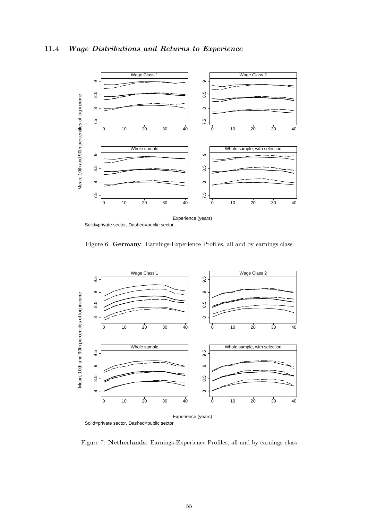

Solid=private sector, Dashed=public sector

Figure 6: Germany: Earnings-Experience Profiles, all and by earnings class



Solid=private sector, Dashed=public sector

Figure 7: Netherlands: Earnings-Experience Profiles, all and by earnings class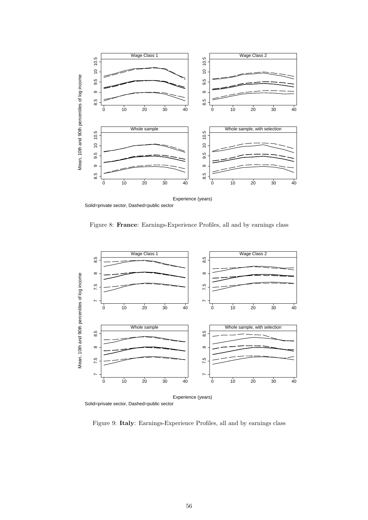

Solid=private sector, Dashed=public sector

Figure 8: France: Earnings-Experience Profiles, all and by earnings class



Solid=private sector, Dashed=public sector

Figure 9: Italy: Earnings-Experience Profiles, all and by earnings class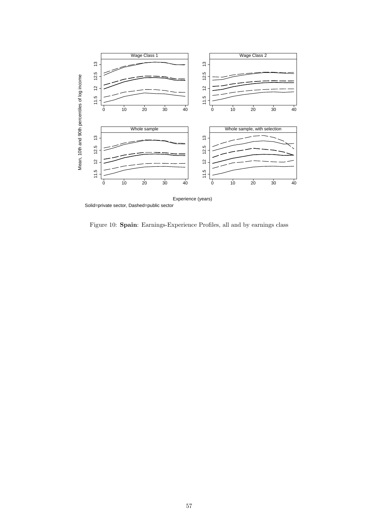

Solid=private sector, Dashed=public sector

Figure 10: Spain: Earnings-Experience Profiles, all and by earnings class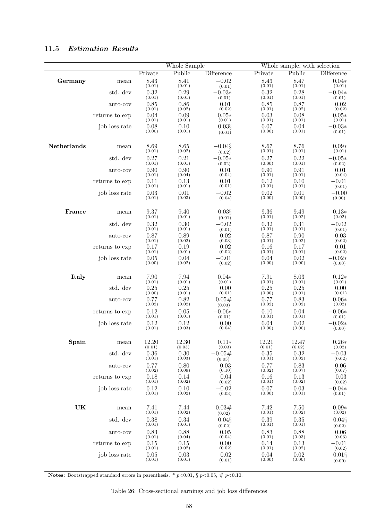|                                 |                |                 | Whole Sample       |                    |                 | Whole sample, with selection |                    |
|---------------------------------|----------------|-----------------|--------------------|--------------------|-----------------|------------------------------|--------------------|
|                                 |                | Private         | Public             | Difference         | Private         | Public                       | Difference         |
| Germany                         | mean           | 8.43<br>(0.01)  | $8.41\,$<br>(0.01) | $-0.02$<br>(0.01)  | 8.43<br>(0.01)  | 8.47<br>(0.01)               | $0.04*$<br>(0.01)  |
|                                 | std. dev       | 0.32            | 0.29               | $-0.03*$           | 0.32            | 0.28                         | $-0.04*$           |
|                                 |                | (0.01)          | (0.01)             | (0.01)             | (0.01)          | (0.01)                       | (0.01)             |
|                                 | auto-cov       | 0.85<br>(0.01)  | 0.86<br>(0.02)     | 0.01<br>(0.02)     | 0.85<br>(0.01)  | 0.87<br>(0.02)               | 0.02<br>(0.02)     |
|                                 | returns to exp | 0.04            | 0.09               | $0.05*$            | 0.03            | 0.08                         | $0.05*$            |
|                                 | job loss rate  | (0.01)<br>0.08  | (0.01)<br>0.10     | (0.01)<br>$0.03\S$ | (0.01)<br>0.07  | (0.01)<br>0.04               | (0.01)<br>$-0.03*$ |
|                                 |                | (0.00)          | (0.01)             | (0.01)             | (0.00)          | (0.01)                       | (0.01)             |
|                                 |                |                 |                    |                    |                 |                              |                    |
| Netherlands                     | mean           | 8.69<br>(0.01)  | 8.65<br>(0.02)     | $-0.04\S$          | 8.67<br>(0.01)  | 8.76<br>(0.01)               | $0.09*$<br>(0.01)  |
|                                 | std. dev       | 0.27            | 0.21               | (0.02)<br>$-0.05*$ | 0.27            | 0.22                         | $-0.05*$           |
|                                 |                | (0.01)          | (0.01)             | (0.02)             | (0.00)          | (0.01)                       | (0.02)             |
|                                 | auto-cov       | 0.90<br>(0.01)  | 0.90<br>(0.04)     | 0.01<br>(0.04)     | 0.90<br>(0.01)  | 0.91<br>(0.01)               | 0.01<br>(0.04)     |
|                                 | returns to exp | 0.11            | 0.13               | 0.01               | 0.12            | 0.10                         | $-0.01$            |
|                                 |                | (0.01)          | (0.01)             | (0.01)             | (0.01)          | (0.01)                       | (0.01)             |
|                                 | job loss rate  | 0.03<br>(0.01)  | 0.01<br>(0.03)     | $-0.02$<br>(0.04)  | 0.02<br>(0.00)  | 0.01<br>(0.00)               | $-0.00$<br>(0.00)  |
|                                 |                |                 |                    |                    |                 |                              |                    |
| France                          | mean           | 9.37<br>(0.01)  | 9.40<br>(0.01)     | $0.03\S$           | 9.36<br>(0.01)  | 9.49<br>(0.02)               | $0.13*$<br>(0.02)  |
|                                 | std. dev       | 0.32            | 0.30               | (0.01)<br>$-0.02$  | 0.32            | 0.31                         | $-0.02$            |
|                                 |                | (0.01)          | (0.01)             | (0.01)             | (0.01)          | (0.01)                       | (0.01)             |
|                                 | auto-cov       | 0.87<br>(0.01)  | 0.89<br>(0.02)     | 0.02<br>(0.03)     | 0.87<br>(0.01)  | 0.90<br>(0.02)               | 0.03<br>(0.02)     |
|                                 | returns to exp | 0.17            | 0.19               | 0.02               | 0.16            | 0.17                         | 0.01               |
|                                 | job loss rate  | (0.01)<br>0.05  | (0.01)<br>0.04     | (0.02)<br>$-0.01$  | (0.01)<br>0.04  | (0.01)<br>0.02               | (0.02)<br>$-0.02*$ |
|                                 |                | (0.00)          | (0.02)             | (0.02)             | (0.00)          | (0.00)                       | (0.00)             |
| Italy                           | mean           | 7.90            | 7.94               | $0.04*$            | 7.91            | 8.03                         | $0.12*$            |
|                                 |                | (0.01)          | (0.01)             | (0.01)             | (0.01)          | (0.01)                       | (0.01)             |
|                                 | std. dev       | 0.25<br>(0.00)  | 0.25<br>(0.01)     | 0.00<br>(0.01)     | 0.25<br>(0.00)  | 0.25<br>(0.01)               | 0.00<br>(0.01)     |
|                                 | auto-cov       | 0.77            | 0.82               | 0.05#              | 0.77            | 0.83                         | $0.06*$            |
|                                 |                | (0.02)          | (0.02)             | (0.03)             | (0.02)          | (0.02)                       | (0.02)             |
|                                 | returns to exp | 0.12<br>(0.01)  | 0.05<br>(0.01)     | $-0.06*$<br>(0.01) | 0.10<br>(0.01)  | 0.04<br>(0.01)               | $-0.06*$<br>(0.01) |
|                                 | job loss rate  | 0.12            | 0.12               | 0.00               | 0.04            | 0.02                         | $-0.02*$           |
|                                 |                | (0.01)          | (0.03)             | (0.04)             | (0.00)          | (0.00)                       | (0.00)             |
| Spain                           | mean           | 12.20<br>(0.01) | 12.30<br>(0.03)    | $0.11*$<br>(0.03)  | 12.21<br>(0.01) | 12.47<br>(0.02)              | $0.26*$<br>(0.02)  |
|                                 | std. dev       | 0.36            | 0.30               | $-0.05#$           | 0.35            | 0.32                         | $-0.03$            |
|                                 |                | (0.01)          | (0.03)             | (0.03)             | (0.01)          | (0.02)                       | (0.02)             |
|                                 | auto-cov       | 0.77<br>(0.02)  | 0.80<br>(0.09)     | 0.03<br>(0.10)     | 0.77<br>(0.02)  | 0.83<br>(0.07)               | 0.06<br>(0.07)     |
|                                 | returns to exp | 0.18            | 0.14               | $-0.04$            | 0.16            | 0.13                         | $-0.03$            |
|                                 | job loss rate  | (0.01)<br>0.12  | (0.02)<br>0.10     | (0.02)<br>$-0.02$  | (0.01)<br>0.07  | (0.02)<br>0.03               | (0.02)<br>$-0.04*$ |
|                                 |                | (0.01)          | (0.02)             | (0.03)             | (0.00)          | (0.01)                       | (0.01)             |
| $\ensuremath{\text{UK}}\xspace$ | mean           | 7.41            | 7.44               | 0.03#              | 7.42            | 7.50                         | $0.09*$            |
|                                 |                | (0.01)          | (0.02)             | (0.02)             | (0.01)          | (0.02)                       | (0.02)             |
|                                 | std. dev       | 0.38<br>(0.01)  | 0.34<br>(0.01)     | $-0.04\$<br>(0.02) | 0.39<br>(0.01)  | 0.35<br>(0.01)               | $-0.04\$<br>(0.02) |
|                                 | auto-cov       | 0.83            | 0.88               | 0.05               | 0.83            | 0.88                         | 0.06               |
|                                 | returns to exp | (0.01)<br>0.15  | (0.04)<br>0.15     | (0.04)<br>0.00     | (0.01)<br>0.14  | (0.03)<br>0.13               | (0.03)<br>$-0.01$  |
|                                 |                | (0.01)          | (0.02)             | (0.02)             | (0.01)          | (0.02)                       | (0.02)             |
|                                 | job loss rate  | 0.05<br>(0.01)  | 0.03<br>(0.01)     | $-0.02$            | 0.04<br>(0.00)  | 0.02<br>(0.00)               | $-0.01\S$          |
|                                 |                |                 |                    | (0.01)             |                 |                              | (0.00)             |

## 11.5 Estimation Results

Notes: Bootstrapped standard errors in parenthesis. \*  $p<0.01$ , §  $p<0.05$ , #  $p<0.10$ .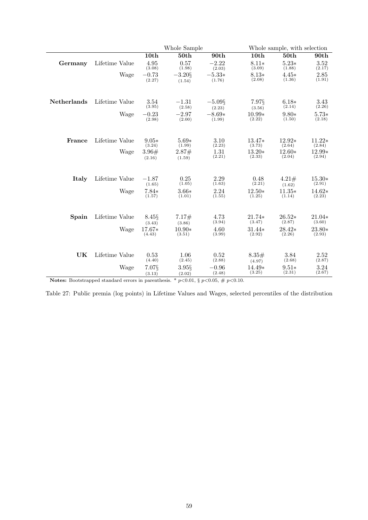|                                        |                                           |                   | Whole Sample        |                    |                    | Whole sample, with selection |                    |  |  |
|----------------------------------------|-------------------------------------------|-------------------|---------------------|--------------------|--------------------|------------------------------|--------------------|--|--|
|                                        |                                           | 10th              | 50th                | 90 <sub>th</sub>   | 10th               | 50th                         | 90th               |  |  |
| Germany                                | Lifetime Value                            | 4.95              | 0.57                | $-2.22$            | $8.11*$            | $5.23*$                      | 3.52               |  |  |
|                                        | Wage                                      | (3.08)<br>$-0.73$ | (1.98)<br>$-3.20$ § | (2.03)<br>$-5.33*$ | (3.09)<br>$8.13*$  | (1.88)<br>$4.45*$            | (2.17)<br>2.85     |  |  |
|                                        |                                           | (2.27)            | (1.54)              | (1.76)             | (2.08)             | (1.36)                       | (1.91)             |  |  |
|                                        |                                           |                   |                     |                    |                    |                              |                    |  |  |
|                                        |                                           |                   |                     |                    |                    |                              |                    |  |  |
| <b>Netherlands</b>                     | Lifetime Value                            | 3.54<br>(3.95)    | $-1.31$             | $-5.098$           | 7.97               | $6.18*$<br>(2.14)            | 3.43<br>(2.26)     |  |  |
|                                        |                                           | $-0.23$           | (2.58)<br>$-2.97$   | (2.23)<br>$-8.69*$ | (3.56)<br>$10.99*$ | $9.80*$                      | $5.73*$            |  |  |
|                                        | Wage                                      | (2.98)            | (2.00)              | (1.99)             | (2.22)             | (1.50)                       | (2.18)             |  |  |
|                                        |                                           |                   |                     |                    |                    |                              |                    |  |  |
|                                        |                                           |                   |                     |                    |                    |                              |                    |  |  |
| France                                 | Lifetime Value                            | $9.05*$<br>(3.24) | $5.69*$<br>(1.99)   | 3.10<br>(2.23)     | $13.47*$<br>(3.73) | $12.92*$<br>(2.64)           | $11.22*$<br>(2.84) |  |  |
|                                        | Wage                                      | $3.96\#$          | 2.87#               | 1.31               | $13.20*$           | $12.60*$                     | 12.99*             |  |  |
|                                        |                                           | (2.16)            | (1.59)              | (2.21)             | (2.33)             | (2.04)                       | (2.94)             |  |  |
|                                        |                                           |                   |                     |                    |                    |                              |                    |  |  |
|                                        |                                           |                   |                     |                    |                    |                              |                    |  |  |
| Italy                                  | Lifetime Value                            | $-1.87$<br>(1.65) | 0.25<br>(1.05)      | 2.29<br>(1.63)     | 0.48<br>(2.21)     | 4.21#<br>(1.62)              | $15.30*$<br>(2.91) |  |  |
|                                        | Wage                                      | 7.84*             | $3.66*$             | 2.24               | $12.50*$           | $11.35*$                     | 14.62*             |  |  |
|                                        |                                           | (1.57)            | (1.01)              | (1.55)             | (1.25)             | (1.14)                       | (2.23)             |  |  |
|                                        |                                           |                   |                     |                    |                    |                              |                    |  |  |
| Spain                                  | Lifetime Value                            | 8.45§             | 7.17#               | 4.73               | $21.74*$           | $26.52*$                     | $21.04*$           |  |  |
|                                        |                                           | (3.43)            | (3.86)              | (3.94)             | (3.47)             | (2.87)                       | (3.60)             |  |  |
|                                        | Wage                                      | 17.67*            | $10.90*$            | 4.60               | $31.44*$           | 28.42*                       | 23.80*             |  |  |
|                                        |                                           | (4.43)            | (3.51)              | (3.99)             | (2.92)             | (2.26)                       | (2.93)             |  |  |
|                                        |                                           |                   |                     |                    |                    |                              |                    |  |  |
| UK                                     | Lifetime Value                            | 0.53              | 1.06                | 0.52               | 8.35#              | 3.84                         | 2.52               |  |  |
|                                        |                                           | (4.40)            | (2.45)              | (2.88)             | (4.97)             | (2.68)                       | (2.87)             |  |  |
|                                        | Wage                                      | 7.07§<br>(3.13)   | $3.95\S$<br>(2.02)  | $-0.96$<br>(2.48)  | $14.49*$<br>(3.25) | $9.51*$<br>(2.31)            | 3.24<br>(2.67)     |  |  |
| <b>NT</b><br>$\mathbf{D}$ $\mathbf{D}$ | $\mathbf{1}$<br>$\mathbf{1}$ $\mathbf{1}$ | $\cdots$          |                     | $20.05 \times 11$  | (0.10)             |                              |                    |  |  |

Notes: Bootstrapped standard errors in parenthesis. \*  $p<0.01$ ,  $\frac{6}{5}p<0.05$ , #  $p<0.10$ .

Table 27: Public premia (log points) in Lifetime Values and Wages, selected percentiles of the distribution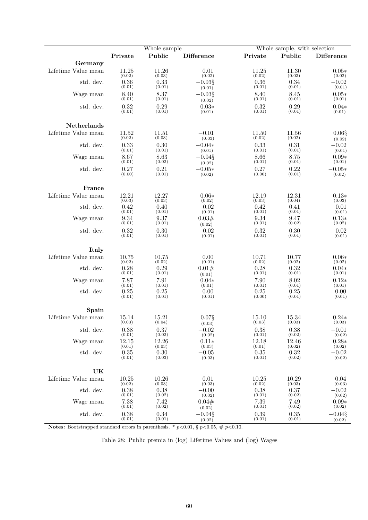|                     |                                       | Whole sample    |                     |                 | Whole sample, with selection |                   |  |  |
|---------------------|---------------------------------------|-----------------|---------------------|-----------------|------------------------------|-------------------|--|--|
|                     | Private                               | Public          | <b>Difference</b>   | Private         | Public                       | <b>Difference</b> |  |  |
| Germany             |                                       |                 |                     |                 |                              |                   |  |  |
| Lifetime Value mean | 11.25<br>(0.02)                       | 11.26<br>(0.03) | 0.01<br>(0.02)      | 11.25<br>(0.02) | 11.30<br>(0.03)              | $0.05*$<br>(0.02) |  |  |
| std. dev.           | 0.36                                  | 0.33            | $-0.03$ §           | 0.36            | 0.34                         | $-0.02$           |  |  |
|                     | (0.01)                                | (0.01)          | (0.01)              | (0.01)          | (0.01)                       | (0.01)            |  |  |
| Wage mean           | 8.40<br>(0.01)                        | 8.37<br>(0.01)  | $-0.03$ §<br>(0.02) | 8.40<br>(0.01)  | 8.45<br>(0.01)               | $0.05*$<br>(0.01) |  |  |
| std. dev.           | 0.32                                  | 0.29            | $-0.03*$            | 0.32            | 0.29                         | $-0.04*$          |  |  |
|                     | (0.01)                                | (0.01)          | (0.01)              | (0.01)          | (0.01)                       | (0.01)            |  |  |
| Netherlands         |                                       |                 |                     |                 |                              |                   |  |  |
| Lifetime Value mean | 11.52                                 | 11.51           | $-0.01$             | 11.50           | 11.56                        | $0.06$ §          |  |  |
| std. dev.           | (0.02)<br>0.33                        | (0.03)<br>0.30  | (0.03)<br>$-0.04*$  | (0.02)<br>0.33  | (0.02)<br>0.31               | (0.02)<br>$-0.02$ |  |  |
|                     | (0.01)                                | (0.01)          | (0.01)              | (0.01)          | (0.01)                       | (0.01)            |  |  |
| Wage mean           | 8.67<br>(0.01)                        | 8.63<br>(0.02)  | $-0.04\$<br>(0.02)  | 8.66<br>(0.01)  | 8.75<br>(0.01)               | $0.09*$<br>(0.01) |  |  |
| std. dev.           | 0.27                                  | 0.21            | $-0.05*$            | 0.27            | 0.22                         | $-0.05*$          |  |  |
|                     | (0.00)                                | (0.01)          | (0.02)              | (0.00)          | (0.01)                       | (0.02)            |  |  |
| France              |                                       |                 |                     |                 |                              |                   |  |  |
| Lifetime Value mean | 12.21                                 | 12.27           | $0.06*$             | 12.19           | 12.31                        | $0.13*$           |  |  |
|                     | (0.03)                                | (0.03)          | (0.02)              | (0.03)          | (0.04)                       | (0.03)            |  |  |
| std. dev.           | 0.42<br>(0.01)                        | 0.40<br>(0.01)  | $-0.02$<br>(0.01)   | 0.42<br>(0.01)  | 0.41<br>(0.01)               | $-0.01$<br>(0.01) |  |  |
| Wage mean           | 9.34<br>(0.01)                        | 9.37<br>(0.01)  | 0.03#               | 9.34<br>(0.01)  | 9.47<br>(0.02)               | $0.13*$<br>(0.02) |  |  |
| std. dev.           | 0.32                                  | $0.30\,$        | (0.02)<br>$-0.02$   | 0.32            | 0.30                         | $-0.02$           |  |  |
|                     | (0.01)                                | (0.01)          | (0.01)              | (0.01)          | (0.01)                       | (0.01)            |  |  |
| Italy               |                                       |                 |                     |                 |                              |                   |  |  |
| Lifetime Value mean | 10.75                                 | 10.75           | 0.00                | 10.71           | 10.77                        | $0.06*$           |  |  |
| std. dev.           | (0.02)<br>0.28                        | (0.02)<br>0.29  | (0.01)<br>0.01#     | (0.02)<br>0.28  | (0.02)<br>0.32               | (0.02)<br>$0.04*$ |  |  |
|                     | (0.01)                                | (0.01)          | (0.01)              | (0.01)          | (0.01)                       | (0.01)            |  |  |
| Wage mean           | 7.87<br>(0.01)                        | 7.91<br>(0.01)  | $0.04*$<br>(0.01)   | 7.90<br>(0.01)  | 8.02<br>(0.01)               | $0.12*$<br>(0.01) |  |  |
| std. dev.           | 0.25                                  | $0.25\,$        | 0.00                | 0.25            | 0.25                         | 0.00              |  |  |
|                     | (0.01)                                | (0.01)          | (0.01)              | (0.00)          | (0.01)                       | (0.01)            |  |  |
| Spain               |                                       |                 |                     |                 |                              |                   |  |  |
| Lifetime Value mean | $\underset{\left(0.03\right)}{15.14}$ | 15.21           | $0.07\S$            | 15.10           | 15.34                        | $0.24\ast$        |  |  |
| std. dev.           | 0.38                                  | (0.04)<br>0.37  | (0.03)<br>$-0.02$   | (0.03)<br>0.38  | (0.03)<br>0.38               | (0.03)<br>$-0.01$ |  |  |
|                     | (0.01)                                | (0.02)          | (0.02)              | (0.01)          | (0.02)                       | (0.02)            |  |  |
| Wage mean           | 12.15<br>(0.01)                       | 12.26<br>(0.03) | $0.11*$<br>(0.03)   | 12.18<br>(0.01) | 12.46<br>(0.02)              | $0.28*$<br>(0.02) |  |  |
| std. dev.           | 0.35                                  | 0.30            | $-0.05$             | 0.35            | 0.32                         | $-0.02$           |  |  |
|                     | (0.01)                                | (0.03)          | (0.03)              | (0.01)          | (0.02)                       | (0.02)            |  |  |
| UK                  |                                       |                 |                     |                 |                              |                   |  |  |
| Lifetime Value mean | 10.25                                 | 10.26           | 0.01                | 10.25           | 10.29                        | 0.04              |  |  |
| std. dev.           | (0.02)<br>0.38                        | (0.03)<br>0.38  | (0.03)<br>$-0.00$   | (0.02)<br>0.38  | (0.03)<br>0.37               | (0.03)<br>$-0.02$ |  |  |
|                     | (0.01)                                | (0.02)          | (0.02)              | (0.01)          | (0.02)                       | (0.02)            |  |  |
| Wage mean           | 7.38<br>(0.01)                        | 7.42<br>(0.02)  | 0.04#<br>(0.02)     | 7.39<br>(0.01)  | 7.49<br>(0.02)               | $0.09*$<br>(0.02) |  |  |
| std. dev.           | 0.38                                  | $0.34\,$        | $-0.04\$            | 0.39            | 0.35                         | $-0.04\S$         |  |  |
|                     | (0.01)                                | (0.01)          | (0.02)              | (0.01)          | (0.01)                       | (0.02)            |  |  |

Notes: Bootstrapped standard errors in parenthesis. \*  $p<0.01$ , §  $p<0.05$ , #  $p<0.10$ .

Table 28: Public premia in (log) Lifetime Values and (log) Wages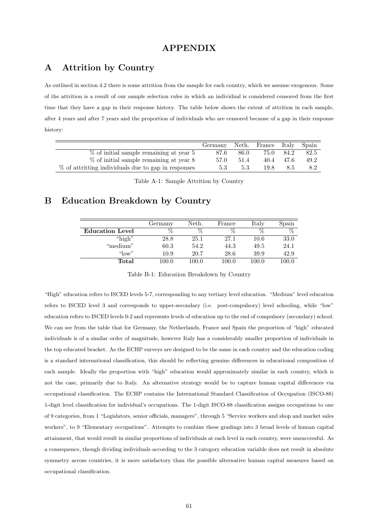### APPENDIX

### A Attrition by Country

As outlined in section 4.2 there is some attrition from the sample for each country, which we assume exogenous. Some of the attrition is a result of our sample selection rules in which an individual is considered censored from the first time that they have a gap in their response history. The table below shows the extent of attrition in each sample, after 4 years and after 7 years and the proportion of individuals who are censored because of a gap in their response history:

|                                                     | Germany | Neth. | France Italy |      | Spain |
|-----------------------------------------------------|---------|-------|--------------|------|-------|
| % of initial sample remaining at year 5             | 87.6    | 86.0  | 75.0         | 84.2 | 82.5  |
| % of initial sample remaining at year 8             | 57.0    | 51.4  | 40.4         | 47.6 | 49.2  |
| % of attritting individuals due to gap in responses | 5.3     | 5.3   | 19.8         |      | 8.2   |

|  | Table A-1: Sample Attrition by Country |  |
|--|----------------------------------------|--|
|  |                                        |  |

### B Education Breakdown by Country

|                        | Germany | Neth. | France | Italy | Spain     |
|------------------------|---------|-------|--------|-------|-----------|
| <b>Education Level</b> | $\%$    | $\%$  | $\%$   | $\%$  | %         |
| "high"                 | 28.8    | 25.1  | 27.1   | 10.6  | 33.0      |
| "medium"               | 60.3    | 54.2  | 44.3   | 49.5  | 24.1      |
| " $\omega$ "           | 10.9    | 20.7  | 28.6   | 39.9  | 42.9      |
| Total                  | 100.0   | 100.0 | 100.0  | 100.0 | $100.0\,$ |

Table B-1: Education Breakdown by Country

"High" education refers to ISCED levels 5-7, corresponding to any tertiary level education. "Medium" level education refers to ISCED level 3 and corresponds to upper-secondary (i.e. post-compulsory) level schooling, while "low" education refers to ISCED levels 0-2 and represents levels of education up to the end of compulsory (secondary) school. We can see from the table that for Germany, the Netherlands, France and Spain the proportion of "high" educated individuals is of a similar order of magnitude, however Italy has a considerably smaller proportion of individuals in the top educated bracket. As the ECHP surveys are designed to be the same in each country and the education coding is a standard international classification, this should be reflecting genuine differences in educational composition of each sample. Ideally the proportion with "high" education would approximately similar in each country, which is not the case, primarily due to Italy. An alternative strategy would be to capture human capital differences via occupational classification. The ECHP contains the International Standard Classification of Occupation (ISCO-88) 1-digit level classification for individual's occupations. The 1-digit ISCO-88 classification assigns occupations to one of 9 categories, from 1 "Legislators, senior officials, managers", through 5 "Service workers and shop and market sales workers", to 9 "Elementary occupations". Attempts to combine these gradings into 3 broad levels of human capital attainment, that would result in similar proportions of individuals at each level in each country, were unsuccessful. As a consequence, though dividing individuals according to the 3 category education variable does not result in absolute symmetry across countries, it is more satisfactory than the possible alternative human capital measures based on occupational classification.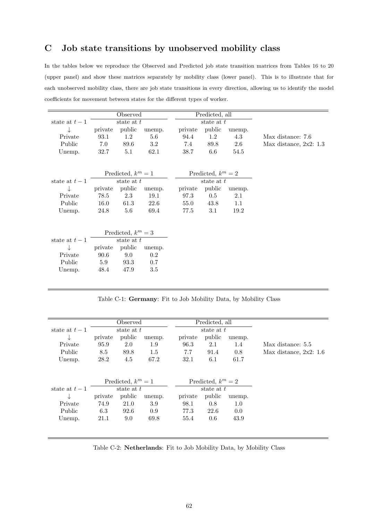# C Job state transitions by unobserved mobility class

In the tables below we reproduce the Observed and Predicted job state transition matrices from Tables 16 to 20 (upper panel) and show these matrices separately by mobility class (lower panel). This is to illustrate that for each unobserved mobility class, there are job state transitions in every direction, allowing us to identify the model coefficients for movement between states for the different types of worker.

|                |                | Observed             |         |         | Predicted, all       |        |                          |
|----------------|----------------|----------------------|---------|---------|----------------------|--------|--------------------------|
| state at $t-1$ |                | state at $t$         |         |         | state at $t$         |        |                          |
| $\downarrow$   | private        | public               | unemp.  | private | public               | unemp. |                          |
| Private        | 93.1           | 1.2                  | $5.6\,$ | 94.4    | 1.2                  | 4.3    | Max distance: 7.6        |
| Public         | 7.0            | 89.6                 | 3.2     | 7.4     | 89.8                 | 2.6    | Max distance, $2x2: 1.3$ |
| Unemp.         | 32.7           | 5.1                  | 62.1    | 38.7    | $6.6\,$              | 54.5   |                          |
|                |                |                      |         |         |                      |        |                          |
|                |                | Predicted, $k^m = 1$ |         |         | Predicted, $k^m = 2$ |        |                          |
| state at $t-1$ |                | state at $t$         |         |         | state at $t$         |        |                          |
| ↓              | private public |                      | unemp.  | private | public               | unemp. |                          |
| Private        | 78.5           | 2.3                  | 19.1    | 97.3    | $0.5\,$              | 2.1    |                          |
| Public         | 16.0           | 61.3                 | 22.6    | 55.0    | 43.8                 | 1.1    |                          |
| Unemp.         | 24.8           | 5.6                  | 69.4    | 77.5    | 3.1                  | 19.2   |                          |
|                |                |                      |         |         |                      |        |                          |
|                |                | Predicted, $k^m = 3$ |         |         |                      |        |                          |
| state at $t-1$ |                | state at $t$         |         |         |                      |        |                          |
|                | private public |                      | unemp.  |         |                      |        |                          |
| Private        | 90.6           | 9.0                  | $0.2\,$ |         |                      |        |                          |
| Public         | 5.9            | 93.3                 | 0.7     |         |                      |        |                          |
| Unemp.         | 48.4           | 47.9                 | 3.5     |         |                      |        |                          |
|                |                |                      |         |         |                      |        |                          |

Table C-1: Germany: Fit to Job Mobility Data, by Mobility Class

|                |            | Observed             |        |         | Predicted, all       |        |                          |
|----------------|------------|----------------------|--------|---------|----------------------|--------|--------------------------|
| state at $t-1$ | state at t |                      |        |         | state at t           |        |                          |
| ↓              | private    | public               | unemp. | private | public               | unemp. |                          |
| Private        | 95.9       | 2.0                  | 1.9    | 96.3    | 2.1                  | 1.4    | Max distance: 5.5        |
| Public         | 8.5        | 89.8                 | 1.5    | 7.7     | 91.4                 | 0.8    | Max distance, $2x2: 1.6$ |
| Unemp.         | 28.2       | 4.5                  | 67.2   | 32.1    | 6.1                  | 61.7   |                          |
|                |            |                      |        |         |                      |        |                          |
|                |            |                      |        |         |                      |        |                          |
|                |            | Predicted, $k^m = 1$ |        |         | Predicted, $k^m = 2$ |        |                          |
| state at $t-1$ |            | state at t           |        |         | state at t           |        |                          |
|                | private    | public               | unemp. | private | public               | unemp. |                          |
| Private        | 74.9       | 21.0                 | 3.9    | 98.1    | 0.8                  | 1.0    |                          |
| Public         | 6.3        | 92.6                 | 0.9    | 77.3    | 22.6                 | 0.0    |                          |
| Unemp.         | 21.1       | 9.0                  | 69.8   | 55.4    | 0.6                  | 43.9   |                          |
|                |            |                      |        |         |                      |        |                          |

Table C-2: Netherlands: Fit to Job Mobility Data, by Mobility Class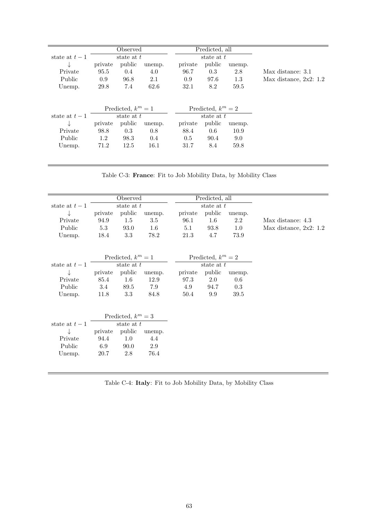|                |            | Observed             |        |         | Predicted, all       |        |                          |
|----------------|------------|----------------------|--------|---------|----------------------|--------|--------------------------|
| state at $t-1$ | state at t |                      |        |         | state at $t$         |        |                          |
| ↓              | private    | public               | unemp. | private | public               | unemp. |                          |
| Private        | 95.5       | $0.4\,$              | 4.0    | 96.7    | 0.3                  | 2.8    | Max distance: 3.1        |
| Public         | 0.9        | 96.8                 | 2.1    | 0.9     | 97.6                 | 1.3    | Max distance, $2x2: 1.2$ |
| Unemp.         | 29.8       | 7.4                  | 62.6   | 32.1    | 8.2                  | 59.5   |                          |
|                |            |                      |        |         |                      |        |                          |
|                |            | Predicted, $k^m = 1$ |        |         | Predicted, $k^m = 2$ |        |                          |
| state at $t-1$ |            | state at t           |        |         | state at t           |        |                          |
|                | private    | public               | unemp. | private | public               | unemp. |                          |
| Private        | 98.8       | 0.3                  | 0.8    | 88.4    | 0.6                  | 10.9   |                          |
| Public         | 1.2        | 98.3                 | 0.4    | 0.5     | 90.4                 | 9.0    |                          |
| Unemp.         | 71.2       | 12.5                 | 16.1   | 31.7    | 8.4                  | 59.8   |                          |

| Table C-3: France: Fit to Job Mobility Data, by Mobility Class |  |  |  |  |  |  |  |  |
|----------------------------------------------------------------|--|--|--|--|--|--|--|--|
|----------------------------------------------------------------|--|--|--|--|--|--|--|--|

|                |                      | Observed |         |         | Predicted, all       |         |                          |
|----------------|----------------------|----------|---------|---------|----------------------|---------|--------------------------|
| state at $t-1$ | state at $t$         |          |         |         | state at $t$         |         |                          |
| $\downarrow$   | private              | public   | unemp.  | private | public               | unemp.  |                          |
| Private        | 94.9                 | $1.5\,$  | 3.5     | 96.1    | $1.6\,$              | 2.2     | Max distance: 4.3        |
| Public         | 5.3                  | 93.0     | $1.6\,$ | 5.1     | 93.8                 | 1.0     | Max distance, $2x2: 1.2$ |
| Unemp.         | 18.4                 | 3.3      | 78.2    | 21.3    | 4.7                  | 73.9    |                          |
|                |                      |          |         |         |                      |         |                          |
|                | Predicted, $k^m = 1$ |          |         |         | Predicted, $k^m = 2$ |         |                          |
| state at $t-1$ | state at $t$         |          |         |         | state at $t$         |         |                          |
| T              | private public       |          | unemp.  | private | public               | unemp.  |                          |
| Private        | 85.4                 | $1.6\,$  | 12.9    | 97.3    | $2.0\,$              | 0.6     |                          |
| Public         | 3.4                  | 89.5     | 7.9     | 4.9     | 94.7                 | $0.3\,$ |                          |
| Unemp.         | 11.8                 | 3.3      | 84.8    | 50.4    | 9.9                  | 39.5    |                          |
|                |                      |          |         |         |                      |         |                          |
|                | Predicted, $k^m = 3$ |          |         |         |                      |         |                          |
| state at $t-1$ | state at t           |          |         |         |                      |         |                          |
| T              | private public       |          | unemp.  |         |                      |         |                          |
| Private        | 94.4                 | $1.0\,$  | 4.4     |         |                      |         |                          |
| Public         | 6.9                  | 90.0     | 2.9     |         |                      |         |                          |
| Unemp.         | 20.7                 | 2.8      | 76.4    |         |                      |         |                          |
|                |                      |          |         |         |                      |         |                          |

Table C-4: Italy: Fit to Job Mobility Data, by Mobility Class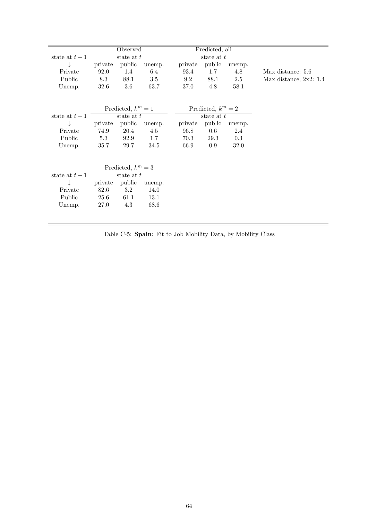|                |                      | Observed       |          |                      | Predicted, all |        |                          |
|----------------|----------------------|----------------|----------|----------------------|----------------|--------|--------------------------|
| state at $t-1$ | state at $t$         |                |          | state at $t$         |                |        |                          |
|                | private              | public         | unemp.   | private              | public         | unemp. |                          |
| Private        | 92.0                 | 1.4            | 6.4      | 93.4                 | $1.7\,$        | 4.8    | Max distance: 5.6        |
| Public         | 8.3                  | 88.1           | 3.5      | 9.2                  | 88.1           | 2.5    | Max distance, $2x2: 1.4$ |
| Unemp.         | 32.6                 | 3.6            | 63.7     | 37.0                 | 4.8            | 58.1   |                          |
|                |                      |                |          |                      |                |        |                          |
|                | Predicted, $k^m = 1$ |                |          | Predicted, $k^m = 2$ |                |        |                          |
| state at $t-1$ | state at $t$         |                |          | state at t           |                |        |                          |
|                |                      | private public | unemp.   | private              | public         | unemp. |                          |
| Private        | 74.9                 | 20.4           | 4.5      | 96.8                 | $0.6\,$        | 2.4    |                          |
| Public         | 5.3                  |                | 92.9 1.7 | 70.3                 | 29.3           | 0.3    |                          |
| Unemp.         | 35.7                 | 29.7           | 34.5     | 66.9                 | 0.9            | 32.0   |                          |
|                |                      |                |          |                      |                |        |                          |
|                | Predicted, $k^m = 3$ |                |          |                      |                |        |                          |
| state at $t-1$ | state at $t$         |                |          |                      |                |        |                          |
|                | private public       |                | unemp.   |                      |                |        |                          |
| Private        | 82.6                 | 3.2            | 14.0     |                      |                |        |                          |
| Public         | 25.6                 | 61.1           | 13.1     |                      |                |        |                          |
| Unemp.         | 27.0                 | 4.3            | 68.6     |                      |                |        |                          |
|                |                      |                |          |                      |                |        |                          |

Table C-5: Spain: Fit to Job Mobility Data, by Mobility Class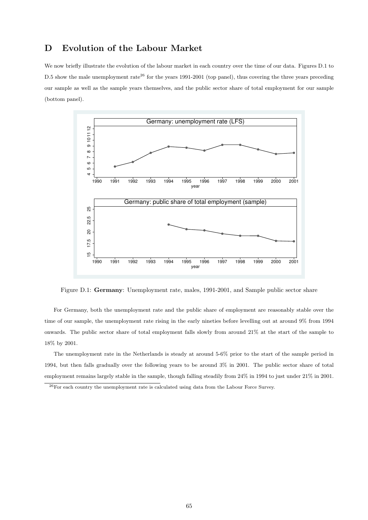### D Evolution of the Labour Market

We now briefly illustrate the evolution of the labour market in each country over the time of our data. Figures D.1 to D.5 show the male unemployment rate<sup>26</sup> for the years 1991-2001 (top panel), thus covering the three years preceding our sample as well as the sample years themselves, and the public sector share of total employment for our sample (bottom panel).



Figure D.1: Germany: Unemployment rate, males, 1991-2001, and Sample public sector share

For Germany, both the unemployment rate and the public share of employment are reasonably stable over the time of our sample, the unemployment rate rising in the early nineties before levelling out at around 9% from 1994 onwards. The public sector share of total employment falls slowly from around 21% at the start of the sample to 18% by 2001.

The unemployment rate in the Netherlands is steady at around 5-6% prior to the start of the sample period in 1994, but then falls gradually over the following years to be around 3% in 2001. The public sector share of total employment remains largely stable in the sample, though falling steadily from 24% in 1994 to just under 21% in 2001.

<sup>&</sup>lt;sup>26</sup>For each country the unemployment rate is calculated using data from the Labour Force Survey.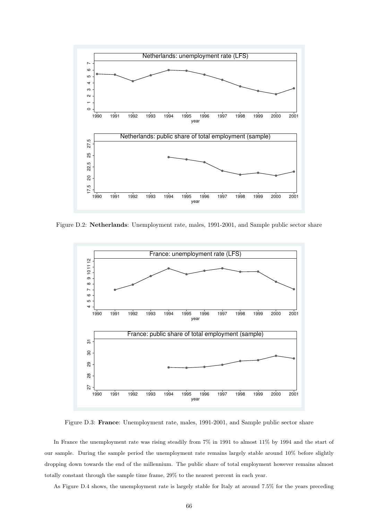

Figure D.2: Netherlands: Unemployment rate, males, 1991-2001, and Sample public sector share



Figure D.3: France: Unemployment rate, males, 1991-2001, and Sample public sector share

In France the unemployment rate was rising steadily from 7% in 1991 to almost 11% by 1994 and the start of our sample. During the sample period the unemployment rate remains largely stable around 10% before slightly dropping down towards the end of the millennium. The public share of total employment however remains almost totally constant through the sample time frame, 29% to the nearest percent in each year.

As Figure D.4 shows, the unemployment rate is largely stable for Italy at around 7.5% for the years preceding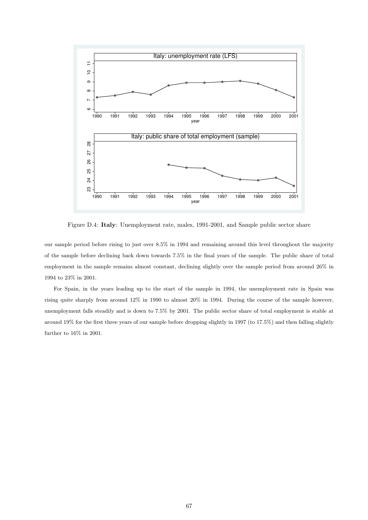

Figure D.4: Italy: Unemployment rate, males, 1991-2001, and Sample public sector share

our sample period before rising to just over 8.5% in 1994 and remaining around this level throughout the majority of the sample before declining back down towards 7.5% in the final years of the sample. The public share of total employment in the sample remains almost constant, declining slightly over the sample period from around 26% in 1994 to 23% in 2001.

For Spain, in the years leading up to the start of the sample in 1994, the unemployment rate in Spain was rising quite sharply from around 12% in 1990 to almost 20% in 1994. During the course of the sample however, unemployment falls steadily and is down to 7.5% by 2001. The public sector share of total employment is stable at around 19% for the first three years of our sample before dropping slightly in 1997 (to 17.5%) and then falling slightly further to 16% in 2001.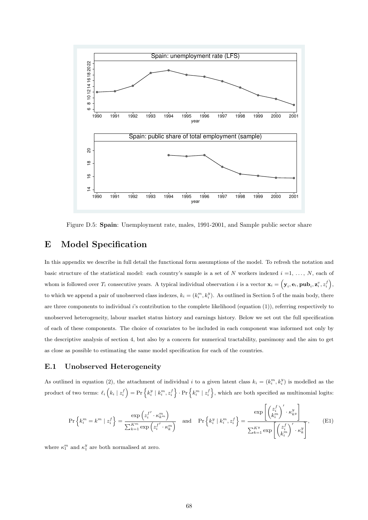

Figure D.5: Spain: Unemployment rate, males, 1991-2001, and Sample public sector share

## E Model Specification

In this appendix we describe in full detail the functional form assumptions of the model. To refresh the notation and basic structure of the statistical model: each country's sample is a set of N workers indexed  $i = 1, \ldots, N$ , each of whom is followed over  $T_i$  consecutive years. A typical individual observation i is a vector  $\mathbf{x}_i = (\mathbf{y}_i, \mathbf{e}_i, \mathbf{pub}_i, \mathbf{z}_i^v, z_i^f)$ , to which we append a pair of unobserved class indexes,  $k_i = (k_i^m, k_i^y)$ . As outlined in Section 5 of the main body, there are three components to individual i's contribution to the complete likelihood (equation (1)), referring respectively to unobserved heterogeneity, labour market status history and earnings history. Below we set out the full specification of each of these components. The choice of covariates to be included in each component was informed not only by the descriptive analysis of section 4, but also by a concern for numerical tractability, parsimony and the aim to get as close as possible to estimating the same model specification for each of the countries.

### E.1 Unobserved Heterogeneity

As outlined in equation (2), the attachment of individual i to a given latent class  $k_i = (k_i^m, k_i^y)$  is modelled as the product of two terms:  $\ell_i\left(k_i | z_i^f\right) = \Pr\left\{k_i^y | k_i^m, z_i^f\right\} \cdot \Pr\left\{k_i^m | z_i^f\right\}$ , which are both specified as multinomial logits:

$$
\Pr\left\{k_i^m = k^m \mid z_i^f\right\} = \frac{\exp\left(z_i^{f'} \cdot \kappa_{k^m}^m\right)}{\sum_{k=1}^{K^m} \exp\left(z_i^{f'} \cdot \kappa_k^m\right)} \quad \text{and} \quad \Pr\left\{k_i^y \mid k_i^m, z_i^f\right\} = \frac{\exp\left[\left(z_i^f\right)' \cdot \kappa_{k^y}^y\right]}{\sum_{k=1}^{K^y} \exp\left[\left(z_i^f\right)' \cdot \kappa_k^y\right]},\tag{E1}
$$

where  $\kappa_1^m$  and  $\kappa_1^y$  are both normalised at zero.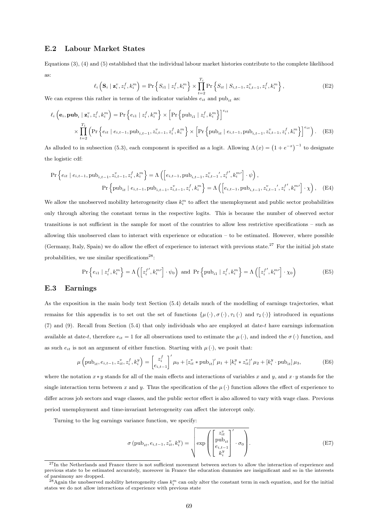### E.2 Labour Market States

Equations (3), (4) and (5) established that the individual labour market histories contribute to the complete likelihood as:

$$
\ell_i\left(\mathbf{S}_i \mid \mathbf{z}_i^v, z_i^f, k_i^m\right) = \Pr\left\{S_{i1} \mid z_i^f, k_i^m\right\} \times \prod_{t=2}^{T_i} \Pr\left\{S_{it} \mid S_{i,t-1}, z_{i,t-1}^v, z_i^f, k_i^m\right\},\tag{E2}
$$

We can express this rather in terms of the indicator variables  $e_{it}$  and pub<sub>it</sub> as:

$$
\ell_{i}\left(\mathbf{e}_{i}, \mathbf{pub}_{i} \mid \mathbf{z}_{i}^{v}, z_{i}^{f}, k_{i}^{m}\right) = \Pr\left\{e_{i1} \mid z_{i}^{f}, k_{i}^{m}\right\} \times \left[\Pr\left\{\text{pub}_{i1} \mid z_{i}^{f}, k_{i}^{m}\right\}\right]^{e_{it}}
$$
\n
$$
\times \prod_{t=2}^{T_{i}} \left(\Pr\left\{e_{it} \mid e_{i,t-1}, \text{pub}_{i,t-1}, z_{i,t-1}^{v}, z_{i}^{f}, k_{i}^{m}\right\} \times \left[\Pr\left\{\text{pub}_{it} \mid e_{i,t-1}, \text{pub}_{i,t-1}, z_{i,t-1}^{v}, z_{i}^{f}, k_{i}^{m}\right\}\right]^{e_{it}}\right). \tag{E3}
$$

As alluded to in subsection (5.3), each component is specified as a logit. Allowing  $\Lambda(x) = (1 + e^{-x})^{-1}$  to designate the logistic cdf:

$$
\Pr\left\{e_{it} \mid e_{i,t-1}, \text{pub}_{i,t-1}, z_{i,t-1}^v, z_i^f, k_i^m\right\} = \Lambda\left(\left[e_{i,t-1}, \text{pub}_{i,t-1}, z_{i,t-1}^v, z_i^{f'}, k_i^{m'}\right] \cdot \psi\right),\
$$
\n
$$
\Pr\left\{\text{pub}_{it} \mid e_{i,t-1}, \text{pub}_{i,t-1}, z_{i,t-1}^v, z_i^f, k_i^m\right\} = \Lambda\left(\left[e_{i,t-1}, \text{pub}_{i,t-1}, z_{i,t-1}^v', z_i^{f'}, k_i^{m'}\right] \cdot \chi\right),\tag{E4}
$$

We allow the unobserved mobility heterogeneity class  $k_i^m$  to affect the unemployment and public sector probabilities only through altering the constant terms in the respective logits. This is because the number of observed sector transitions is not sufficient in the sample for most of the countries to allow less restrictive specifications – such as allowing this unobserved class to interact with experience or education – to be estimated. However, where possible (Germany, Italy, Spain) we do allow the effect of experience to interact with previous state.<sup>27</sup> For the initial job state probabilities, we use similar specifications $^{28}$ :

$$
\Pr\left\{e_{i1} \mid z_i^f, k_i^m\right\} = \Lambda\left(\left[z_i^{f'}, k_i^{m'}\right] \cdot \psi_0\right) \text{ and } \Pr\left\{\text{pub}_{i1} \mid z_i^f, k_i^m\right\} = \Lambda\left(\left[z_i^{f'}, k_i^{m'}\right] \cdot \chi_0\right) \tag{E5}
$$

### E.3 Earnings

As the exposition in the main body text Section (5.4) details much of the modelling of earnings trajectories, what remains for this appendix is to set out the set of functions  $\{\mu(\cdot), \sigma(\cdot), \tau_1(\cdot) \text{ and } \tau_2(\cdot)\}\$  introduced in equations  $(7)$  and  $(9)$ . Recall from Section  $(5.4)$  that only individuals who are employed at date-t have earnings information available at date-t, therefore  $e_{it} = 1$  for all observations used to estimate the  $\mu(\cdot)$ , and indeed the  $\sigma(\cdot)$  function, and as such  $e_{it}$  is not an argument of either function. Starting with  $\mu(\cdot)$ , we posit that:

$$
\mu\left(\text{pub}_{it}, e_{i,t-1}, z_{it}^v, z_i^f, k_i^y\right) = \begin{bmatrix} z_i^f \\ e_{i,t-1} \end{bmatrix}' \mu_0 + \begin{bmatrix} z_{it}^v * \text{pub}_{it} \end{bmatrix}' \mu_1 + \begin{bmatrix} k_i^y * z_{it}^v \end{bmatrix}' \mu_2 + \begin{bmatrix} k_i^y \cdot \text{pub}_{it} \end{bmatrix} \mu_3,
$$
 (E6)

where the notation  $x * y$  stands for all of the main effects and interactions of variables x and y, and x · y stands for the single interaction term between x and y. Thus the specification of the  $\mu(\cdot)$  function allows the effect of experience to differ across job sectors and wage classes, and the public sector effect is also allowed to vary with wage class. Previous period unemployment and time-invariant heterogeneity can affect the intercept only.

Turning to the log earnings variance function, we specify:

$$
\sigma(pub_{it}, e_{i,t-1}, z_{it}^v, k_i^y) = \sqrt{\exp\left(\begin{bmatrix} z_{it}^v \\ pub_{it} \\ e_{i,t-1} \\ k_i^y \end{bmatrix}', \sigma_0\right)}.
$$
 (E7)

<sup>&</sup>lt;sup>27</sup>In the Netherlands and France there is not sufficient movement between sectors to allow the interaction of experience and previous state to be estimated accurately, moreover in France the education dummies are insignificant and so in the interests of parsimony are dropped.

<sup>&</sup>lt;sup>28</sup> Again the unobserved mobility heterogeneity class  $k_i^m$  can only alter the constant term in each equation, and for the initial states we do not allow interactions of experience with previous state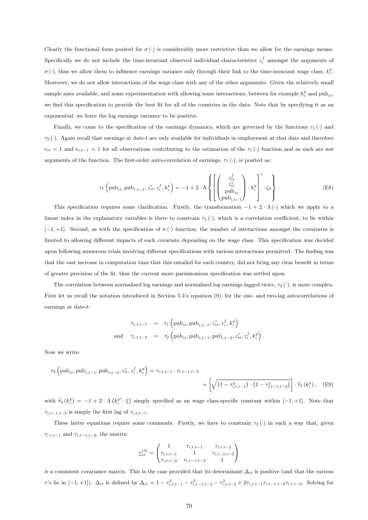Clearly the functional form posited for  $\sigma(\cdot)$  is considerably more restrictive than we allow for the earnings means. Specifically we do not include the time-invariant observed individual characteristics  $z_i^f$  amongst the arguments of  $\sigma(\cdot)$ , thus we allow them to influence earnings variance only through their link to the time-invariant wage class,  $k_i^y$ . Moreover, we do not allow interactions of the wage class with any of the other arguments. Given the relatively small sample sizes available, and some experimentation with allowing some interactions, between for example  $k_i^y$  and  $\text{pub}_{it}$ , we find this specification to provide the best fit for all of the countries in the data. Note that by specifying it as an exponential, we force the log earnings variance to be positive.

Finally, we come to the specification of the earnings dynamics, which are governed by the functions  $\tau_1(\cdot)$  and  $\tau_2$  (·). Again recall that earnings at date-t are only available for individuals in employment at that date and therefore  $e_{it} = 1$  and  $e_{i,t-1} = 1$  for all observations contributing to the estimation of the  $\tau_1(\cdot)$  function and as such are not arguments of the function. The first-order auto-correlation of earnings,  $\tau_1(\cdot)$ , is posited as:

$$
\tau_1 \left( \text{pub}_{it}, \text{pub}_{i,t-1}, z_{it}^v, z_i^f, k_i^y \right) = -1 + 2 \cdot \Lambda \left\{ \left[ \begin{pmatrix} z_{it}^f \\ z_{it}^v \\ \text{pub}_{it} \\ \text{pub}_{it-1} \end{pmatrix} \cdot k_i^y \right]' \cdot \zeta_0 \right\}.
$$
 (E8)

This specification requires some clarification. Firstly, the transformation  $-1 + 2 \cdot \Lambda(\cdot)$  which we apply to a linear index in the explanatory variables is there to constrain  $\tau_1(\cdot)$ , which is a correlation coefficient, to lie within  $[-1, +1]$ . Second, as with the specification of  $\sigma(\cdot)$  function, the number of interactions amongst the covariates is limited to allowing different impacts of each covariate depending on the wage class. This specification was decided upon following numerous trials involving different specifications with various interactions permitted. The finding was that the vast increase in computation time that this entailed for each country, did not bring any clear benefit in terms of greater precision of the fit, thus the current more parsimonious specification was settled upon.

The correlation between normalised log earnings and normalised log earnings lagged twice,  $\tau_2(\cdot)$ , is more complex. First let us recall the notation introduced in Section 5.4's equation (9), for the one- and two-lag autocorrelations of earnings at date-t:

$$
\tau_{i,t,t-1} = \tau_1 \left( \text{pub}_{it}, \text{pub}_{i,t-1}, z_{it}^v, z_i^f, k_i^y \right)
$$
  
and 
$$
\tau_{i,t,t-2} = \tau_2 \left( \text{pub}_{it}, \text{pub}_{i,t-1}, \text{pub}_{i,t-2}, z_{it}^v, z_i^f, k_i^y \right).
$$

Now we write:

$$
\tau_2 \left( \text{pub}_{it}, \text{pub}_{i,t-1}, \text{pub}_{i,t-2}, z_{it}^v, z_i^f, k_i^y \right) = \tau_{i,t,t-1} \cdot \tau_{i,t-1,t-2} + \left[ \sqrt{\left( 1 - \tau_{i,t-1}^2 \right) \cdot \left( 1 - \tau_{i,t-1,t-2}^2 \right)} \right] \cdot \tilde{\tau}_2 \left( k_i^y \right), \quad \text{(E9)}
$$

with  $\tilde{\tau}_2(k_i^y) = -1 + 2 \cdot \Lambda(k_i^y \cdot \xi)$  simply specified as an wage class-specific constant within  $[-1, +1]$ . Note that  $\tau_{i,t-1,t-2}$  is simply the first lag of  $\tau_{i,t,t-1}$ .

These latter equations require some comments. Firstly, we have to constrain  $\tau_2(\cdot)$  in such a way that, given  $\tau_{i,t,t-1}$  and  $\tau_{i,t-1,t-2}$ , the matrix:

$$
\mathcal{I}_{it}^{(3)} = \begin{pmatrix} 1 & \tau_{i,t,t-1} & \tau_{i,t,t-2} \\ \tau_{i,t,t-1} & 1 & \tau_{i,t-1,t-2} \\ \tau_{i,t,t-2} & \tau_{i,t-1,t-2} & 1 \end{pmatrix}
$$

is a consistent covariance matrix. This is the case provided that its determinant  $\Delta_{it}$  is positive (and that the various  $\tau$ 's lie in  $[-1, +1]$ ).  $\Delta_{it}$  is defined by  $\Delta_{it} = 1 - \tau_{i,t,t-1}^2 - \tau_{i,t-1,t-2}^2 - \tau_{i,t,t-2}^2 + 2\tau_{i,t,t-1}\tau_{i,t-1,t-2}\tau_{i,t,t-2}$ . Solving for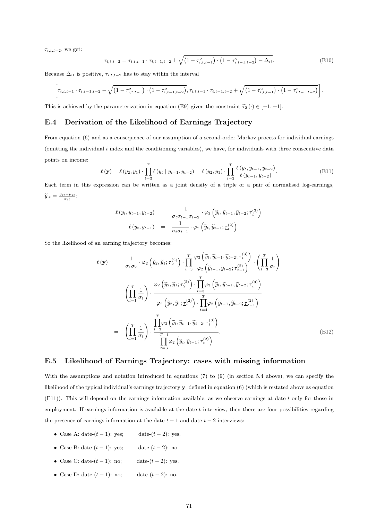$\tau_{i,t,t-2}$ , we get:

$$
\tau_{i,t,t-2} = \tau_{i,t,t-1} \cdot \tau_{i,t-1,t-2} \pm \sqrt{\left(1 - \tau_{i,t,t-1}^2\right) \cdot \left(1 - \tau_{i,t-1,t-2}^2\right) - \Delta_{it}}.\tag{E10}
$$

Because  $\Delta_{it}$  is positive,  $\tau_{i,t,t-2}$  has to stay within the interval

$$
\left[\tau_{i,t,t-1} \cdot \tau_{i,t-1,t-2} - \sqrt{\left(1 - \tau_{i,t,t-1}^2\right) \cdot \left(1 - \tau_{i,t-1,t-2}^2\right)}, \tau_{i,t,t-1} \cdot \tau_{i,t-1,t-2} + \sqrt{\left(1 - \tau_{i,t,t-1}^2\right) \cdot \left(1 - \tau_{i,t-1,t-2}^2\right)}\right].
$$

This is achieved by the parameterization in equation (E9) given the constraint  $\tilde{\tau}_2(\cdot) \in [-1, +1]$ .

#### E.4 Derivation of the Likelihood of Earnings Trajectory

From equation (6) and as a consequence of our assumption of a second-order Markov process for individual earnings (omitting the individual i index and the conditioning variables), we have, for individuals with three consecutive data points on income:

$$
\ell(\mathbf{y}) = \ell(y_2, y_1) \cdot \prod_{t=3}^{T} \ell(y_t | y_{t-1}, y_{t-2}) = \ell(y_2, y_1) \cdot \prod_{t=3}^{T} \frac{\ell(y_t, y_{t-1}, y_{t-2})}{\ell(y_{t-1}, y_{t-2})}.
$$
(E11)

Each term in this expression can be written as a joint density of a triple or a pair of normalised log-earnings,  $\widetilde{y}_{it} = \frac{y_{it} - \mu_{it}}{\sigma_{it}}$ :

$$
\ell(y_t, y_{t-1}, y_{t-2}) = \frac{1}{\sigma_t \sigma_{t-1} \sigma_{t-2}} \cdot \varphi_3 \left( \widetilde{y}_t, \widetilde{y}_{t-1}, \widetilde{y}_{t-2}; \underline{\tau}_t^{(3)} \right)
$$

$$
\ell(y_t, y_{t-1}) = \frac{1}{\sigma_t \sigma_{t-1}} \cdot \varphi_2 \left( \widetilde{y}_t, \widetilde{y}_{t-1}; \underline{\tau}_t^{(2)} \right)
$$

So the likelihood of an earning trajectory becomes:

$$
\ell(\mathbf{y}) = \frac{1}{\sigma_1 \sigma_2} \cdot \varphi_2 \left( \tilde{y}_2, \tilde{y}_1; \underline{\tau}_2^{(2)} \right) \cdot \prod_{t=3}^T \frac{\varphi_3 \left( \tilde{y}_t, \tilde{y}_{t-1}, \tilde{y}_{t-2}; \underline{\tau}_t^{(3)} \right)}{\varphi_2 \left( \tilde{y}_{t-1}, \tilde{y}_{t-2}; \underline{\tau}_{t-1}^{(2)} \right)} \cdot \left( \prod_{t=3}^T \frac{1}{\sigma_t} \right)
$$
\n
$$
= \left( \prod_{t=1}^T \frac{1}{\sigma_t} \right) \cdot \frac{\varphi_2 \left( \tilde{y}_2, \tilde{y}_1; \underline{\tau}_2^{(2)} \right) \cdot \prod_{t=3}^T \varphi_3 \left( \tilde{y}_t, \tilde{y}_{t-1}, \tilde{y}_{t-2}; \underline{\tau}_t^{(3)} \right)}{\varphi_2 \left( \tilde{y}_2, \tilde{y}_1; \underline{\tau}_2^{(2)} \right) \cdot \prod_{t=4}^T \varphi_2 \left( \tilde{y}_{t-1}, \tilde{y}_{t-2}; \underline{\tau}_t^{(2)} \right)}
$$
\n
$$
= \left( \prod_{t=1}^T \frac{1}{\sigma_t} \right) \cdot \frac{\prod_{t=3}^T \varphi_3 \left( \tilde{y}_t, \tilde{y}_{t-1}, \tilde{y}_{t-2}; \underline{\tau}_t^{(3)} \right)}{\prod_{t=3}^T \varphi_2 \left( \tilde{y}_t, \tilde{y}_{t-1}; \underline{\tau}_t^{(2)} \right)}.
$$
\n(E12)

#### E.5 Likelihood of Earnings Trajectory: cases with missing information

With the assumptions and notation introduced in equations (7) to (9) (in section 5.4 above), we can specify the likelihood of the typical individual's earnings trajectory  $y_i$  defined in equation (6) (which is restated above as equation (E11)). This will depend on the earnings information available, as we observe earnings at date-t only for those in employment. If earnings information is available at the date-t interview, then there are four possibilities regarding the presence of earnings information at the date- $t-1$  and date- $t-2$  interviews:

- Case A: date- $(t-1)$ : yes; date- $(t-2)$ : yes.
- Case B: date- $(t-1)$ : yes; date- $(t-2)$ : no.
- Case C: date- $(t-1)$ : no; date- $(t-2)$ : yes.
- Case D: date- $(t-1)$ : no; date- $(t-2)$ : no.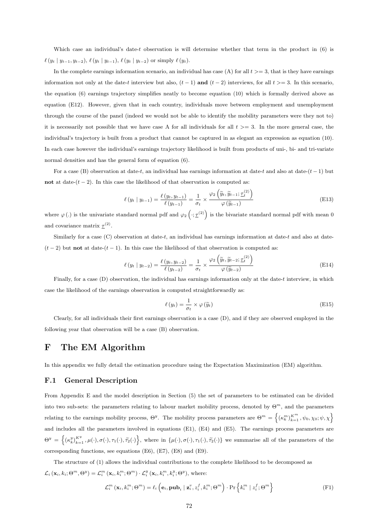Which case an individual's date-t observation is will determine whether that term in the product in (6) is  $\ell (y_t | y_{t-1}, y_{t-2}), \ell (y_t | y_{t-1}), \ell (y_t | y_{t-2})$  or simply  $\ell (y_t)$ .

In the complete earnings information scenario, an individual has case (A) for all  $t \geq 3$ , that is they have earnings information not only at the date-t interview but also,  $(t-1)$  and  $(t-2)$  interviews, for all  $t > = 3$ . In this scenario, the equation (6) earnings trajectory simplifies neatly to become equation (10) which is formally derived above as equation (E12). However, given that in each country, individuals move between employment and unemployment through the course of the panel (indeed we would not be able to identify the mobility parameters were they not to) it is necessarily not possible that we have case A for all individuals for all  $t \geq 3$ . In the more general case, the individual's trajectory is built from a product that cannot be captured in as elegant an expression as equation (10). In each case however the individual's earnings trajectory likelihood is built from products of uni-, bi- and tri-variate normal densities and has the general form of equation (6).

For a case (B) observation at date-t, an individual has earnings information at date-t and also at date- $(t-1)$  but not at date- $(t - 2)$ . In this case the likelihood of that observation is computed as:

$$
\ell(y_t \mid y_{t-1}) = \frac{\ell(y_t, y_{t-1})}{\ell(y_{t-1})} = \frac{1}{\sigma_t} \times \frac{\varphi_2\left(\widetilde{y}_t, \widetilde{y}_{t-1}; \underline{\tau}_t^{(2)}\right)}{\varphi\left(\widetilde{y}_{t-1}\right)}
$$
(E13)

where  $\varphi(.)$  is the univariate standard normal pdf and  $\varphi_2(.;\underline{\tau}^{(2)})$  is the bivariate standard normal pdf with mean 0 and covariance matrix  $\underline{\tau}^{(2)}$ .

Similarly for a case  $(C)$  observation at date-t, an individual has earnings information at date-t and also at date- $(t-2)$  but not at date- $(t-1)$ . In this case the likelihood of that observation is computed as:

$$
\ell(y_t | y_{t-2}) = \frac{\ell(y_t, y_{t-2})}{\ell(y_{t-2})} = \frac{1}{\sigma_t} \times \frac{\varphi_2(\widetilde{y}_t, \widetilde{y}_{t-2}; \underline{\tau}_t^{(2)})}{\varphi(\widetilde{y}_{t-2})}
$$
(E14)

Finally, for a case  $(D)$  observation, the individual has earnings information only at the date-t interview, in which case the likelihood of the earnings observation is computed straightforwardly as:

$$
\ell(y_t) = \frac{1}{\sigma_t} \times \varphi(\tilde{y}_t)
$$
 (E15)

Clearly, for all individuals their first earnings observation is a case (D), and if they are observed employed in the following year that observation will be a case (B) observation.

# F The EM Algorithm

In this appendix we fully detail the estimation procedure using the Expectation Maximization (EM) algorithm.

#### F.1 General Description

From Appendix E and the model description in Section (5) the set of parameters to be estimated can be divided into two sub-sets: the parameters relating to labour market mobility process, denoted by  $\Theta^m$ , and the parameters relating to the earnings mobility process,  $\Theta^y$ . The mobility process parameters are  $\Theta^m = \left\{ (\kappa_k^m)_{k=1}^{K^m}, \psi_0, \chi_0; \psi, \chi \right\}$ and includes all the parameters involved in equations (E1), (E4) and (E5). The earnings process parameters are  $\Theta^y = \left\{ (\kappa_k^y)_{k=1}^{K^y}, \mu(\cdot), \sigma(\cdot), \tau_1(\cdot), \tilde{\tau_2}(\cdot) \right\}$ , where in  $\{\mu(\cdot), \sigma(\cdot), \tau_1(\cdot), \tilde{\tau_2}(\cdot) \}$  we summarise all of the parameters of the corresponding functions, see equations  $(E6)$ ,  $(E7)$ ,  $(E8)$  and  $(E9)$ .

The structure of (1) allows the individual contributions to the complete likelihood to be decomposed as  $\mathcal{L}_i(\mathbf{x}_i, k_i; \Theta^m, \Theta^y) = \mathcal{L}_i^m(\mathbf{x}_i, k_i^m; \Theta^m) \cdot \mathcal{L}_i^y(\mathbf{x}_i, k_i^m, k_i^y; \Theta^y)$ , where:

$$
\mathcal{L}_i^m\left(\mathbf{x}_i, k_i^m; \Theta^m\right) = \ell_i\left(\mathbf{e}_i, \mathbf{pub}_i \mid \mathbf{z}_i^v, z_i^f, k_i^m; \Theta^m\right) \cdot \Pr\left\{k_i^m \mid z_i^f; \Theta^m\right\} \tag{F1}
$$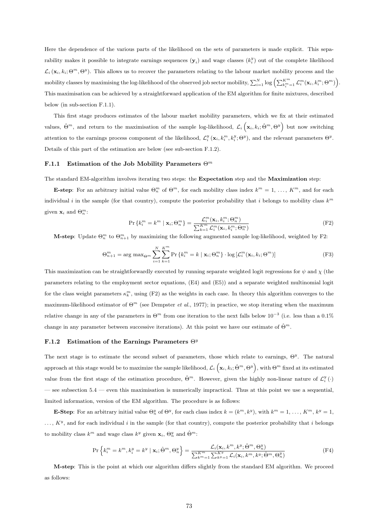Here the dependence of the various parts of the likelihood on the sets of parameters is made explicit. This separability makes it possible to integrate earnings sequences  $(\mathbf{y}_i)$  and wage classes  $(k_i^y)$  out of the complete likelihood  $\mathcal{L}_i(\mathbf{x}_i, k_i; \Theta^m, \Theta^y)$ . This allows us to recover the parameters relating to the labour market mobility process and the mobility classes by maximising the log-likelihood of the observed job sector mobility,  $\sum_{i=1}^N \log \left( \sum_{k_i^m=1}^{K^m} \mathcal{L}_i^m(\mathbf{x}_i, k_i^m;\Theta^m) \right)$ . This maximisation can be achieved by a straightforward application of the EM algorithm for finite mixtures, described below (in sub-section F.1.1).

This first stage produces estimates of the labour market mobility parameters, which we fix at their estimated values,  $\hat{\Theta}^m$ , and return to the maximisation of the sample log-likelihood,  $\mathcal{L}_i\left(\mathbf{x}_i, k_i; \hat{\Theta}^m, \Theta^y\right)$  but now switching attention to the earnings process component of the likelihood,  $\mathcal{L}_i^y(\mathbf{x}_i, k_i^m, k_i^y; \Theta^y)$ , and the relevant parameters  $\Theta^y$ . Details of this part of the estimation are below (see sub-section F.1.2).

#### F.1.1 Estimation of the Job Mobility Parameters  $\Theta^m$

The standard EM-algorithm involves iterating two steps: the Expectation step and the Maximization step:

**E-step:** For an arbitrary initial value  $\Theta_n^m$  of  $\Theta_m^m$ , for each mobility class index  $k^m = 1, \ldots, K^m$ , and for each individual i in the sample (for that country), compute the posterior probability that i belongs to mobility class  $k^m$ given  $\mathbf{x}_i$  and  $\Theta_n^m$ :

$$
\Pr\left\{k_i^m = k^m \mid \mathbf{x}_i; \Theta_n^m\right\} = \frac{\mathcal{L}_i^m(\mathbf{x}_i, k_i^m; \Theta_n^m)}{\sum_{k=1}^{K^m} \mathcal{L}_i^m(\mathbf{x}_i, k_i^m; \Theta_n^m)}
$$
(F2)

**M-step**: Update  $\Theta_n^m$  to  $\Theta_{n+1}^m$  by maximizing the following augmented sample log-likelihood, weighted by F2:

$$
\Theta_{n+1}^m = \arg \max_{\Theta^m} \sum_{i=1}^N \sum_{k=1}^{K^m} \Pr\left\{k_i^m = k \mid \mathbf{x}_i; \Theta_n^m\right\} \cdot \log\left[\mathcal{L}_i^m(\mathbf{x}_i, k_i; \Theta^m)\right]
$$
(F3)

This maximization can be straightforwardly executed by running separate weighted logit regressions for  $\psi$  and  $\chi$  (the parameters relating to the employment sector equations, (E4) and (E5)) and a separate weighted multinomial logit for the class weight parameters  $\kappa_k^m$ , using (F2) as the weights in each case. In theory this algorithm converges to the maximum-likelihood estimator of  $\Theta^m$  (see Dempster *et al.*, 1977); in practice, we stop iterating when the maximum relative change in any of the parameters in  $\Theta^m$  from one iteration to the next falls below  $10^{-3}$  (i.e. less than a 0.1%) change in any parameter between successive iterations). At this point we have our estimate of  $\hat{\Theta}^m$ .

#### F.1.2 Estimation of the Earnings Parameters  $\Theta^y$

The next stage is to estimate the second subset of parameters, those which relate to earnings,  $\Theta^y$ . The natural approach at this stage would be to maximize the sample likelihood,  $\mathcal{L}_i\left(\mathbf{x}_i, k_i; \hat{\Theta}^m, \Theta^y\right)$ , with  $\Theta^m$  fixed at its estimated value from the first stage of the estimation procedure,  $\hat{\Theta}^m$ . However, given the highly non-linear nature of  $\mathcal{L}_i^y(\cdot)$ — see subsection  $5.4$  — even this maximisation is numerically impractical. Thus at this point we use a sequential, limited information, version of the EM algorithm. The procedure is as follows:

**E-Step**: For an arbitrary initial value  $\Theta_n^y$  of  $\Theta^y$ , for each class index  $k = (k^m, k^y)$ , with  $k^m = 1, \ldots, K^m, k^y = 1$ ,  $\ldots$ ,  $K^y$ , and for each individual i in the sample (for that country), compute the posterior probability that i belongs to mobility class  $k^m$  and wage class  $k^y$  given  $\mathbf{x}_i$ ,  $\Theta_n^y$  and  $\hat{\Theta}^m$ :

$$
\Pr\left\{k_i^m = k^m, k_i^y = k^y \mid \mathbf{x}_i; \hat{\Theta}^m, \Theta_n^y\right\} = \frac{\mathcal{L}_i(\mathbf{x}_i, k^m, k^y; \hat{\Theta}^m, \Theta_n^y)}{\sum_{k^m=1}^{K^m} \sum_{k^y=1}^{K^y} \mathcal{L}_i(\mathbf{x}_i, k^m, k^y; \hat{\Theta}^m, \Theta_n^y)}
$$
(F4)

M-step: This is the point at which our algorithm differs slightly from the standard EM algorithm. We proceed as follows: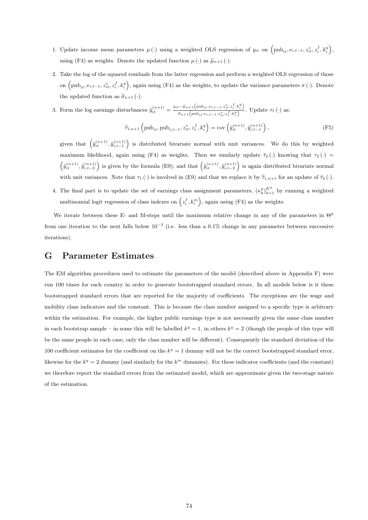- 1. Update income mean parameters  $\mu(\cdot)$  using a weighted OLS regression of  $y_{it}$  on  $(\text{pub}_{it}, e_{i,t-1}, z_{it}^v, z_i^f, k_i^y)$ , using (F4) as weights. Denote the updated function  $\mu(\cdot)$  as  $\hat{\mu}_{n+1}(\cdot)$ .
- 2. Take the log of the squared residuals from the latter regression and perform a weighted OLS regression of those on  $(\text{pub}_{it}, e_{i,t-1}, z_{it}^v, z_i^f, k_i^y),$  again using (F4) as the weights, to update the variance parameters  $\sigma(\cdot)$ . Denote the updated function as  $\hat{\sigma}_{n+1}(\cdot)$ .
- 3. Form the log earnings disturbances  $\tilde{y}_{it}^{(n+1)} = \frac{y_{it} \hat{\mu}_{n+1} \left(\text{pub}_{it}, e_{i,t-1}, z_{it}^v, z_i^f, k_i^y\right)}{\hat{\sigma}_{i,t} \left(\text{sub}_{i,t-1}, z_{i,t}^v, z_i^f, k_i^y\right)}$  $\frac{\sigma_{n+1}(\mathbf{r} - \mathbf{r}_{it}, \mathbf{r}_{it}) - \mathbf{r}_{it}, \mathbf{r}_{it}, \mathbf{r}_{it})}{\sigma_{n+1}(\text{pub}_{it}, e_{i,t-1}, z_{it}^u, z_i^f, k_i^y)}$ . Update  $\tau_1(\cdot)$  as:  $\widehat{\tau}_{1,n+1}\left(\text{pub}_{it}, \text{pub}_{i,t-1}, z_{it}^v, z_i^f, k_i^y\right) = \text{cov}\left(\tilde{y}_{it}^{(n+1)}, \tilde{y}_{i,t-1}^{(n+1)}\right)$  $(F5)$

given that  $(\tilde{y}_{it}^{(n+1)}, \tilde{y}_{i,t-1}^{(n+1)})$  is distributed bivariate normal with unit variances. We do this by weighted maximum likelihood, again using (F4) as weights. Then we similarly update  $\tilde{\tau}_2(\cdot)$  knowing that  $\tau_2(\cdot)$  $(\tilde{y}^{(n+1)}_{it}, \tilde{y}^{(n+1)}_{i,t-2})$  is given by the formula (E9), and that  $(\tilde{y}^{(n+1)}_{it}, \tilde{y}^{(n+1)}_{i,t-2})$  is again distributed bivariate normal with unit variances. Note that  $\tau_1(\cdot)$  is involved in (E9) and that we replace it by  $\hat{\tau}_{1,n+1}$  for an update of  $\tilde{\tau}_2(\cdot)$ .

4. The final part is to update the set of earnings class assignment parameters,  $(\kappa_k^y)_{k=1}^{K^y}$  by running a weighted multinomial logit regression of class indexes on  $(z_i^f, k_i^m)$ , again using (F4) as the weights.

We iterate between these E- and M-steps until the maximum relative change in any of the parameters in  $\Theta^y$ from one iteration to the next falls below  $10^{-3}$  (i.e. less than a 0.1% change in any parameter between successive iterations).

## G Parameter Estimates

The EM algorithm procedures used to estimate the parameters of the model (described above in Appendix F) were run 100 times for each country in order to generate bootstrapped standard errors. In all models below is it these bootstrapped standard errors that are reported for the majority of coefficients. The exceptions are the wage and mobility class indicators and the constant. This is because the class number assigned to a specific type is arbitrary within the estimation. For example, the higher public earnings type is not necessarily given the same class number in each bootstrap sample – in some this will be labelled  $k^y = 1$ , in others  $k^y = 2$  (though the people of this type will be the same people in each case, only the class number will be different). Consequently the standard deviation of the 100 coefficient estimates for the coefficient on the  $k^y = 1$  dummy will not be the correct bootstrapped standard error, likewise for the  $k^y = 2$  dummy (and similarly for the  $k^m$  dummies). For these indicator coefficients (and the constant) we therefore report the standard errors from the estimated model, which are approximate given the two-stage nature of the estimation.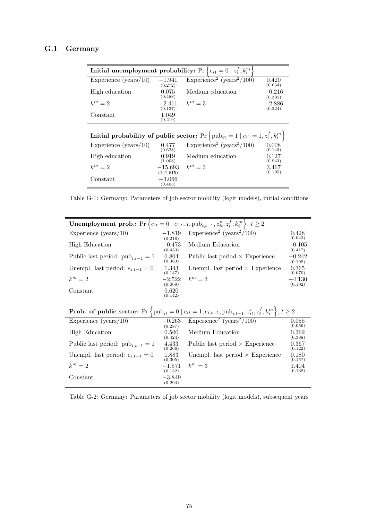## G.1 Germany

| Initial unemployment probability: $Pr \{e_{i1} = 0 \mid z_i^f, k_i^m\}$                                    |                        |                                                            |                     |  |  |
|------------------------------------------------------------------------------------------------------------|------------------------|------------------------------------------------------------|---------------------|--|--|
| Experience (years/10)                                                                                      | $-1.941$<br>(0.272)    | Experience <sup>2</sup> (years <sup>2</sup> /100)          | 0.420<br>(0.064)    |  |  |
| High education                                                                                             | 0.075<br>(0.488)       | Medium education                                           | $-0.216$<br>(0.395) |  |  |
| $k^m=2$                                                                                                    | $-2.411$<br>(0.137)    | $k^m=3$                                                    | $-2.886$<br>(0.224) |  |  |
| Constant                                                                                                   | 1.049<br>(0.219)       |                                                            |                     |  |  |
| Initial probability of public sector: $Pr\left\{\text{pub}_{i1} = 1 \mid e_{i1} = 1, z_i^f, k_i^m\right\}$ |                        |                                                            |                     |  |  |
|                                                                                                            |                        |                                                            |                     |  |  |
| Experience (years/10)                                                                                      | 0.477<br>(0.628)       | $\overline{\text{Experience}^2}$ (years <sup>2</sup> /100) | 0.008<br>(0.143)    |  |  |
| High education                                                                                             | 0.919<br>(1.008)       | Medium education                                           | 0.127<br>(0.943)    |  |  |
| $k^m=2$                                                                                                    | $-15.693$<br>(141.615) | $k^m=3$                                                    | 3.467<br>(0.195)    |  |  |
| Constant                                                                                                   | $-3.066$<br>(0.405)    |                                                            |                     |  |  |

Table G-1: Germany: Parameters of job sector mobility (logit models), initial conditions

| <b>Unemployment prob.:</b> Pr $\{e_{it} = 0 \mid e_{i,t-1}, \text{pub}_{i,t-1}, z_{it}^v, z_i^f, k_i^m\}, t \ge 2$ |                     |                                                   |                     |  |  |  |
|--------------------------------------------------------------------------------------------------------------------|---------------------|---------------------------------------------------|---------------------|--|--|--|
| Experience (years/10)                                                                                              | $-1.819$<br>(0.216) | Experience <sup>2</sup> (years <sup>2</sup> /100) | 0.428<br>(0.043)    |  |  |  |
| High Education                                                                                                     | $-0.473$<br>(0.453) | Medium Education                                  | $-0.105$<br>(0.417) |  |  |  |
| Public last period: $\text{pub}_{i,t-1} = 1$                                                                       | 0.804<br>(0.383)    | Public last period $\times$ Experience            | $-0.242$<br>(0.198) |  |  |  |
| Unempl. last period: $e_{i,t-1} = 0$                                                                               | 1.343<br>(0.147)    | Unempl. last period $\times$ Experience           | 0.365<br>(0.070)    |  |  |  |
| $k^m=2$                                                                                                            | $-2.522$<br>(0.069) | $k^m=3$                                           | $-4.130$<br>(0.192) |  |  |  |
| Constant                                                                                                           | 0.620<br>(0.142)    |                                                   |                     |  |  |  |

**Prob.** of public sector:  $Pr\left\{\text{pub}_{it} = 0 \mid e_{it} = 1, e_{i,t-1}, \text{pub}_{i,t-1}, z_{it}^v, z_i^f, k_i^m\right\}, t \geq 2$ 

| Experience (years/10)                        | $-0.263$<br>(0.287) | Experience <sup>2</sup> (years <sup>2</sup> /100) | 0.055<br>(0.056) |
|----------------------------------------------|---------------------|---------------------------------------------------|------------------|
| High Education                               | 0.500<br>(0.424)    | Medium Education                                  | 0.362<br>(0.388) |
| Public last period: $\text{pub}_{i,t-1} = 1$ | 4.433<br>(0.266)    | Public last period $\times$ Experience            | 0.367<br>(0.122) |
| Unempl. last period: $e_{i,t-1} = 0$         | 1.883<br>(0.305)    | Unempl. last period $\times$ Experience           | 0.180<br>(0.157) |
| $k^m=2$                                      | $-1.571$<br>(0.152) | $k^m=3$                                           | 1.404<br>(0.138) |
| Constant                                     | $-3.849$<br>(0.294) |                                                   |                  |

Table G-2: Germany: Parameters of job sector mobility (logit models), subsequent years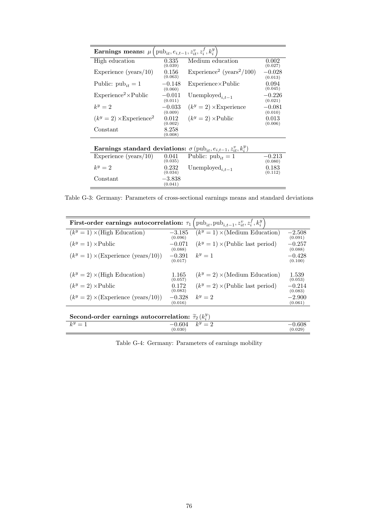|  |  | Earnings means: $\mu\left(\text{pub}_{it}, e_{i,t-1}, z_{it}^v, z_i^f, k_i^y\right)$ |  |
|--|--|--------------------------------------------------------------------------------------|--|
|--|--|--------------------------------------------------------------------------------------|--|

| High education<br>Medium education<br>0.335<br>0.002<br>(0.027)<br>(0.039)<br>Experience <sup>2</sup> (years <sup>2</sup> /100)<br>Experience (years/10)<br>$-0.028$<br>0.156<br>(0.063)<br>(0.013)<br>Public: $\text{pub}_{it} = 1$<br>$-0.148$<br>$Experience \times Public$<br>0.094<br>(0.045)<br>(0.060)<br>$\text{Experience}^2 \times \text{Public}$<br>$-0.226$<br>$-0.011$<br>Unemployed <sub>i.t-1</sub><br>(0.021)<br>(0.011)<br>$(k^y = 2) \times \text{Experience}$<br>$k^y=2$<br>$-0.033$<br>$-0.081$<br>(0.009)<br>(0.010)<br>$(k^y = 2) \times \text{Experience}^2$<br>$(k^y = 2)$ × Public<br>0.012<br>0.013 | <b>Earlings incans.</b> $\mu$ ( $\mu$ ) $\mu$ , $\epsilon_{i,t-1}, \epsilon_{i,t}, \epsilon_i$ , $\kappa_i$ |         |  |         |  |  |  |
|-------------------------------------------------------------------------------------------------------------------------------------------------------------------------------------------------------------------------------------------------------------------------------------------------------------------------------------------------------------------------------------------------------------------------------------------------------------------------------------------------------------------------------------------------------------------------------------------------------------------------------|-------------------------------------------------------------------------------------------------------------|---------|--|---------|--|--|--|
|                                                                                                                                                                                                                                                                                                                                                                                                                                                                                                                                                                                                                               |                                                                                                             |         |  |         |  |  |  |
|                                                                                                                                                                                                                                                                                                                                                                                                                                                                                                                                                                                                                               |                                                                                                             |         |  |         |  |  |  |
|                                                                                                                                                                                                                                                                                                                                                                                                                                                                                                                                                                                                                               |                                                                                                             |         |  |         |  |  |  |
|                                                                                                                                                                                                                                                                                                                                                                                                                                                                                                                                                                                                                               |                                                                                                             |         |  |         |  |  |  |
|                                                                                                                                                                                                                                                                                                                                                                                                                                                                                                                                                                                                                               |                                                                                                             |         |  |         |  |  |  |
|                                                                                                                                                                                                                                                                                                                                                                                                                                                                                                                                                                                                                               |                                                                                                             | (0.002) |  | (0.006) |  |  |  |
| 8.258<br>Constant<br>(0.008)                                                                                                                                                                                                                                                                                                                                                                                                                                                                                                                                                                                                  |                                                                                                             |         |  |         |  |  |  |

| Earnings standard deviations: $\sigma$ (pub <sub>it</sub> , $e_{i,t-1}$ , $z_{it}^v$ , $k_i^y$ ) |                     |                               |                     |  |
|--------------------------------------------------------------------------------------------------|---------------------|-------------------------------|---------------------|--|
| Experience (years/10)                                                                            | 0.041<br>(0.035)    | Public: $\text{pub}_{it} = 1$ | $-0.213$<br>(0.080) |  |
| $k^y=2$                                                                                          | 0.232<br>(0.034)    | Unemployed <sub>i.t-1</sub>   | 0.183<br>(0.112)    |  |
| Constant                                                                                         | $-3.838$<br>(0.041) |                               |                     |  |

Table G-3: Germany: Parameters of cross-sectional earnings means and standard deviations

| $(\text{pub}_{it}, \text{pub}_{i.t-1}, z_{it}^v, z_i^f, k_i^y)$<br>First-order earnings autocorrelation: $\tau_1$ |                     |                                         |                     |  |  |  |
|-------------------------------------------------------------------------------------------------------------------|---------------------|-----------------------------------------|---------------------|--|--|--|
| $(k^y = 1) \times (High Education)$                                                                               | $-3.185$<br>(0.096) | $(k^y = 1) \times (Medium Education)$   | $-2.508$<br>(0.091) |  |  |  |
| $(k^y = 1) \times \text{Public}$                                                                                  | $-0.071$<br>(0.088) | $(k^y = 1) \times$ (Public last period) | $-0.257$<br>(0.088) |  |  |  |
| $(k^y = 1) \times ( \text{Experience (years}/10) )$                                                               | $-0.391$<br>(0.017) | $k^y=1$                                 | $-0.428$<br>(0.100) |  |  |  |
| $(k^y = 2) \times (High Education)$                                                                               | 1.165<br>(0.057)    | $(k^y = 2)$ × (Medium Education)        | 1.539<br>(0.053)    |  |  |  |
| $(k^y = 2) \times \text{Public}$                                                                                  | 0.172<br>(0.083)    | $(k^y = 2)$ × (Public last period)      | $-0.214$<br>(0.083) |  |  |  |
| $(k^y = 2) \times (Exercise \text{ (years/10)})$                                                                  | $-0.328$<br>(0.016) | $k^y=2$                                 | $-2.900$<br>(0.061) |  |  |  |

|         | <b>Second-order earnings autocorrelation:</b> $\widetilde{\tau}_2(k_i^y)$ |          |
|---------|---------------------------------------------------------------------------|----------|
| $k^y=1$ | $-0.604$ $k^y = 2$                                                        | $-0.608$ |
|         | (0.030)                                                                   | (0.029)  |

Table G-4: Germany: Parameters of earnings mobility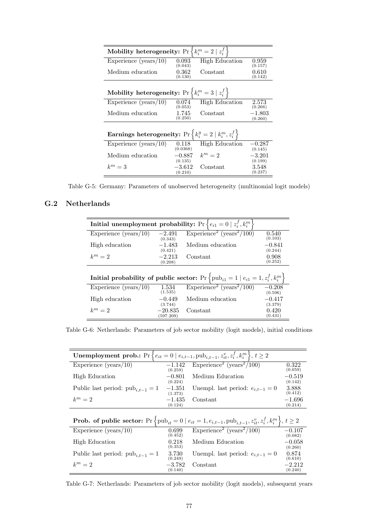| Mobility heterogeneity: $Pr \{ k_i^m = 2 \mid z_i^f \}$                        |                     |                       |                        |  |  |
|--------------------------------------------------------------------------------|---------------------|-----------------------|------------------------|--|--|
| Experience (years/10)                                                          | 0.093<br>(0.043)    | <b>High Education</b> | 0.959<br>(0.157)       |  |  |
| Medium education                                                               | 0.362<br>(0.130)    | Constant              | $\,0.610\,$<br>(0.142) |  |  |
|                                                                                |                     |                       |                        |  |  |
| Mobility heterogeneity: $\Pr\left\{k_i^m=3\mid z_i^f\right\}$                  |                     |                       |                        |  |  |
| Experience (years/ $10$ )                                                      | 0.074<br>(0.053)    | High Education        | 2.573<br>(0.266)       |  |  |
| Medium education                                                               | 1.745<br>(0.250)    | Constant              | $-1.803\,$<br>(0.260)  |  |  |
|                                                                                |                     |                       |                        |  |  |
| <b>Earnings heterogeneity:</b> Pr $\left\{k_i^y = 2 \mid k_i^m, z_i^f\right\}$ |                     |                       |                        |  |  |
| Experience ( $years/10$ )                                                      | 0.118<br>(0.0368)   | High Education        | $-0.287$<br>(0.145)    |  |  |
| Medium education                                                               | $-0.887$<br>(0.135) | $k^m=2$               | $-3.201\,$<br>(0.199)  |  |  |
| $k^m=3$                                                                        | $-3.612$<br>(0.210) | Constant              | 3.548<br>(0.237)       |  |  |

Table G-5: Germany: Parameters of unobserved heterogeneity (multinomial logit models)

## G.2 Netherlands

|                                                                                                            |                        | Initial unemployment probability: $Pr \{e_{i1} = 0 \mid z_i^f, k_i^m\}$ |                     |  |  |
|------------------------------------------------------------------------------------------------------------|------------------------|-------------------------------------------------------------------------|---------------------|--|--|
| Experience ( $years/10$ )                                                                                  | $-2.491$<br>(0.343)    | $\overline{\text{Experience}^2 \text{ (years}^2/100)}$                  | 0.540<br>(0.103)    |  |  |
| High education                                                                                             | $-1.483$<br>(0.421)    | Medium education                                                        | $-0.841$<br>(0.244) |  |  |
| $k^m=2$                                                                                                    | $-2.213$<br>(0.208)    | Constant                                                                | 0.908<br>(0.252)    |  |  |
| Initial probability of public sector: $Pr\left\{\text{pub}_{i1} = 1 \mid e_{i1} = 1, z_i^f, k_i^m\right\}$ |                        |                                                                         |                     |  |  |
| Experience (years/10)                                                                                      | 1.534<br>(1.535)       | Experience <sup>2</sup> (years <sup>2</sup> /100)                       | $-0.208$<br>(0.596) |  |  |
| High education                                                                                             | $-0.449$<br>(3.744)    | Medium education                                                        | $-0.417$<br>(3.379) |  |  |
| $k^m=2$                                                                                                    | $-20.835$<br>(597.209) | Constant                                                                | 0.420<br>(0.431)    |  |  |

Table G-6: Netherlands: Parameters of job sector mobility (logit models), initial conditions

| <b>Unemployment prob.:</b> Pr                |                     | $e_{it} = 0   e_{i,t-1}, \text{pub}_{i,t-1}, z_{it}^v, z_i^f, k_i^m \}, t \ge 2$                                                                       |                     |
|----------------------------------------------|---------------------|--------------------------------------------------------------------------------------------------------------------------------------------------------|---------------------|
| Experience (years/10)                        | $-1.142$<br>(0.259) | Experience <sup>2</sup> (years <sup>2</sup> /100)                                                                                                      | 0.322<br>(0.059)    |
| High Education                               | $-0.801$<br>(0.224) | Medium Education                                                                                                                                       | $-0.519$<br>(0.142) |
| Public last period: $\text{pub}_{i,t-1} = 1$ | $-1.351$<br>(1.373) | Unempl. last period: $e_{i,t-1} = 0$                                                                                                                   | 3.888<br>(0.412)    |
| $k^m=2$                                      | $-1.435$<br>(0.124) | Constant                                                                                                                                               | $-1.696$<br>(0.214) |
|                                              |                     |                                                                                                                                                        |                     |
|                                              |                     | <b>Prob.</b> of public sector: $Pr\left\{\text{pub}_{it} = 0 \mid e_{it} = 1, e_{i,t-1}, \text{pub}_{i,t-1}, z_{it}^v, z_i^f, k_i^m\right\}, t \geq 2$ |                     |
| Experience (years/10)                        | 0.699<br>(0.452)    | $\overline{\text{Experience}}^2$ (years <sup>2</sup> /100)                                                                                             | $-0.107$<br>(0.082) |
| High Education                               | 0.218<br>(0.353)    | Medium Education                                                                                                                                       | $-0.058$<br>(0.260) |
| Public last period: $\text{pub}_{i,t-1} = 1$ | 3.730<br>(0.249)    | Unempl. last period: $e_{i,t-1} = 0$                                                                                                                   | 0.874<br>(0.610)    |
| $k^m=2$                                      | $-3.782$<br>(0.140) | Constant                                                                                                                                               | $-2.212$<br>(0.240) |

Table G-7: Netherlands: Parameters of job sector mobility (logit models), subsequent years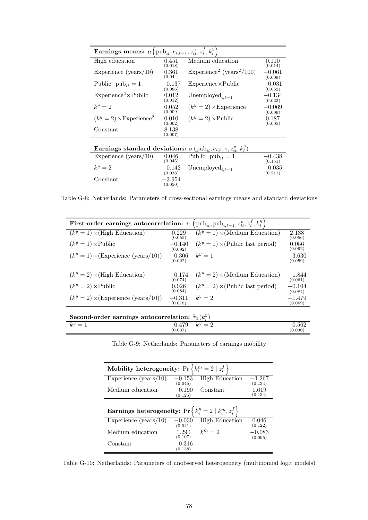| ${\rm pub}_{it}, e_{i,t-1}, z_{it}^v, z_i^f, k_i^y)$<br>Earnings means: $\mu$                    |                     |                                                   |                       |  |  |  |
|--------------------------------------------------------------------------------------------------|---------------------|---------------------------------------------------|-----------------------|--|--|--|
| High education                                                                                   | 0.451<br>(0.018)    | Medium education                                  | 0.110<br>(0.014)      |  |  |  |
| Experience (years/10)                                                                            | 0.361<br>(0.044)    | Experience <sup>2</sup> (years <sup>2</sup> /100) | $-0.061$<br>(0.009)   |  |  |  |
| Public: $\text{pub}_{it} = 1$                                                                    | $-0.137$<br>(0.086) | $Experience \times Public$                        | $-0.031$<br>(0.052)   |  |  |  |
| $\text{Experience}^2 \times \text{Public}$                                                       | 0.012<br>(0.012)    | Unemployed <sub>i.t-1</sub>                       | $-0.134$<br>(0.022)   |  |  |  |
| $k^y=2$                                                                                          | 0.052<br>(0.009)    | $(k^y = 2) \times$ Experience                     | $-0.069$<br>(0.009)   |  |  |  |
| $(k^y = 2) \times \text{Experience}^2$                                                           | 0.010<br>(0.002)    | $(k^y = 2) \times \text{Public}$                  | 0.187<br>(0.005)      |  |  |  |
| Constant                                                                                         | 8.138<br>(0.007)    |                                                   |                       |  |  |  |
| Earnings standard deviations: $\sigma$ (pub <sub>it</sub> , $e_{i,t-1}$ , $z_{it}^v$ , $k_i^y$ ) |                     |                                                   |                       |  |  |  |
| Experience (years/10)                                                                            | 0.046<br>(0.045)    | Public: $\text{pub}_{it} = 1$                     | $-0.438\,$<br>(0.151) |  |  |  |

| Experience (years/10) | 0.046<br>(0.045)    | Public: $\text{pub}_{it} = 1$ | $-0.438$<br>(0.151) |
|-----------------------|---------------------|-------------------------------|---------------------|
| $k^y=2$               | $-0.142$<br>(0.038) | Unemployed <sub>i.t-1</sub>   | $-0.035$<br>(0.211) |
| Constant              | $-3.954$<br>(0.050) |                               |                     |

Table G-8: Netherlands: Parameters of cross-sectional earnings means and standard deviations

| $\{\text{pub}_{it}, \text{pub}_{i,t-1}, z_{it}^v, z_i^f, k_i^y\}$<br>First-order earnings autocorrelation: $\tau_1$ |                     |                                         |                     |  |  |
|---------------------------------------------------------------------------------------------------------------------|---------------------|-----------------------------------------|---------------------|--|--|
| $(k^y = 1) \times (High Education)$                                                                                 | 0.229<br>(0.055)    | $(k^y = 1) \times (M$ edium Education)  | 2.138<br>(0.056)    |  |  |
| $(k^y = 1) \times \text{Public}$                                                                                    | $-0.140$<br>(0.092) | $(k^y = 1) \times$ (Public last period) | 0.056<br>(0.092)    |  |  |
| $(k^y = 1) \times ( \text{Experience (years}/10) )$                                                                 | $-0.306$<br>(0.022) | $k^y=1$                                 | $-3.630$<br>(0.059) |  |  |
| $(k^y = 2) \times (High Education)$                                                                                 | $-0.174$<br>(0.074) | $(k^y = 2)$ × (Medium Education)        | $-1.844$<br>(0.061) |  |  |
| $(k^y = 2) \times \text{Public}$                                                                                    | 0.026<br>(0.084)    | $(k^y = 2)$ × (Public last period)      | $-0.104$<br>(0.084) |  |  |
| $(k^y = 2) \times ( \text{Experience (years}/10) )$                                                                 | $-0.311$<br>(0.018) | $k^y=2$                                 | $-1.479$<br>(0.069) |  |  |

|           | <b>Second-order earnings autocorrelation:</b> $\widetilde{\tau}_2(k_i^y)$ |          |
|-----------|---------------------------------------------------------------------------|----------|
| $k^y = 1$ | $-0.479 \quad k^y = 2$                                                    | $-0.562$ |
|           | (0.037)                                                                   | (0.030)  |
|           |                                                                           |          |

Table G-9: Netherlands: Parameters of earnings mobility

| Mobility heterogeneity: Pr                                             |                       | $\{k_i^m=2\mid z_i^f\}$ |                     |
|------------------------------------------------------------------------|-----------------------|-------------------------|---------------------|
| Experience ( $years/10$ )                                              | $-0.153\,$<br>(0.045) | <b>High Education</b>   | $-1.267$<br>(0.134) |
| Medium education                                                       | $-0.190$<br>(0.125)   | Constant                | 1.619<br>(0.134)    |
| Earnings heterogeneity: $Pr\left\{k_i^y = 2 \mid k_i^m, z_i^f\right\}$ |                       |                         |                     |
| Experience ( $years/10$ )                                              | $-0.030$<br>(0.041)   | High Education          | 0.046<br>(0.122)    |
| Medium education                                                       | 1.290                 | $k^m=2$                 | $-0.083$            |
|                                                                        | (0.107)               |                         | (0.095)             |

Table G-10: Netherlands: Parameters of unobserved heterogeneity (multinomial logit models)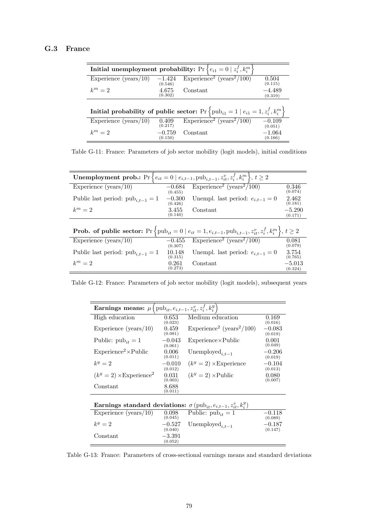### G.3 France

| Initial unemployment probability: $Pr \{e_{i1} = 0 \mid z_i^f, k_i^m\}$                                    |                                                   |                     |  |  |
|------------------------------------------------------------------------------------------------------------|---------------------------------------------------|---------------------|--|--|
| $-1.424$<br>(0.546)                                                                                        | Experience <sup>2</sup> (years <sup>2</sup> /100) | 0.504<br>(0.115)    |  |  |
| 4.675<br>(0.302)                                                                                           | Constant                                          | $-4.489$<br>(0.319) |  |  |
|                                                                                                            |                                                   |                     |  |  |
| Initial probability of public sector: $Pr\left\{\text{pub}_{i1} = 1 \mid e_{i1} = 1, z_i^f, k_i^m\right\}$ |                                                   |                     |  |  |
| 0.409<br>(0.217)                                                                                           | $\text{Experience}^2$ (years <sup>2</sup> /100)   | $-0.109$<br>(0.051) |  |  |
| $-0.759$                                                                                                   | Constant                                          | $-1.064$<br>(0.166) |  |  |
|                                                                                                            | (0.150)                                           |                     |  |  |

Table G-11: France: Parameters of job sector mobility (logit models), initial conditions

| <b>Unemployment prob.:</b> $\Pr\{e_{it} = 0 \mid e_{i,t-1}, \text{pub}_{i,t-1}, z_{it}^v, z_i^f, k_i^m\}, t \ge 2$                         |                     |                                                        |                     |  |  |
|--------------------------------------------------------------------------------------------------------------------------------------------|---------------------|--------------------------------------------------------|---------------------|--|--|
| Experience (years/10)                                                                                                                      | $-0.684$<br>(0.455) | Experience <sup>2</sup> (years <sup>2</sup> /100)      | 0.346<br>(0.074)    |  |  |
| Public last period: $\text{pub}_{i,t-1} = 1$                                                                                               | $-0.300$<br>(0.426) | Unempl. last period: $e_{i,t-1} = 0$                   | 2.462<br>(0.181)    |  |  |
| $k^m=2$                                                                                                                                    | 3.455<br>(0.140)    | Constant                                               | $-5.290$<br>(0.171) |  |  |
| <b>Prob.</b> of public sector: $Pr\{\text{pub}_{it} = 0 \mid e_{it} = 1, e_{i,t-1}, \text{pub}_{i,t-1}, z_{it}^v, z_i^f, k_i^m\}, t \ge 2$ |                     |                                                        |                     |  |  |
|                                                                                                                                            |                     |                                                        |                     |  |  |
| Experience (years/10)                                                                                                                      | $-0.455$<br>(0.307) | $\overline{\text{Experience}^2 \text{ (years}^2/100)}$ | 0.081<br>(0.079)    |  |  |
| Public last period: $\text{pub}_{i,t-1} = 1$                                                                                               | 10.148<br>(0.315)   | Unempl. last period: $e_{i,t-1} = 0$                   | 3.754<br>(0.765)    |  |  |
| $k^m=2$                                                                                                                                    | 0.261<br>(0.273)    | Constant                                               | $-5.013$<br>(0.324) |  |  |

Table G-12: France: Parameters of job sector mobility (logit models), subsequent years

| $\left[\text{pub}_{it}, e_{i,t-1}, z_{it}^v, z_i^f, k_i^y\right]$<br>Earnings means: $\mu$       |                     |                                                   |                     |  |
|--------------------------------------------------------------------------------------------------|---------------------|---------------------------------------------------|---------------------|--|
| High education                                                                                   | 0.653<br>(0.023)    | Medium education                                  | 0.169<br>(0.016)    |  |
| Experience (years/10)                                                                            | 0.459<br>(0.081)    | Experience <sup>2</sup> (years <sup>2</sup> /100) | $-0.083$<br>(0.019) |  |
| Public: $\text{pub}_{it} = 1$                                                                    | $-0.043$<br>(0.061) | $Experience \times Public$                        | 0.001<br>(0.049)    |  |
| $\text{Experience}^2 \times \text{Public}$                                                       | 0.006<br>(0.011)    | Unemployed <sub>i.t-1</sub>                       | $-0.206$<br>(0.019) |  |
| $k^y=2$                                                                                          | $-0.010$<br>(0.012) | $(k^y=2) \times \text{Experience}$                | $-0.104$<br>(0.013) |  |
| $(k^y = 2) \times \text{Experience}^2$                                                           | 0.031<br>(0.003)    | $(k^y = 2) \times \text{Public}$                  | 0.080<br>(0.007)    |  |
| Constant                                                                                         | 8.688<br>(0.011)    |                                                   |                     |  |
| Earnings standard deviations: $\sigma$ (pub <sub>it</sub> , $e_{i,t-1}$ , $z_{it}^v$ , $k_i^y$ ) |                     |                                                   |                     |  |
| Experience (years/10)                                                                            | 0.098<br>(0.045)    | Public: $\text{pub}_{it} = 1$                     | $-0.118$<br>(0.089) |  |
| $k^y=2$                                                                                          | $-0.527$<br>(0.040) | Unemployed <sub>i.t-1</sub>                       | $-0.187$<br>(0.147) |  |
| Constant                                                                                         | $-3.391$<br>(0.052) |                                                   |                     |  |

Table G-13: France: Parameters of cross-sectional earnings means and standard deviations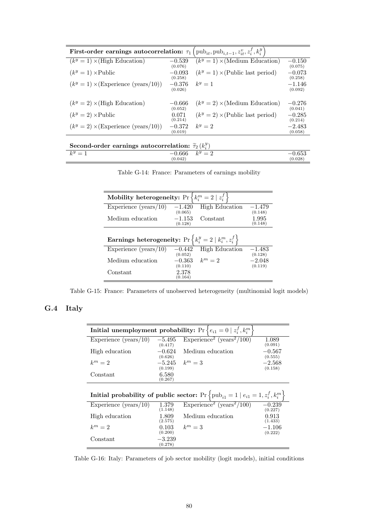| First-order earnings autocorrelation: $\tau_1$      | $(\text{pub}_{it}, \text{pub}_{i,t-1}, z_{it}^v, z_i^f, k_i^y)$ |                                         |                     |
|-----------------------------------------------------|-----------------------------------------------------------------|-----------------------------------------|---------------------|
| $(k^y = 1) \times (High Education)$                 | $-0.539$<br>(0.076)                                             | $(k^y = 1) \times (Medium Education)$   | $-0.150$<br>(0.075) |
| $(k^y = 1) \times \text{Public}$                    | $-0.093$<br>(0.258)                                             | $(k^y = 1) \times$ (Public last period) | $-0.073$<br>(0.258) |
| $(k^y = 1) \times ( \text{Experience (years}/10) )$ | $-0.376$<br>(0.026)                                             | $k^y=1$                                 | $-1.146$<br>(0.092) |
| $(k^y = 2) \times (High Education)$                 | $-0.666$<br>(0.052)                                             | $(k^y = 2)$ × (Medium Education)        | $-0.276$<br>(0.041) |
| $(k^y = 2) \times \text{Public}$                    | 0.071<br>(0.214)                                                | $(k^y = 2)$ × (Public last period)      | $-0.285$<br>(0.214) |
| $(k^y = 2) \times ( \text{Experience (years}/10) )$ | $-0.372$<br>(0.019)                                             | $k^y=2$                                 | $-2.483$<br>(0.058) |

| <b>Second-order earnings autocorrelation:</b> $\widetilde{\tau}_2(k_i^y)$ |                        |  |          |  |
|---------------------------------------------------------------------------|------------------------|--|----------|--|
| $k^y=1$                                                                   | $-0.666 \quad k^y = 2$ |  | $-0.653$ |  |
|                                                                           | (0.042)                |  | (0.028)  |  |

Table G-14: France: Parameters of earnings mobility

|                                                                     | $\big\{k_i^m=2\mid z_i^f\big\}$<br>Mobility heterogeneity: Pr |                       |            |  |  |
|---------------------------------------------------------------------|---------------------------------------------------------------|-----------------------|------------|--|--|
| Experience ( $years/10$ )                                           | $-1.420$                                                      | <b>High Education</b> | $-1.479$   |  |  |
|                                                                     | (0.065)                                                       |                       | (0.148)    |  |  |
| Medium education                                                    | $-1.153$                                                      | Constant              | 1.995      |  |  |
|                                                                     | (0.128)                                                       |                       | (0.148)    |  |  |
|                                                                     |                                                               |                       |            |  |  |
| <b>Earnings heterogeneity:</b> Pr $\{k_i^y = 2 \mid k_i^m, z_i^f\}$ |                                                               |                       |            |  |  |
| Experience (years/10)                                               | $-0.442$                                                      | High Education        | $-1.483$   |  |  |
|                                                                     | (0.052)                                                       |                       | (0.128)    |  |  |
| Medium education                                                    | $-0.363$                                                      | $k^m=2$               | $-2.048\,$ |  |  |
|                                                                     | (0.110)                                                       |                       | (0.119)    |  |  |
| Constant                                                            | 2.378                                                         |                       |            |  |  |
|                                                                     | (0.164)                                                       |                       |            |  |  |

Table G-15: France: Parameters of unobserved heterogeneity (multinomial logit models)

# G.4 Italy

| Initial unemployment probability: $Pr \{e_{i1} = 0 \mid z_i^f, k_i^m\}$                                    |                     |                                                   |                     |  |
|------------------------------------------------------------------------------------------------------------|---------------------|---------------------------------------------------|---------------------|--|
| Experience (years/10)                                                                                      | $-5.495$<br>(0.417) | Experience <sup>2</sup> (years <sup>2</sup> /100) | 1.089<br>(0.091)    |  |
| High education                                                                                             | $-0.624$<br>(0.626) | Medium education                                  | $-0.567$<br>(0.555) |  |
| $k^m=2$                                                                                                    | $-5.245$<br>(0.199) | $k^m=3$                                           | $-2.568$<br>(0.158) |  |
| Constant                                                                                                   | 6.580<br>(0.267)    |                                                   |                     |  |
| Initial probability of public sector: $Pr\left\{\text{pub}_{i1} = 1 \mid e_{i1} = 1, z_i^f, k_i^m\right\}$ |                     |                                                   |                     |  |
| Experience (years/10)                                                                                      | 1.379<br>(1.148)    | Experience <sup>2</sup> (years <sup>2</sup> /100) | $-0.239$<br>(0.227) |  |
| High education                                                                                             | 1.809<br>(2.575)    | Medium education                                  | 0.913<br>(1.433)    |  |
| $k^m=2$                                                                                                    | 0.103<br>(0.200)    | $k^m=3$                                           | $-1.106$<br>(0.222) |  |
| Constant                                                                                                   | $-3.239$<br>(0.278) |                                                   |                     |  |

Table G-16: Italy: Parameters of job sector mobility (logit models), initial conditions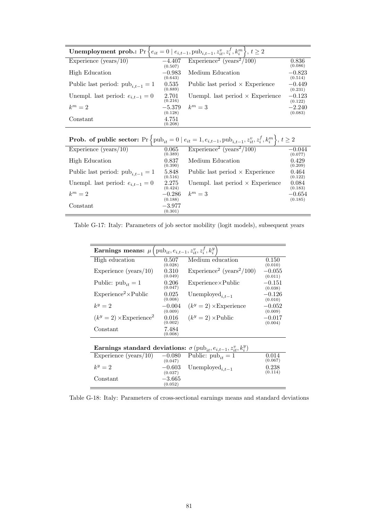| <b>Unemployment prob.:</b> Pr $\{e_{it} = 0 \mid e_{i,t-1}, \text{pub}_{i,t-1}, z_{it}^v, z_i^f, k_i^m\}, t \ge 2$ |                     |                                                   |                     |
|--------------------------------------------------------------------------------------------------------------------|---------------------|---------------------------------------------------|---------------------|
| Experience (years/10)                                                                                              | $-4.407$<br>(0.507) | Experience <sup>2</sup> (years <sup>2</sup> /100) | 0.836<br>(0.086)    |
| High Education                                                                                                     | $-0.983$<br>(0.643) | Medium Education                                  | $-0.823$<br>(0.514) |
| Public last period: $\text{pub}_{i,t-1} = 1$                                                                       | 0.535<br>(0.889)    | Public last period $\times$ Experience            | $-0.449$<br>(0.231) |
| Unempl. last period: $e_{i,t-1} = 0$                                                                               | 2.701<br>(0.216)    | Unempl. last period $\times$ Experience           | $-0.123$<br>(0.122) |
| $k^m=2$                                                                                                            | $-5.379$<br>(0.128) | $k^m=3$                                           | $-2.240$<br>(0.083) |
| Constant                                                                                                           | 4.751<br>(0.208)    |                                                   |                     |

|                                              |                     | <b>Prob.</b> of public sector: $Pr\{\text{pub}_{it} = 0 \mid e_{it} = 1, e_{i,t-1}, \text{pub}_{i,t-1}, z_{it}^v, z_i^f, k_i^m\}, t \ge 2$ |                     |
|----------------------------------------------|---------------------|--------------------------------------------------------------------------------------------------------------------------------------------|---------------------|
| Experience (years/10)                        | 0.065<br>(0.389)    | $\text{Experience}^2$ (years <sup>2</sup> /100)                                                                                            | $-0.044$<br>(0.077) |
| High Education                               | 0.837<br>(0.390)    | Medium Education                                                                                                                           | 0.429<br>(0.209)    |
| Public last period: $\text{pub}_{i,t-1} = 1$ | 5.848<br>(0.516)    | Public last period $\times$ Experience                                                                                                     | 0.464<br>(0.122)    |
| Unempl. last period: $e_{i,t-1} = 0$         | 2.275<br>(0.424)    | Unempl. last period $\times$ Experience                                                                                                    | 0.084<br>(0.183)    |
| $k^m=2$                                      | $-0.286$<br>(0.188) | $k^m=3$                                                                                                                                    | $-0.654$<br>(0.185) |
| Constant                                     | $-3.977$<br>(0.301) |                                                                                                                                            |                     |

Table G-17: Italy: Parameters of job sector mobility (logit models), subsequent years

| Earnings means: $\mu$                                                                            | $\left(\text{pub}_{it}, e_{i,t-1}, z_{it}^v, z_i^t, k_i^y\right)$ |                                                   |                     |  |  |
|--------------------------------------------------------------------------------------------------|-------------------------------------------------------------------|---------------------------------------------------|---------------------|--|--|
| High education                                                                                   | 0.507<br>(0.028)                                                  | Medium education                                  | 0.150<br>(0.010)    |  |  |
| Experience (years/10)                                                                            | 0.310<br>(0.049)                                                  | Experience <sup>2</sup> (years <sup>2</sup> /100) | $-0.055$<br>(0.011) |  |  |
| Public: $\text{pub}_{it} = 1$                                                                    | 0.206<br>(0.047)                                                  | $Experience \times Public$                        | $-0.151$<br>(0.038) |  |  |
| $\text{Experience}^2 \times \text{Public}$                                                       | 0.025<br>(0.008)                                                  | Unemployed <sub>i.t-1</sub>                       | $-0.126$<br>(0.010) |  |  |
| $k^y=2$                                                                                          | $-0.004$<br>(0.009)                                               | $(k^y=2) \times \text{Experience}$                | $-0.052$<br>(0.009) |  |  |
| $(k^y=2) \times \text{Experience}^2$                                                             | 0.016<br>(0.002)                                                  | $(k^y = 2) \times \text{Public}$                  | $-0.017$<br>(0.004) |  |  |
| Constant                                                                                         | 7.484<br>(0.008)                                                  |                                                   |                     |  |  |
|                                                                                                  |                                                                   |                                                   |                     |  |  |
| Earnings standard deviations: $\sigma$ (pub <sub>it</sub> , $e_{i,t-1}$ , $z_{it}^v$ , $k_i^y$ ) |                                                                   |                                                   |                     |  |  |
| Experience (years/10)                                                                            | $-0.080$<br>(0.047)                                               | Public: $\text{pub}_{it} = 1$                     | 0.014<br>(0.067)    |  |  |
| $k^y=2$                                                                                          | $-0.603$<br>(0.037)                                               | Unemployed <sub>i.t-1</sub>                       | 0.238<br>(0.114)    |  |  |
| Constant                                                                                         | $-3.665$<br>(0.052)                                               |                                                   |                     |  |  |

Table G-18: Italy: Parameters of cross-sectional earnings means and standard deviations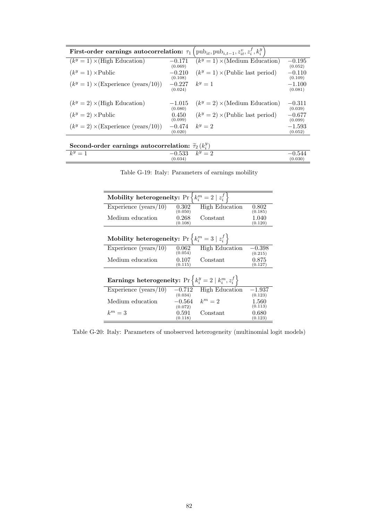| $(\text{pub}_{it}, \text{pub}_{i,t-1}, z_{it}^v, z_i^f, k_i^y)$<br>First-order earnings autocorrelation: $\tau_1$ |                     |                                         |                     |  |  |
|-------------------------------------------------------------------------------------------------------------------|---------------------|-----------------------------------------|---------------------|--|--|
| $(k^y = 1) \times (High Education)$                                                                               | $-0.171$<br>(0.069) | $(k^y = 1) \times (M$ edium Education)  | $-0.195$<br>(0.052) |  |  |
| $(k^y = 1) \times \text{Public}$                                                                                  | $-0.210$<br>(0.108) | $(k^y = 1) \times$ (Public last period) | $-0.110$<br>(0.109) |  |  |
| $(k^y = 1) \times ( \text{Experience (years}/10))$                                                                | $-0.227$<br>(0.024) | $k^y=1$                                 | $-1.100$<br>(0.081) |  |  |
| $(k^y = 2) \times (High Education)$                                                                               | $-1.015$<br>(0.080) | $(k^y = 2)$ × (Medium Education)        | $-0.311$<br>(0.039) |  |  |
| $(k^y = 2) \times \text{Public}$                                                                                  | 0.450<br>(0.099)    | $(k^y = 2)$ × (Public last period)      | $-0.677$<br>(0.099) |  |  |
| $(k^y = 2) \times ( \text{Experience (years}/10))$                                                                | $-0.474$<br>(0.020) | $k^y=2$                                 | $-1.593$<br>(0.052) |  |  |

|         | <b>Second-order earnings autocorrelation:</b> $\widetilde{\tau}_2(k_i^y)$ |          |
|---------|---------------------------------------------------------------------------|----------|
| $k^y=1$ | $-0.533 \quad k^y = 2$                                                    | $-0.544$ |
|         | (0.034)                                                                   | (0.030)  |

Table G-19: Italy: Parameters of earnings mobility

| Mobility heterogeneity: $\Pr\left\{k_i^m=2\mid z_i^f\right\}$          |                     |                |                        |  |  |
|------------------------------------------------------------------------|---------------------|----------------|------------------------|--|--|
| Experience ( $years/10$ )                                              | 0.302<br>(0.050)    | High Education | 0.802<br>(0.185)       |  |  |
| Medium education                                                       | 0.268<br>(0.108)    | Constant       | 1.040<br>(0.120)       |  |  |
| Mobility heterogeneity: $\Pr\left\{k_i^m=3\mid z_i^f\right\}$          |                     |                |                        |  |  |
| Experience (years/10)                                                  | 0.062<br>(0.054)    | High Education | $-0.398$<br>(0.215)    |  |  |
| Medium education                                                       | 0.107<br>(0.115)    | Constant       | 0.875<br>(0.127)       |  |  |
| Earnings heterogeneity: $Pr\left\{k_i^y = 2 \mid k_i^m, z_i^f\right\}$ |                     |                |                        |  |  |
| $\overline{\text{Experience}}$ (years/10)                              | $-0.712$<br>(0.034) | High Education | $-1.937$<br>(0.123)    |  |  |
| Medium education                                                       | $-0.564$<br>(0.072) | $k^m=2$        | 1.560<br>(0.113)       |  |  |
| $k^m=3$                                                                | 0.591<br>(0.118)    | Constant       | $\,0.680\,$<br>(0.123) |  |  |

Table G-20: Italy: Parameters of unobserved heterogeneity (multinomial logit models)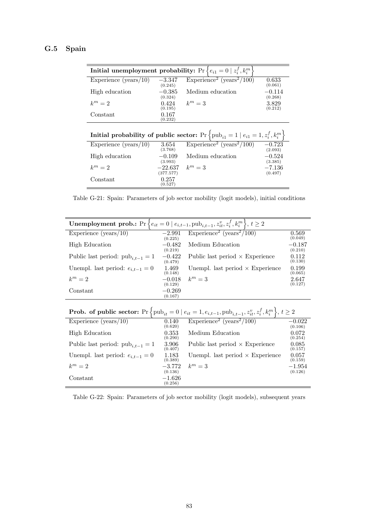|                                                                                                            |                        | Initial unemployment probability: $Pr \{e_{i1} = 0 \mid z_i^f, k_i^m\}$ |                     |  |
|------------------------------------------------------------------------------------------------------------|------------------------|-------------------------------------------------------------------------|---------------------|--|
| Experience (years/10)                                                                                      | $-3.347$<br>(0.245)    | $\overline{\text{Experience}^2 \text{ (years}^2/100)}$                  | 0.633<br>(0.061)    |  |
| High education                                                                                             | $-0.385$<br>(0.324)    | Medium education                                                        | $-0.114$<br>(0.268) |  |
| $k^m=2$                                                                                                    | 0.424<br>(0.195)       | $k^m=3$                                                                 | 3.829<br>(0.212)    |  |
| Constant                                                                                                   | 0.167<br>(0.232)       |                                                                         |                     |  |
| Initial probability of public sector: $Pr\left\{\text{pub}_{i1} = 1 \mid e_{i1} = 1, z_i^f, k_i^m\right\}$ |                        |                                                                         |                     |  |
| Experience (years/10)                                                                                      | 3.654<br>(3.768)       | $\text{Experience}^2$ (years <sup>2</sup> /100)                         | $-0.723$<br>(2.093) |  |
| High education                                                                                             | $-0.109$<br>(3.993)    | Medium education                                                        | $-0.524$<br>(3.385) |  |
| $k^m=2$                                                                                                    | $-22.637$<br>(377.577) | $k^m=3$                                                                 | $-7.136$<br>(0.497) |  |
| Constant                                                                                                   | 0.257<br>(0.527)       |                                                                         |                     |  |

Table G-21: Spain: Parameters of job sector mobility (logit models), initial conditions

| <b>Unemployment prob.:</b> Pr $\{e_{it} = 0 \mid e_{i,t-1}, \text{pub}_{i,t-1}, z_{it}^v, z_i^f, k_i^m\}, t \ge 2$ |                     |                                                   |                     |
|--------------------------------------------------------------------------------------------------------------------|---------------------|---------------------------------------------------|---------------------|
| Experience (years/10)                                                                                              | $-2.991$<br>(0.225) | Experience <sup>2</sup> (years <sup>2</sup> /100) | 0.569<br>(0.049)    |
| High Education                                                                                                     | $-0.482$<br>(0.219) | Medium Education                                  | $-0.187$<br>(0.210) |
| Public last period: $\text{pub}_{i,t-1} = 1$                                                                       | $-0.422$<br>(0.479) | Public last period $\times$ Experience            | 0.112<br>(0.130)    |
| Unempl. last period: $e_{i,t-1} = 0$                                                                               | 1.469<br>(0.148)    | Unempl. last period $\times$ Experience           | 0.199<br>(0.065)    |
| $k^m=2$                                                                                                            | $-0.018$<br>(0.129) | $k^m=3$                                           | 2.647<br>(0.127)    |
| Constant                                                                                                           | $-0.269$<br>(0.167) |                                                   |                     |

**Prob.** of public sector:  $Pr\left\{\text{pub}_{it} = 0 \mid e_{it} = 1, e_{i,t-1}, \text{pub}_{i,t-1}, z_{it}^v, z_i^f, k_i^m\right\}, t \geq 2$ 

| Experience (years/10)                        | 0.140<br>(0.620) | Experience <sup>2</sup> (years <sup>2</sup> /100) | $-0.022$<br>(0.106) |
|----------------------------------------------|------------------|---------------------------------------------------|---------------------|
| High Education                               | 0.353<br>(0.290) | Medium Education                                  | 0.072<br>(0.254)    |
| Public last period: $\text{pub}_{i,t-1} = 1$ | 3.906<br>(0.407) | Public last period $\times$ Experience            | 0.085<br>(0.157)    |
| Unempl. last period: $e_{i,t-1} = 0$         | 1.183<br>(0.389) | Unempl. last period $\times$ Experience           | 0.057<br>(0.159)    |
| $k^m=2$                                      | $-3.772$         | $k^m=3$                                           | $-1.954$            |
|                                              | (0.136)          |                                                   | (0.126)             |
| Constant                                     | $-1.626$         |                                                   |                     |
|                                              | (0.256)          |                                                   |                     |

Table G-22: Spain: Parameters of job sector mobility (logit models), subsequent years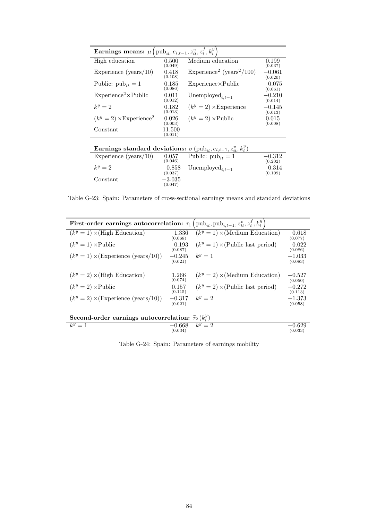| Earnings means: $\mu$                      |                   | ${\rm pub}_{it}, e_{i,t-1}, z_{it}^v, z_i^f, k_i^y$ |                     |
|--------------------------------------------|-------------------|-----------------------------------------------------|---------------------|
| High education                             | 0.500<br>(0.049)  | Medium education                                    | 0.199<br>(0.037)    |
| Experience (years/10)                      | 0.418<br>(0.108)  | Experience <sup>2</sup> (years <sup>2</sup> /100)   | $-0.061$<br>(0.020) |
| Public: $\text{pub}_{it} = 1$              | 0.185<br>(0.086)  | $Experience \times Public$                          | $-0.075$<br>(0.061) |
| $\text{Experience}^2 \times \text{Public}$ | 0.011<br>(0.012)  | Unemployed <sub>it-1</sub>                          | $-0.210$<br>(0.014) |
| $k^y=2$                                    | 0.182<br>(0.013)  | $(k^y = 2) \times \text{Experience}$                | $-0.145$<br>(0.013) |
| $(k^y = 2) \times \text{Experience}^2$     | 0.026<br>(0.003)  | $(k^y = 2) \times \text{Public}$                    | 0.015<br>(0.008)    |
| Constant                                   | 11.500<br>(0.011) |                                                     |                     |
|                                            |                   |                                                     |                     |

| Earnings standard deviations: $\sigma$ (pub <sub>it</sub> , $e_{i,t-1}, z_{it}^v, k_i^y$ ) |                     |                                     |                     |  |
|--------------------------------------------------------------------------------------------|---------------------|-------------------------------------|---------------------|--|
| Experience (years/10)                                                                      | (0.046)             | 0.057 Public: $\text{pub}_{it} = 1$ | $-0.312$<br>(0.202) |  |
| $k^y=2$                                                                                    | $-0.858$<br>(0.037) | Unemployed <sub>i.t-1</sub>         | $-0.314$<br>(0.109) |  |
| Constant                                                                                   | $-3.035$<br>(0.047) |                                     |                     |  |

Table G-23: Spain: Parameters of cross-sectional earnings means and standard deviations

| $(\text{pub}_{it}, \text{pub}_{i,t-1}, z_{it}^v, z_i^f, k_i^y)$<br>First-order earnings autocorrelation: $\tau_1$ |                     |                                         |                     |  |  |
|-------------------------------------------------------------------------------------------------------------------|---------------------|-----------------------------------------|---------------------|--|--|
| $(k^y = 1) \times (High Education)$                                                                               | $-1.336$<br>(0.068) | $(k^y = 1) \times (Medium Education)$   | $-0.618$<br>(0.077) |  |  |
| $(k^y = 1)$ × Public                                                                                              | $-0.193$<br>(0.087) | $(k^y = 1) \times$ (Public last period) | $-0.022$<br>(0.086) |  |  |
| $(k^y = 1) \times ( \text{Experience (years}/10) )$                                                               | $-0.245$<br>(0.021) | $k^y=1$                                 | $-1.033$<br>(0.083) |  |  |
| $(k^y = 2) \times (High Education)$                                                                               | 1.266<br>(0.074)    | $(k^y = 2) \times (Medium Education)$   | $-0.527$<br>(0.050) |  |  |
| $(k^y = 2) \times \text{Public}$                                                                                  | 0.157<br>(0.115)    | $(k^y = 2)$ × (Public last period)      | $-0.272$<br>(0.113) |  |  |
| $(k^y = 2) \times ( \text{Experience (years}/10) )$                                                               | $-0.317$<br>(0.021) | $k^y=2$                                 | $-1.373$<br>(0.058) |  |  |

|         | Second-order earnings autocorrelation: $\widetilde{\tau}_2(k_i^y)$ |          |
|---------|--------------------------------------------------------------------|----------|
| $k^y=1$ | $-0.668$ $k^y = 2$                                                 | $-0.629$ |
|         | (0.034)                                                            | (0.033)  |

Table G-24: Spain: Parameters of earnings mobility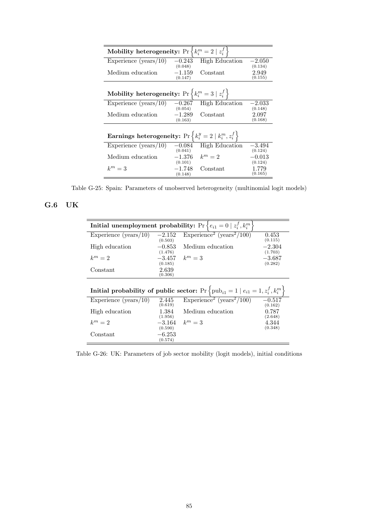| $\left\{k_i^m=2\mid z_i^f\right\}$<br>Mobility heterogeneity: Pr       |                     |                       |                     |  |  |  |  |
|------------------------------------------------------------------------|---------------------|-----------------------|---------------------|--|--|--|--|
| Experience ( $years/10$ )                                              | $-0.243$            | High Education        | $-2.050\,$          |  |  |  |  |
| Medium education                                                       | (0.048)<br>$-1.159$ | Constant              | (0.134)<br>2.949    |  |  |  |  |
|                                                                        | (0.147)             |                       | (0.155)             |  |  |  |  |
|                                                                        |                     |                       |                     |  |  |  |  |
| Mobility heterogeneity: $\Pr\left\{k_i^m=3\mid z_i^f\right\}$          |                     |                       |                     |  |  |  |  |
| Experience $(years/10)$                                                | $-0.267$            | <b>High Education</b> | $-2.033$            |  |  |  |  |
|                                                                        | (0.054)             |                       | (0.148)             |  |  |  |  |
| Medium education                                                       | $-1.289$            | Constant              | 2.097               |  |  |  |  |
|                                                                        | (0.163)             |                       | (0.168)             |  |  |  |  |
| Earnings heterogeneity: $Pr\left\{k_i^y = 2 \mid k_i^m, z_i^f\right\}$ |                     |                       |                     |  |  |  |  |
| Experience (years/10)                                                  | $-0.084$<br>(0.041) | High Education        | $-3.494$<br>(0.124) |  |  |  |  |
| Medium education                                                       | $-1.376$            | $k^m=2$               | $-0.013$            |  |  |  |  |
|                                                                        | (0.101)             |                       | (0.124)             |  |  |  |  |
| $k^m=3$                                                                | $-1.748$<br>(0.148) | Constant              | 1.779<br>(0.165)    |  |  |  |  |
|                                                                        |                     |                       |                     |  |  |  |  |

Table G-25: Spain: Parameters of unobserved heterogeneity (multinomial logit models)

# G.6 UK

|                                                                                                            |                     | Initial unemployment probability: $\Pr\{e_{i1}=0 \mid z_i^f, k_i^m\}$ |                     |  |  |  |
|------------------------------------------------------------------------------------------------------------|---------------------|-----------------------------------------------------------------------|---------------------|--|--|--|
| Experience (years/10)                                                                                      | $-2.152$<br>(0.503) | $\text{Experience}^2$ (years <sup>2</sup> /100)                       | 0.453<br>(0.115)    |  |  |  |
| High education                                                                                             | $-0.853$<br>(1.476) | Medium education                                                      | $-2.304$<br>(1.703) |  |  |  |
| $k^m=2$                                                                                                    | $-3.457$<br>(0.185) | $k^m=3$                                                               | $-3.687$<br>(0.282) |  |  |  |
| Constant                                                                                                   | 2.639<br>(0.306)    |                                                                       |                     |  |  |  |
| Initial probability of public sector: $Pr\left\{\text{pub}_{i1} = 1 \mid e_{i1} = 1, z_i^f, k_i^m\right\}$ |                     |                                                                       |                     |  |  |  |
| Experience (years/10)                                                                                      | 2.445<br>(0.619)    | Experience <sup>2</sup> (years <sup>2</sup> /100)                     | $-0.517$<br>(0.162) |  |  |  |
| High education                                                                                             | 1.384<br>(1.956)    | Medium education                                                      | 0.787<br>(2.648)    |  |  |  |
| $k^m=2$                                                                                                    | $-3.164$<br>(0.590) | $k^m=3$                                                               | 4.344<br>(0.348)    |  |  |  |
| Constant                                                                                                   | $-6.253$<br>(0.574) |                                                                       |                     |  |  |  |

Table G-26: UK: Parameters of job sector mobility (logit models), initial conditions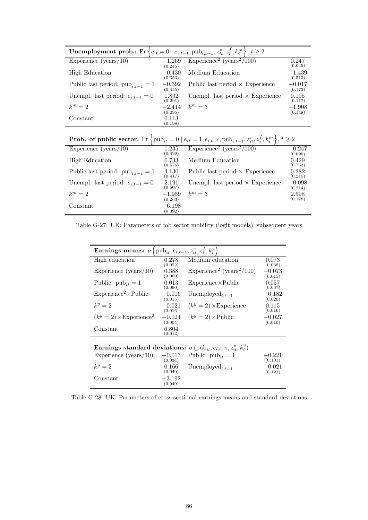| <b>Unemployment prob.:</b> Pr $\{e_{it} = 0 \mid e_{i,t-1}, \text{pub}_{i,t-1}, z_{it}^v, z_i^f, k_i^m\}, t \ge 2$ |                     |                                                 |                     |
|--------------------------------------------------------------------------------------------------------------------|---------------------|-------------------------------------------------|---------------------|
| Experience (years/10)                                                                                              | $-1.269$<br>(0.245) | $\text{Experience}^2$ (years <sup>2</sup> /100) | 0.247<br>(0.045)    |
| High Education                                                                                                     | $-0.430$<br>(0.353) | Medium Education                                | $-1.439$<br>(0.513) |
| Public last period: $\text{pub}_{i,t-1} = 1$                                                                       | $-0.392$<br>(0.455) | Public last period $\times$ Experience          | $-0.017$<br>(0.173) |
| Unempl. last period: $e_{i,t-1} = 0$                                                                               | 1.892<br>(0.291)    | Unempl. last period $\times$ Experience         | 0.195<br>(0.117)    |
| $k^m=2$                                                                                                            | $-2.414$<br>(0.095) | $k^m=3$                                         | $-1.908$<br>(0.148) |
| Constant                                                                                                           | 0.113<br>(0.198)    |                                                 |                     |

| <b>Prob.</b> of public sector: $Pr\left\{\text{pub}_{it} = 0 \mid e_{it} = 1, e_{i,t-1}, \text{pub}_{i,t-1}, z_{it}^v, z_i^f, k_i^m\right\}, t \ge 2$ |  |  |  |
|-------------------------------------------------------------------------------------------------------------------------------------------------------|--|--|--|
|-------------------------------------------------------------------------------------------------------------------------------------------------------|--|--|--|

| Experience (years/10)                        | 1.235<br>(0.499)    | Experience <sup>2</sup> (years <sup>2</sup> /100) | $-0.247$<br>(0.090) |
|----------------------------------------------|---------------------|---------------------------------------------------|---------------------|
| High Education                               | 0.733<br>(0.576)    | Medium Education                                  | 0.429<br>(0.753)    |
| Public last period: $\text{pub}_{i,t-1} = 1$ | 4.130<br>(0.417)    | Public last period $\times$ Experience            | 0.282<br>(0.215)    |
| Unempl. last period: $e_{i,t-1} = 0$         | 2.191<br>(0.507)    | Unempl. last period $\times$ Experience           | $-0.098$<br>(0.214) |
| $k^m=2$                                      | $-1.959$<br>(0.263) | $k^m=3$                                           | 2.598<br>(0.178)    |
| Constant                                     | $-6.198$<br>(0.392) |                                                   |                     |

Table G-27: UK: Parameters of job sector mobility (logit models), subsequent years

| Earnings means: $\mu$ (pub <sub>it</sub> , $e_{i,t-1}$ , $z_i^v$ , $z_i^f$ , $k_i^y$ |                     |                                                                                                  |                     |  |  |  |
|--------------------------------------------------------------------------------------|---------------------|--------------------------------------------------------------------------------------------------|---------------------|--|--|--|
| High education                                                                       | 0.278<br>(0.022)    | Medium education                                                                                 | 0.073<br>(0.038)    |  |  |  |
| Experience (years/10)                                                                | 0.388<br>(0.069)    | Experience <sup>2</sup> (years <sup>2</sup> /100)                                                | $-0.073$<br>(0.015) |  |  |  |
| Public: $\text{pub}_{it} = 1$                                                        | 0.013<br>(0.090)    | $Experience \times Public$                                                                       | 0.057<br>(0.067)    |  |  |  |
| $\text{Experience}^2 \times \text{Public}$                                           | $-0.016$<br>(0.015) | Unemployed <sub>i,t-1</sub>                                                                      | $-0.182$<br>(0.020) |  |  |  |
| $k^y=2$                                                                              | $-0.021$<br>(0.016) | $(k^y=2) \times \text{Experience}$                                                               | 0.115<br>(0.016)    |  |  |  |
| $(k^y = 2) \times \text{Experience}^2$                                               | $-0.024$<br>(0.004) | $(k^y = 2) \times \text{Public}$                                                                 | $-0.027$<br>(0.010) |  |  |  |
| Constant                                                                             | 6.804<br>(0.012)    |                                                                                                  |                     |  |  |  |
|                                                                                      |                     |                                                                                                  |                     |  |  |  |
|                                                                                      |                     | Earnings standard deviations: $\sigma$ (pub <sub>it</sub> , $e_{i,t-1}$ , $z_{it}^v$ , $k_i^y$ ) |                     |  |  |  |
| Experience (years/10)                                                                | $-0.013$<br>(0.034) | Public: $\text{pub}_{it} = 1$                                                                    | $-0.221$<br>(0.101) |  |  |  |
| $k^y=2$                                                                              | 0.166<br>(0.040)    | Unemployed <sub>i.t-1</sub>                                                                      | $-0.021$<br>(0.123) |  |  |  |
| Constant                                                                             | $-3.192$<br>(0.049) |                                                                                                  |                     |  |  |  |

Table G-28: UK: Parameters of cross-sectional earnings means and standard deviations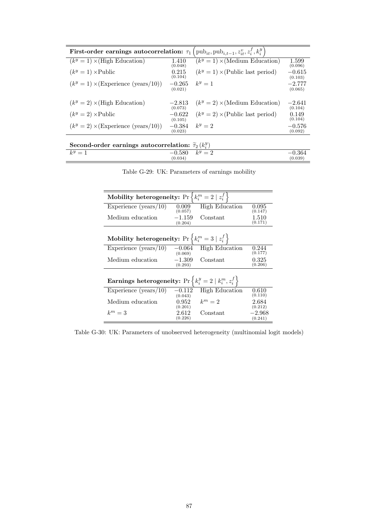| First-order earnings autocorrelation: $\tau_1$      | $\left(\text{pub}_{it}, \text{pub}_{i,t-1}, z_{it}^v, z_i^f, k_i^y\right)$ |                                         |                     |
|-----------------------------------------------------|----------------------------------------------------------------------------|-----------------------------------------|---------------------|
| $(k^y = 1) \times (High Education)$                 | 1.410<br>(0.048)                                                           | $(k^y = 1) \times (M$ edium Education)  | 1.599<br>(0.096)    |
| $(k^y = 1) \times \text{Public}$                    | 0.215<br>(0.104)                                                           | $(k^y = 1) \times$ (Public last period) | $-0.615$<br>(0.103) |
| $(k^y = 1) \times (Exercise (years/10))$            | $-0.265$<br>(0.021)                                                        | $k^y=1$                                 | $-2.777$<br>(0.065) |
| $(k^y = 2) \times (High Education)$                 | $-2.813$<br>(0.073)                                                        | $(k^y = 2) \times (Medium Education)$   | $-2.641$<br>(0.104) |
| $(k^y = 2) \times \text{Public}$                    | $-0.622$<br>(0.105)                                                        | $(k^y = 2)$ × (Public last period)      | 0.149<br>(0.104)    |
| $(k^y = 2) \times ( \text{Experience (years}/10) )$ | $-0.384$<br>(0.023)                                                        | $k^y=2$                                 | $-0.576$<br>(0.092) |

|         | <b>Second-order earnings autocorrelation:</b> $\widetilde{\tau}_2(k_i^y)$ |                     |          |
|---------|---------------------------------------------------------------------------|---------------------|----------|
| $k^y=1$ |                                                                           | $-0.580 \t k^y = 2$ | $-0.364$ |
|         | (0.034)                                                                   |                     | (0.039)  |

Table G-29: UK: Parameters of earnings mobility

| Mobility heterogeneity: $\Pr\{k_i^m=2\mid z_i^f\}$                   |                     |                |                         |  |  |  |
|----------------------------------------------------------------------|---------------------|----------------|-------------------------|--|--|--|
| Experience (years/10)                                                | 0.009<br>(0.057)    | High Education | 0.095<br>(0.147)        |  |  |  |
| Medium education                                                     | $-1.159$<br>(0.204) | Constant       | 1.510<br>(0.171)        |  |  |  |
|                                                                      |                     |                |                         |  |  |  |
| Mobility heterogeneity: $\Pr\left\{k_i^m=3\mid z_i^f\right\}$        |                     |                |                         |  |  |  |
| Experience (years/10)                                                | $-0.064$<br>(0.069) | High Education | 0.244<br>(0.177)        |  |  |  |
| Medium education                                                     | $-1.309$<br>(0.293) | Constant       | $\, 0.325\,$<br>(0.206) |  |  |  |
| Earnings heterogeneity: $\Pr\left\{k_i^y=2\mid k_i^m, z_i^f\right\}$ |                     |                |                         |  |  |  |
| Experience (years/10)                                                | $-0.112$<br>(0.043) | High Education | 0.610<br>(0.110)        |  |  |  |
| Medium education                                                     | 0.952<br>(0.201)    | $k^m=2$        | 2.684<br>(0.212)        |  |  |  |
| $k^m=3$                                                              | 2.612<br>(0.226)    | Constant       | $-2.968$<br>(0.241)     |  |  |  |

Table G-30: UK: Parameters of unobserved heterogeneity (multinomial logit models)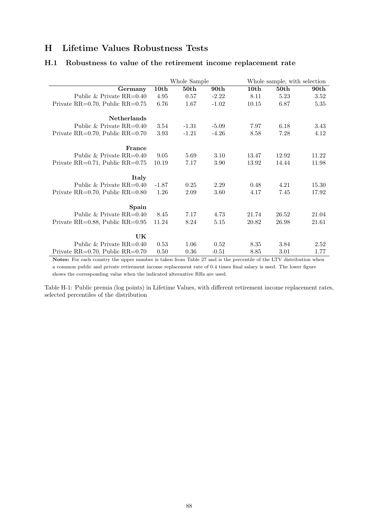# H Lifetime Values Robustness Tests

### H.1 Robustness to value of the retirement income replacement rate

|                                      | Whole Sample |         |                  |       | Whole sample, with selection |                  |
|--------------------------------------|--------------|---------|------------------|-------|------------------------------|------------------|
| Germany                              | 10th         | 50th    | 90 <sub>th</sub> | 10th  | 50th                         | 90 <sub>th</sub> |
| Public & Private RR=0.40             | 4.95         | 0.57    | $-2.22$          | 8.11  | 5.23                         | 3.52             |
| Private $RR=0.70$ , Public $RR=0.75$ | 6.76         | 1.67    | $-1.02$          | 10.15 | 6.87                         | 5.35             |
| Netherlands                          |              |         |                  |       |                              |                  |
| Public & Private RR=0.40             | 3.54         | $-1.31$ | $-5.09$          | 7.97  | 6.18                         | 3.43             |
| Private $RR=0.70$ , Public $RR=0.70$ | 3.93         | $-1.21$ | $-4.26$          | 8.58  | 7.28                         | 4.12             |
| France                               |              |         |                  |       |                              |                  |
| Public & Private RR=0.40             | 9.05         | 5.69    | 3.10             | 13.47 | 12.92                        | 11.22            |
| Private $RR=0.71$ , Public $RR=0.75$ | 10.19        | 7.17    | 3.90             | 13.92 | 14.44                        | 11.98            |
| Italy                                |              |         |                  |       |                              |                  |
| Public & Private RR=0.40             | $-1.87$      | 0.25    | 2.29             | 0.48  | 4.21                         | 15.30            |
| Private $RR=0.70$ , Public $RR=0.80$ | 1.26         | 2.09    | 3.60             | 4.17  | 7.45                         | 17.92            |
| Spain                                |              |         |                  |       |                              |                  |
| Public & Private RR=0.40             | 8.45         | 7.17    | 4.73             | 21.74 | 26.52                        | 21.04            |
| Private RR=0.88, Public RR=0.95      | 11.24        | 8.24    | 5.15             | 20.82 | 26.98                        | 21.61            |
| UK                                   |              |         |                  |       |                              |                  |
| Public & Private RR=0.40             | 0.53         | 1.06    | 0.52             | 8.35  | 3.84                         | 2.52             |
| Private $RR=0.70$ , Public $RR=0.70$ | 0.50         | 0.36    | $-0.51$          | 8.85  | 3.01                         | 1.77             |

Notes: For each country the upper number is taken from Table 27 and is the percentile of the LTV distribution when a common public and private retirement income replacement rate of 0.4 times final salary is used. The lower figure shows the corresponding value when the indicated alternative RRs are used.

Table H-1: Public premia (log points) in Lifetime Values, with different retirement income replacement rates, selected percentiles of the distribution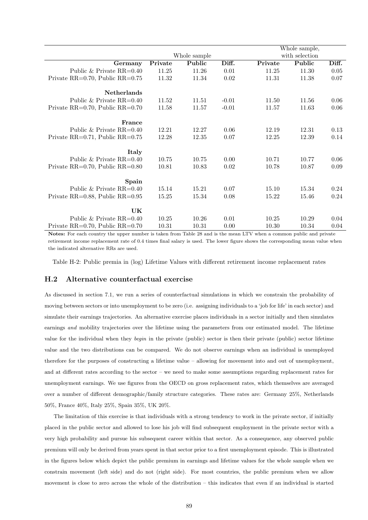| Whole sample,                        |         |              |         |         |                |       |
|--------------------------------------|---------|--------------|---------|---------|----------------|-------|
|                                      |         | Whole sample |         |         | with selection |       |
| Germany                              | Private | Public       | Diff.   | Private | Public         | Diff. |
| Public & Private $RR=0.40$           | 11.25   | 11.26        | 0.01    | 11.25   | 11.30          | 0.05  |
| Private $RR=0.70$ , Public $RR=0.75$ | 11.32   | 11.34        | 0.02    | 11.31   | 11.38          | 0.07  |
|                                      |         |              |         |         |                |       |
| <b>Netherlands</b>                   |         |              |         |         |                |       |
| Public & Private $RR=0.40$           | 11.52   | 11.51        | $-0.01$ | 11.50   | 11.56          | 0.06  |
| Private RR=0.70, Public RR=0.70      | 11.58   | 11.57        | $-0.01$ | 11.57   | 11.63          | 0.06  |
|                                      |         |              |         |         |                |       |
| France                               |         |              |         |         |                |       |
| Public & Private $RR=0.40$           | 12.21   | 12.27        | 0.06    | 12.19   | 12.31          | 0.13  |
| Private $RR=0.71$ , Public $RR=0.75$ | 12.28   | 12.35        | 0.07    | 12.25   | 12.39          | 0.14  |
|                                      |         |              |         |         |                |       |
| Italy                                |         |              |         |         |                |       |
| Public & Private $RR=0.40$           | 10.75   | 10.75        | 0.00    | 10.71   | 10.77          | 0.06  |
| Private RR=0.70, Public RR=0.80      | 10.81   | 10.83        | 0.02    | 10.78   | 10.87          | 0.09  |
|                                      |         |              |         |         |                |       |
| Spain                                |         |              |         |         |                |       |
| Public & Private RR=0.40             | 15.14   | 15.21        | 0.07    | 15.10   | 15.34          | 0.24  |
| Private RR=0.88, Public RR=0.95      | 15.25   | 15.34        | 0.08    | 15.22   | 15.46          | 0.24  |
|                                      |         |              |         |         |                |       |
| UK                                   |         |              |         |         |                |       |
| Public & Private $RR=0.40$           | 10.25   | 10.26        | 0.01    | 10.25   | 10.29          | 0.04  |
| Private RR=0.70, Public RR=0.70      | 10.31   | 10.31        | 0.00    | 10.30   | 10.34          | 0.04  |

Notes: For each country the upper number is taken from Table 28 and is the mean LTV when a common public and private retirement income replacement rate of 0.4 times final salary is used. The lower figure shows the corresponding mean value when the indicated alternative RRs are used.

Table H-2: Public premia in (log) Lifetime Values with different retirement income replacement rates

#### H.2 Alternative counterfactual exercise

As discussed in section 7.1, we run a series of counterfactual simulations in which we constrain the probability of moving between sectors or into unemployment to be zero (i.e. assigning individuals to a 'job for life' in each sector) and simulate their earnings trajectories. An alternative exercise places individuals in a sector initially and then simulates earnings and mobility trajectories over the lifetime using the parameters from our estimated model. The lifetime value for the individual when they begin in the private (public) sector is then their private (public) sector lifetime value and the two distributions can be compared. We do not observe earnings when an individual is unemployed therefore for the purposes of constructing a lifetime value – allowing for movement into and out of unemployment, and at different rates according to the sector – we need to make some assumptions regarding replacement rates for unemployment earnings. We use figures from the OECD on gross replacement rates, which themselves are averaged over a number of different demographic/family structure categories. These rates are: Germany 25%, Netherlands 50%, France 40%, Italy 25%, Spain 35%, UK 20%.

The limitation of this exercise is that individuals with a strong tendency to work in the private sector, if initially placed in the public sector and allowed to lose his job will find subsequent employment in the private sector with a very high probability and pursue his subsequent career within that sector. As a consequence, any observed public premium will only be derived from years spent in that sector prior to a first unemployment episode. This is illustrated in the figures below which depict the public premium in earnings and lifetime values for the whole sample when we constrain movement (left side) and do not (right side). For most countries, the public premium when we allow movement is close to zero across the whole of the distribution – this indicates that even if an individual is started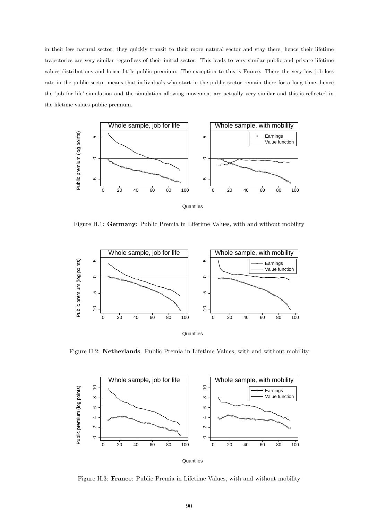in their less natural sector, they quickly transit to their more natural sector and stay there, hence their lifetime trajectories are very similar regardless of their initial sector. This leads to very similar public and private lifetime values distributions and hence little public premium. The exception to this is France. There the very low job loss rate in the public sector means that individuals who start in the public sector remain there for a long time, hence the 'job for life' simulation and the simulation allowing movement are actually very similar and this is reflected in the lifetime values public premium.



Figure H.1: Germany: Public Premia in Lifetime Values, with and without mobility



Figure H.2: Netherlands: Public Premia in Lifetime Values, with and without mobility



Figure H.3: France: Public Premia in Lifetime Values, with and without mobility